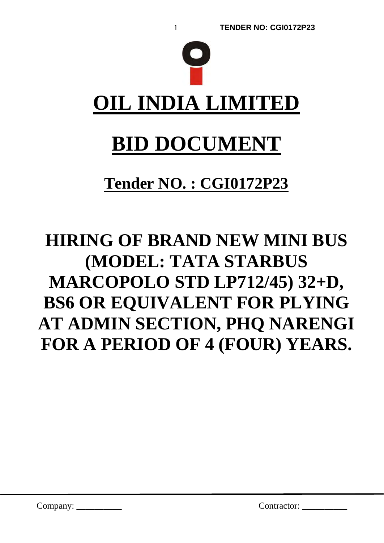

## **Tender NO. : CGI0172P23**

# **HIRING OF BRAND NEW MINI BUS (MODEL: TATA STARBUS MARCOPOLO STD LP712/45) 32+D, BS6 OR EQUIVALENT FOR PLYING AT ADMIN SECTION, PHQ NARENGI FOR A PERIOD OF 4 (FOUR) YEARS.**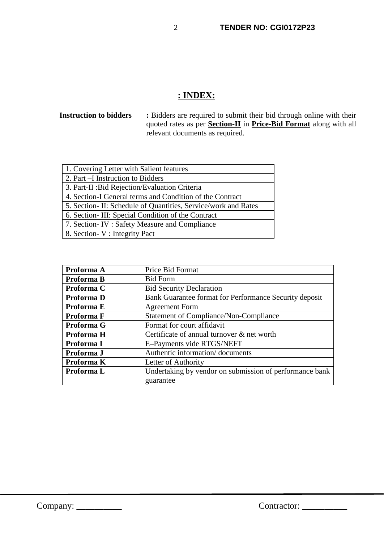## **: INDEX:**

## **Instruction to bidders** : Bidders are required to submit their bid through online with their quoted rates as per **Section-II** in **Price-Bid Format** along with all relevant documents as required.

| 1. Covering Letter with Salient features                        |
|-----------------------------------------------------------------|
| 2. Part -I Instruction to Bidders                               |
| 3. Part-II : Bid Rejection/Evaluation Criteria                  |
| 4. Section-I General terms and Condition of the Contract        |
| 5. Section - II: Schedule of Quantities, Service/work and Rates |
| 6. Section- III: Special Condition of the Contract              |
| 7. Section - IV : Safety Measure and Compliance                 |
| 8. Section - V : Integrity Pact                                 |

| Proforma A | Price Bid Format                                        |  |  |  |
|------------|---------------------------------------------------------|--|--|--|
| Proforma B | <b>Bid Form</b>                                         |  |  |  |
| Proforma C | <b>Bid Security Declaration</b>                         |  |  |  |
| Proforma D | Bank Guarantee format for Performance Security deposit  |  |  |  |
| Proforma E | <b>Agreement Form</b>                                   |  |  |  |
| Proforma F | <b>Statement of Compliance/Non-Compliance</b>           |  |  |  |
| Proforma G | Format for court affidavit                              |  |  |  |
| Proforma H | Certificate of annual turnover & net worth              |  |  |  |
| Proforma I | E-Payments vide RTGS/NEFT                               |  |  |  |
| Proforma J | Authentic information/documents                         |  |  |  |
| Proforma K | Letter of Authority                                     |  |  |  |
| Proforma L | Undertaking by vendor on submission of performance bank |  |  |  |
|            | guarantee                                               |  |  |  |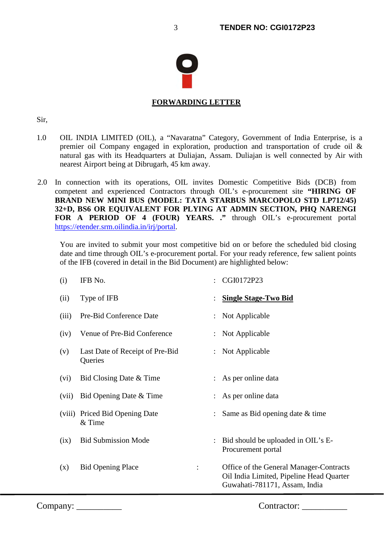

## **FORWARDING LETTER**

#### Sir,

- 1.0 OIL INDIA LIMITED (OIL), a "Navaratna" Category, Government of India Enterprise, is a premier oil Company engaged in exploration, production and transportation of crude oil & natural gas with its Headquarters at Duliajan, Assam. Duliajan is well connected by Air with nearest Airport being at Dibrugarh, 45 km away.
- 2.0 In connection with its operations, OIL invites Domestic Competitive Bids (DCB) from competent and experienced Contractors through OIL's e-procurement site **"HIRING OF BRAND NEW MINI BUS (MODEL: TATA STARBUS MARCOPOLO STD LP712/45) 32+D, BS6 OR EQUIVALENT FOR PLYING AT ADMIN SECTION, PHQ NARENGI FOR A PERIOD OF 4 (FOUR) YEARS. ."** through OIL's e-procurement portal [https://etender.srm.oilindia.in/irj/portal.](https://etender.srm.oilindia.in/irj/portal)

You are invited to submit your most competitive bid on or before the scheduled bid closing date and time through OIL's e-procurement portal. For your ready reference, few salient points of the IFB (covered in detail in the Bid Document) are highlighted below:

| (i)   | IFB No.                                    | CGI0172P23                                                                                                           |
|-------|--------------------------------------------|----------------------------------------------------------------------------------------------------------------------|
| (ii)  | Type of IFB                                | <b>Single Stage-Two Bid</b>                                                                                          |
| (iii) | Pre-Bid Conference Date                    | Not Applicable                                                                                                       |
| (iv)  | Venue of Pre-Bid Conference                | : Not Applicable                                                                                                     |
| (v)   | Last Date of Receipt of Pre-Bid<br>Queries | Not Applicable                                                                                                       |
| (vi)  | Bid Closing Date & Time                    | As per online data                                                                                                   |
| (vii) | Bid Opening Date & Time                    | As per online data                                                                                                   |
|       | (viii) Priced Bid Opening Date<br>& Time   | Same as Bid opening date & time                                                                                      |
| (ix)  | <b>Bid Submission Mode</b>                 | Bid should be uploaded in OIL's E-<br>Procurement portal                                                             |
| (x)   | <b>Bid Opening Place</b>                   | Office of the General Manager-Contracts<br>Oil India Limited, Pipeline Head Quarter<br>Guwahati-781171, Assam, India |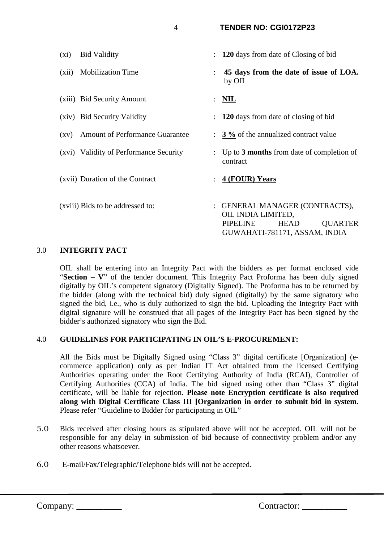| $(x_i)$ | <b>Bid Validity</b>                    | $\ddot{\phantom{a}}$ | 120 days from date of Closing of bid                                                                                                           |
|---------|----------------------------------------|----------------------|------------------------------------------------------------------------------------------------------------------------------------------------|
| (xii)   | <b>Mobilization Time</b>               | $\ddot{\phantom{a}}$ | 45 days from the date of issue of LOA.<br>by OIL                                                                                               |
|         | (xiii) Bid Security Amount             |                      | NIL                                                                                                                                            |
|         | (xiv) Bid Security Validity            | $\ddot{\phantom{a}}$ | 120 days from date of closing of bid                                                                                                           |
|         | (xv) Amount of Performance Guarantee   |                      | $\frac{3\%}{6}$ of the annualized contract value                                                                                               |
|         | (xvi) Validity of Performance Security |                      | : Up to $3$ months from date of completion of<br>contract                                                                                      |
|         | (xvii) Duration of the Contract        |                      | 4 (FOUR) Years                                                                                                                                 |
|         | (xviii) Bids to be addressed to:       | ÷                    | <b>GENERAL MANAGER (CONTRACTS),</b><br>OIL INDIA LIMITED,<br><b>PIPELINE</b><br><b>QUARTER</b><br><b>HEAD</b><br>GUWAHATI-781171, ASSAM, INDIA |

4 **TENDER NO: CGI0172P23**

## 3.0 **INTEGRITY PACT**

OIL shall be entering into an Integrity Pact with the bidders as per format enclosed vide "**Section – V**" of the tender document. This Integrity Pact Proforma has been duly signed digitally by OIL's competent signatory (Digitally Signed). The Proforma has to be returned by the bidder (along with the technical bid) duly signed (digitally) by the same signatory who signed the bid, i.e., who is duly authorized to sign the bid. Uploading the Integrity Pact with digital signature will be construed that all pages of the Integrity Pact has been signed by the bidder's authorized signatory who sign the Bid.

## 4.0 **GUIDELINES FOR PARTICIPATING IN OIL'S E-PROCUREMENT:**

All the Bids must be Digitally Signed using "Class 3" digital certificate [Organization] (ecommerce application) only as per Indian IT Act obtained from the licensed Certifying Authorities operating under the Root Certifying Authority of India (RCAI), Controller of Certifying Authorities (CCA) of India. The bid signed using other than "Class 3" digital certificate, will be liable for rejection. **Please note Encryption certificate is also required along with Digital Certificate Class III [Organization in order to submit bid in system**. Please refer "Guideline to Bidder for participating in OIL"

- 5.0 Bids received after closing hours as stipulated above will not be accepted. OIL will not be responsible for any delay in submission of bid because of connectivity problem and/or any other reasons whatsoever.
- 6.0 E-mail/Fax/Telegraphic/Telephone bids will not be accepted.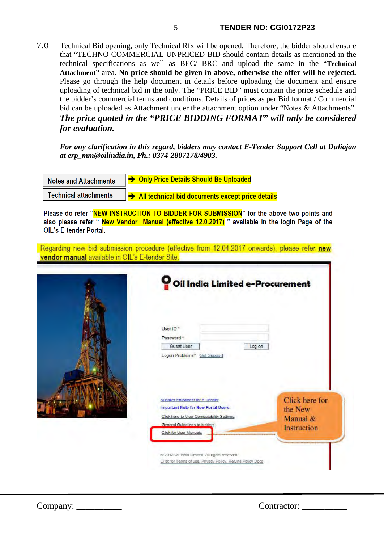7.0 Technical Bid opening, only Technical Rfx will be opened. Therefore, the bidder should ensure that "TECHNO-COMMERCIAL UNPRICED BID should contain details as mentioned in the technical specifications as well as BEC/ BRC and upload the same in the "**Technical Attachment"** area. **No price should be given in above, otherwise the offer will be rejected.** Please go through the help document in details before uploading the document and ensure uploading of technical bid in the only. The "PRICE BID" must contain the price schedule and the bidder's commercial terms and conditions. Details of prices as per Bid format / Commercial bid can be uploaded as Attachment under the attachment option under "Notes & Attachments". *The price quoted in the "PRICE BIDDING FORMAT" will only be considered for evaluation.*

*For any clarification in this regard, bidders may contact E-Tender Support Cell at Duliajan at erp\_mm@oilindia.in, Ph.: 0374-2807178/4903.* 

| <b>Notes and Attachments</b> | <b>EXECUTE:</b> Only Price Details Should Be Uploaded          |
|------------------------------|----------------------------------------------------------------|
| Technical attachments        | $\rightarrow$ All technical bid documents except price details |

Please do refer "NEW INSTRUCTION TO BIDDER FOR SUBMISSION" for the above two points and also please refer "New Vendor Manual (effective 12.0.2017) " available in the login Page of the **OIL's E-tender Portal.** 

Regarding new bid submission procedure (effective from 12.04.2017 onwards), please refer new vendor manual available in OIL's E-tender Site:

| Oil India Limited e-Procurement                                                |        |                |
|--------------------------------------------------------------------------------|--------|----------------|
| User ID <sup>*</sup><br>Password *                                             |        |                |
| Guest User                                                                     | Log on |                |
| Suppler Enlistment for E-Tender<br><b>Important Note for New Portal Users:</b> |        | Click here for |
| Click here to View Compatability Settings                                      |        | the New        |
| General Guidelines to bidders                                                  |        | Manual &       |
| Click for User Manuals                                                         |        | Instruction    |
| @ 2012 Oil India Limited. All rights reserved.                                 |        |                |
| Click for Terms of use, Privacy Policy, Retund Policy Docs                     |        |                |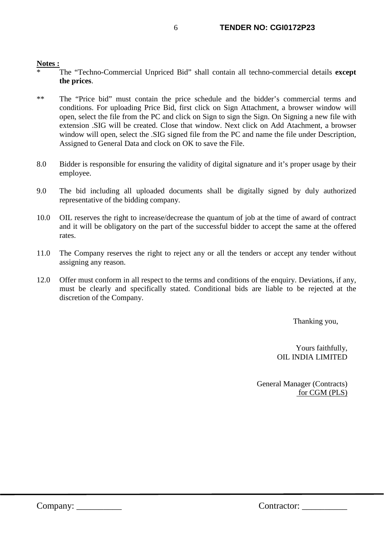**Notes :**

- \* The "Techno-Commercial Unpriced Bid" shall contain all techno-commercial details **except the prices**.
- \*\* The "Price bid" must contain the price schedule and the bidder's commercial terms and conditions. For uploading Price Bid, first click on Sign Attachment, a browser window will open, select the file from the PC and click on Sign to sign the Sign. On Signing a new file with extension .SIG will be created. Close that window. Next click on Add Atachment, a browser window will open, select the .SIG signed file from the PC and name the file under Description, Assigned to General Data and clock on OK to save the File.
- 8.0 Bidder is responsible for ensuring the validity of digital signature and it's proper usage by their employee.
- 9.0 The bid including all uploaded documents shall be digitally signed by duly authorized representative of the bidding company.
- 10.0 OIL reserves the right to increase/decrease the quantum of job at the time of award of contract and it will be obligatory on the part of the successful bidder to accept the same at the offered rates.
- 11.0 The Company reserves the right to reject any or all the tenders or accept any tender without assigning any reason.
- 12.0 Offer must conform in all respect to the terms and conditions of the enquiry. Deviations, if any, must be clearly and specifically stated. Conditional bids are liable to be rejected at the discretion of the Company.

Thanking you,

Yours faithfully, OIL INDIA LIMITED

General Manager (Contracts) for CGM (PLS)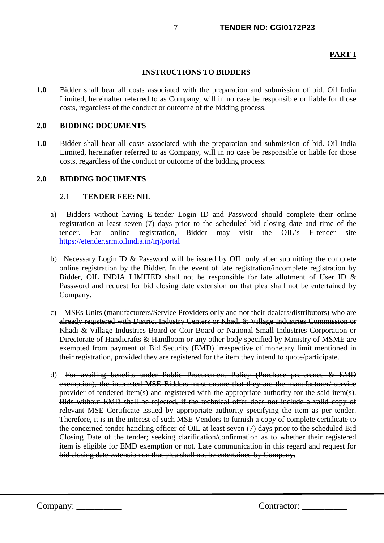## **PART-I**

#### **INSTRUCTIONS TO BIDDERS**

**1.0** Bidder shall bear all costs associated with the preparation and submission of bid. Oil India Limited, hereinafter referred to as Company, will in no case be responsible or liable for those costs, regardless of the conduct or outcome of the bidding process.

#### **2.0 BIDDING DOCUMENTS**

**1.0** Bidder shall bear all costs associated with the preparation and submission of bid. Oil India Limited, hereinafter referred to as Company, will in no case be responsible or liable for those costs, regardless of the conduct or outcome of the bidding process.

#### **2.0 BIDDING DOCUMENTS**

#### 2.1 **TENDER FEE: NIL**

- a) Bidders without having E-tender Login ID and Password should complete their online registration at least seven (7) days prior to the scheduled bid closing date and time of the tender. For online registration, Bidder may visit the OIL's E-tender site <https://etender.srm.oilindia.in/irj/portal>
- b) Necessary Login ID & Password will be issued by OIL only after submitting the complete online registration by the Bidder. In the event of late registration/incomplete registration by Bidder, OIL INDIA LIMITED shall not be responsible for late allotment of User ID  $\&$ Password and request for bid closing date extension on that plea shall not be entertained by Company.
- c) MSEs Units (manufacturers/Service Providers only and not their dealers/distributors) who are already registered with District Industry Centers or Khadi & Village Industries Commission or Khadi & Village Industries Board or Coir Board or National Small Industries Corporation or Directorate of Handicrafts & Handloom or any other body specified by Ministry of MSME are exempted from payment of Bid Security (EMD) irrespective of monetary limit mentioned in their registration, provided they are registered for the item they intend to quote/participate.
- d) For availing benefits under Public Procurement Policy (Purchase preference & EMD exemption), the interested MSE Bidders must ensure that they are the manufacturer/ service provider of tendered item(s) and registered with the appropriate authority for the said item(s). Bids without EMD shall be rejected, if the technical offer does not include a valid copy of relevant MSE Certificate issued by appropriate authority specifying the item as per tender. Therefore, it is in the interest of such MSE Vendors to furnish a copy of complete certificate to the concerned tender handling officer of OIL at least seven (7) days prior to the scheduled Bid Closing Date of the tender; seeking clarification/confirmation as to whether their registered item is eligible for EMD exemption or not. Late communication in this regard and request for bid closing date extension on that plea shall not be entertained by Company.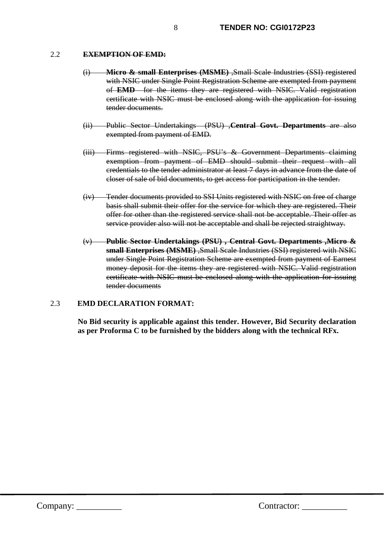## 2.2 **EXEMPTION OF EMD:**

- (i) **Micro & small Enterprises (MSME)** ,Small Scale Industries (SSI) registered with NSIC under Single Point Registration Scheme are exempted from payment of **EMD** for the items they are registered with NSIC. Valid registration certificate with NSIC must be enclosed along with the application for issuing tender documents.
- (ii) Public Sector Undertakings (PSU) ,**Central Govt. Departments** are also exempted from payment of EMD.
- (iii) Firms registered with NSIC, PSU's & Government Departments claiming exemption from payment of EMD should submit their request with all credentials to the tender administrator at least 7 days in advance from the date of closer of sale of bid documents, to get access for participation in the tender.
- (iv) Tender documents provided to SSI Units registered with NSIC on free of charge basis shall submit their offer for the service for which they are registered. Their offer for other than the registered service shall not be acceptable. Their offer as service provider also will not be acceptable and shall be rejected straightway.
- (v) **Public Sector Undertakings (PSU) , Central Govt. Departments ,Micro & small Enterprises (MSME)** ,Small Scale Industries (SSI) registered with NSIC under Single Point Registration Scheme are exempted from payment of Earnest money deposit for the items they are registered with NSIC. Valid registration certificate with NSIC must be enclosed along with the application for issuing tender documents

#### 2.3 **EMD DECLARATION FORMAT:**

**No Bid security is applicable against this tender. However, Bid Security declaration as per Proforma C to be furnished by the bidders along with the technical RFx.**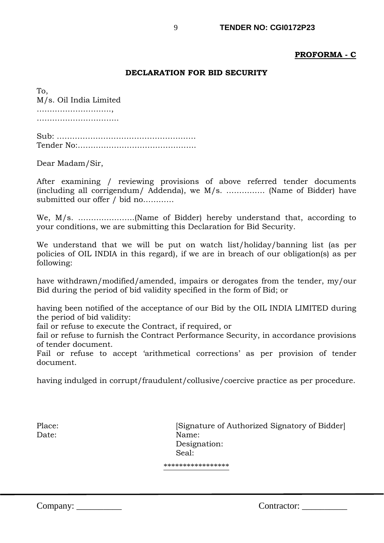## **PROFORMA - C**

#### **DECLARATION FOR BID SECURITY**

To, M/s. Oil India Limited ………………………..,

……………………………………

Sub: ……………………………………………… Tender No:……………………………………….

Dear Madam/Sir,

After examining / reviewing provisions of above referred tender documents (including all corrigendum/ Addenda), we M/s. …………… (Name of Bidder) have submitted our offer / bid no…………

We, M/s. ………………….(Name of Bidder) hereby understand that, according to your conditions, we are submitting this Declaration for Bid Security.

We understand that we will be put on watch list/holiday/banning list (as per policies of OIL INDIA in this regard), if we are in breach of our obligation(s) as per following:

have withdrawn/modified/amended, impairs or derogates from the tender, my/our Bid during the period of bid validity specified in the form of Bid; or

having been notified of the acceptance of our Bid by the OIL INDIA LIMITED during the period of bid validity:

fail or refuse to execute the Contract, if required, or

fail or refuse to furnish the Contract Performance Security, in accordance provisions of tender document.

Fail or refuse to accept 'arithmetical corrections' as per provision of tender document.

having indulged in corrupt/fraudulent/collusive/coercive practice as per procedure.

Date: Name:

Place: [Signature of Authorized Signatory of Bidder] Designation: Seal: Seal: Seal: Seal: Seal: Seal: Seal: Seal: Seal: Seal: Seal: Seal: Seal: Seal: Seal: Seal: Seal: Seal: Seal: Seal: Seal: Seal: Seal: Seal: Seal: Seal: Seal: Seal: Seal: Seal: Seal: Seal: Seal: Seal: Seal: Seal: Seal:

\*\*\*\*\*\*\*\*\*\*\*\*\*\*\*\*\*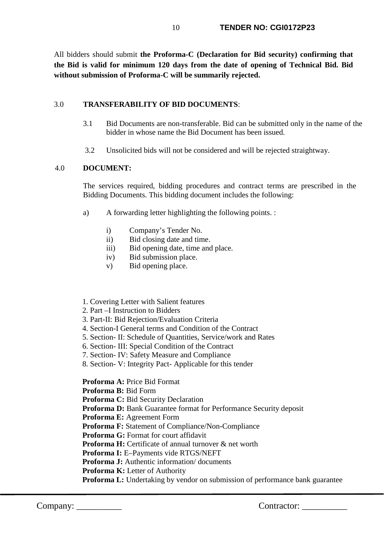All bidders should submit **the Proforma-C (Declaration for Bid security) confirming that the Bid is valid for minimum 120 days from the date of opening of Technical Bid. Bid without submission of Proforma-C will be summarily rejected.**

## 3.0 **TRANSFERABILITY OF BID DOCUMENTS**:

- 3.1 Bid Documents are non-transferable. Bid can be submitted only in the name of the bidder in whose name the Bid Document has been issued.
- 3.2 Unsolicited bids will not be considered and will be rejected straightway.

## 4.0 **DOCUMENT:**

The services required, bidding procedures and contract terms are prescribed in the Bidding Documents. This bidding document includes the following:

- a) A forwarding letter highlighting the following points. :
	- i) Company's Tender No.
	- ii) Bid closing date and time.
	- iii) Bid opening date, time and place.
	- iv) Bid submission place.
	- v) Bid opening place.
- 1. Covering Letter with Salient features
- 2. Part –I Instruction to Bidders
- 3. Part-II: Bid Rejection/Evaluation Criteria
- 4. Section-I General terms and Condition of the Contract
- 5. Section- II: Schedule of Quantities, Service/work and Rates
- 6. Section- III: Special Condition of the Contract
- 7. Section- IV: Safety Measure and Compliance
- 8. Section- V: Integrity Pact- Applicable for this tender

**Proforma A:** Price Bid Format

**Proforma B:** Bid Form

**Proforma C:** Bid Security Declaration

**Proforma D:** Bank Guarantee format for Performance Security deposit

**Proforma E:** Agreement Form

**Proforma F:** Statement of Compliance/Non-Compliance

**Proforma G:** Format for court affidavit

**Proforma H:** Certificate of annual turnover & net worth

- **Proforma I:** E–Payments vide RTGS/NEFT
- **Proforma J:** Authentic information/ documents

**Proforma K:** Letter of Authority

**Proforma L:** Undertaking by vendor on submission of performance bank guarantee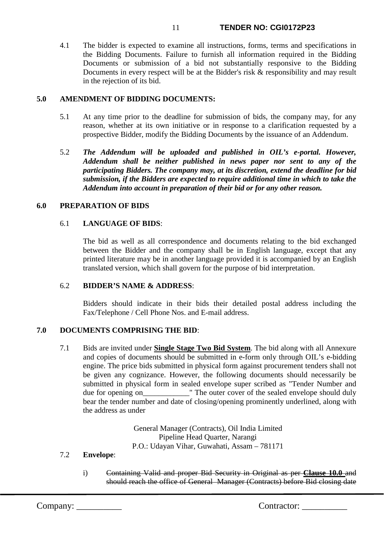4.1 The bidder is expected to examine all instructions, forms, terms and specifications in the Bidding Documents. Failure to furnish all information required in the Bidding Documents or submission of a bid not substantially responsive to the Bidding Documents in every respect will be at the Bidder's risk & responsibility and may result in the rejection of its bid.

## **5.0 AMENDMENT OF BIDDING DOCUMENTS:**

- 5.1 At any time prior to the deadline for submission of bids, the company may, for any reason, whether at its own initiative or in response to a clarification requested by a prospective Bidder, modify the Bidding Documents by the issuance of an Addendum.
- 5.2 *The Addendum will be uploaded and published in OIL's e-portal. However, Addendum shall be neither published in news paper nor sent to any of the participating Bidders. The company may, at its discretion, extend the deadline for bid submission, if the Bidders are expected to require additional time in which to take the Addendum into account in preparation of their bid or for any other reason.*

## **6.0 PREPARATION OF BIDS**

#### 6.1 **LANGUAGE OF BIDS**:

The bid as well as all correspondence and documents relating to the bid exchanged between the Bidder and the company shall be in English language, except that any printed literature may be in another language provided it is accompanied by an English translated version, which shall govern for the purpose of bid interpretation.

#### 6.2 **BIDDER'S NAME & ADDRESS**:

Bidders should indicate in their bids their detailed postal address including the Fax/Telephone / Cell Phone Nos. and E-mail address.

## **7.0 DOCUMENTS COMPRISING THE BID**:

7.1 Bids are invited under **Single Stage Two Bid System**. The bid along with all Annexure and copies of documents should be submitted in e-form only through OIL's e-bidding engine. The price bids submitted in physical form against procurement tenders shall not be given any cognizance. However, the following documents should necessarily be submitted in physical form in sealed envelope super scribed as "Tender Number and due for opening on The outer cover of the sealed envelope should duly bear the tender number and date of closing/opening prominently underlined, along with the address as under

> General Manager (Contracts), Oil India Limited Pipeline Head Quarter, Narangi P.O.: Udayan Vihar, Guwahati, Assam – 781171

## 7.2 **Envelope**:

i) Containing Valid and proper Bid Security in Original as per **Clause 10.0** and should reach the office of General Manager (Contracts) before Bid closing date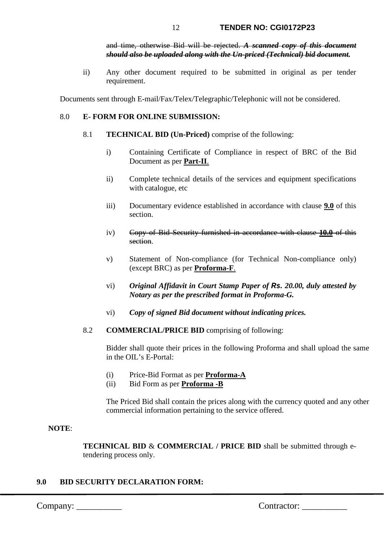#### 12 **TENDER NO: CGI0172P23**

and time, otherwise Bid will be rejected. *A scanned copy of this document should also be uploaded along with the Un-priced (Technical) bid document.* 

ii) Any other document required to be submitted in original as per tender requirement.

Documents sent through E-mail/Fax/Telex/Telegraphic/Telephonic will not be considered.

#### 8.0 **E- FORM FOR ONLINE SUBMISSION:**

- 8.1 **TECHNICAL BID (Un-Priced)** comprise of the following:
	- i) Containing Certificate of Compliance in respect of BRC of the Bid Document as per **Part-II**.
	- ii) Complete technical details of the services and equipment specifications with catalogue, etc
	- iii) Documentary evidence established in accordance with clause **9.0** of this section.
	- iv) Copy of Bid Security furnished in accordance with clause **10.0** of this section.
	- v) Statement of Non-compliance (for Technical Non-compliance only) (except BRC) as per **Proforma-F**.
	- vi) *Original Affidavit in Court Stamp Paper of Rs. 20.00, duly attested by Notary as per the prescribed format in Proforma-G.*
	- vi) *Copy of signed Bid document without indicating prices.*
- 8.2 **COMMERCIAL/PRICE BID** comprising of following:

Bidder shall quote their prices in the following Proforma and shall upload the same in the OIL's E-Portal:

- (i) Price-Bid Format as per **Proforma-A**
- (ii) Bid Form as per **Proforma -B**

The Priced Bid shall contain the prices along with the currency quoted and any other commercial information pertaining to the service offered.

## **NOTE**:

**TECHNICAL BID** & **COMMERCIAL / PRICE BID** shall be submitted through etendering process only.

#### **9.0 BID SECURITY DECLARATION FORM:**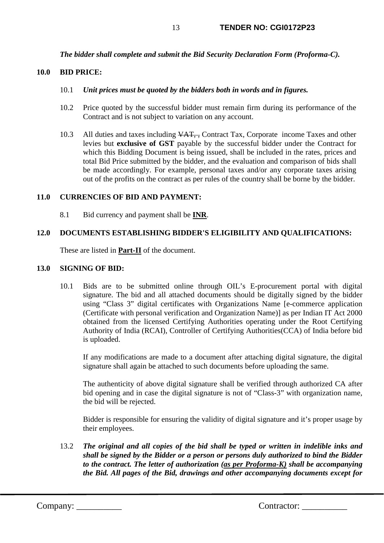*The bidder shall complete and submit the Bid Security Declaration Form (Proforma-C).* 

#### **10.0 BID PRICE:**

#### 10.1 *Unit prices must be quoted by the bidders both in words and in figures.*

- 10.2 Price quoted by the successful bidder must remain firm during its performance of the Contract and is not subject to variation on any account.
- 10.3 All duties and taxes including VAT, , Contract Tax, Corporate income Taxes and other levies but **exclusive of GST** payable by the successful bidder under the Contract for which this Bidding Document is being issued, shall be included in the rates, prices and total Bid Price submitted by the bidder, and the evaluation and comparison of bids shall be made accordingly. For example, personal taxes and/or any corporate taxes arising out of the profits on the contract as per rules of the country shall be borne by the bidder.

#### **11.0 CURRENCIES OF BID AND PAYMENT:**

8.1 Bid currency and payment shall be **INR**.

#### **12.0 DOCUMENTS ESTABLISHING BIDDER'S ELIGIBILITY AND QUALIFICATIONS:**

These are listed in **Part-II** of the document.

#### **13.0 SIGNING OF BID:**

10.1 Bids are to be submitted online through OIL's E-procurement portal with digital signature. The bid and all attached documents should be digitally signed by the bidder using "Class 3" digital certificates with Organizations Name [e-commerce application (Certificate with personal verification and Organization Name)] as per Indian IT Act 2000 obtained from the licensed Certifying Authorities operating under the Root Certifying Authority of India (RCAI), Controller of Certifying Authorities(CCA) of India before bid is uploaded.

If any modifications are made to a document after attaching digital signature, the digital signature shall again be attached to such documents before uploading the same.

The authenticity of above digital signature shall be verified through authorized CA after bid opening and in case the digital signature is not of "Class-3" with organization name, the bid will be rejected.

Bidder is responsible for ensuring the validity of digital signature and it's proper usage by their employees.

13.2 *The original and all copies of the bid shall be typed or written in indelible inks and shall be signed by the Bidder or a person or persons duly authorized to bind the Bidder to the contract. The letter of authorization (as per Proforma-K) shall be accompanying the Bid. All pages of the Bid, drawings and other accompanying documents except for*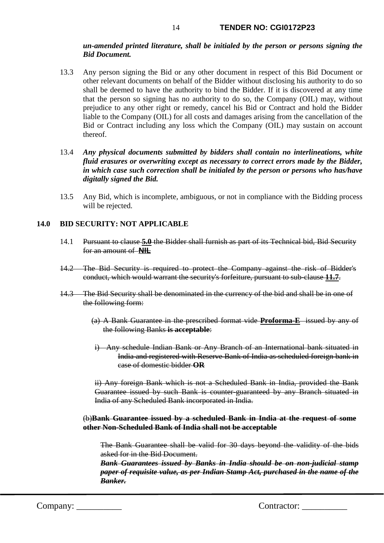#### *un-amended printed literature, shall be initialed by the person or persons signing the Bid Document.*

- 13.3 Any person signing the Bid or any other document in respect of this Bid Document or other relevant documents on behalf of the Bidder without disclosing his authority to do so shall be deemed to have the authority to bind the Bidder. If it is discovered at any time that the person so signing has no authority to do so, the Company (OIL) may, without prejudice to any other right or remedy, cancel his Bid or Contract and hold the Bidder liable to the Company (OIL) for all costs and damages arising from the cancellation of the Bid or Contract including any loss which the Company (OIL) may sustain on account thereof.
- 13.4 *Any physical documents submitted by bidders shall contain no interlineations, white fluid erasures or overwriting except as necessary to correct errors made by the Bidder, in which case such correction shall be initialed by the person or persons who has/have digitally signed the Bid.*
- 13.5 Any Bid, which is incomplete, ambiguous, or not in compliance with the Bidding process will be rejected.

#### **14.0 BID SECURITY: NOT APPLICABLE**

- 14.1 Pursuant to clause **5.0** the Bidder shall furnish as part of its Technical bid, Bid Security for an amount of **NIL**
- 14.2 The Bid Security is required to protect the Company against the risk of Bidder's conduct, which would warrant the security's forfeiture, pursuant to sub-clause **11.7**.
- 14.3 The Bid Security shall be denominated in the currency of the bid and shall be in one of the following form:
	- (a) A Bank Guarantee in the prescribed format vide **Proforma-E** issued by any of the following Banks **is acceptable**:
	- i) Any schedule Indian Bank or Any Branch of an International bank situated in India and registered with Reserve Bank of India as scheduled foreign bank in case of domestic bidder **OR**

ii) Any foreign Bank which is not a Scheduled Bank in India, provided the Bank Guarantee issued by such Bank is counter-guaranteed by any Branch situated in India of any Scheduled Bank incorporated in India.

#### (b)**Bank Guarantee issued by a scheduled Bank in India at the request of some other Non-Scheduled Bank of India shall not be acceptable**

The Bank Guarantee shall be valid for 30 days beyond the validity of the bids asked for in the Bid Document.

*Bank Guarantees issued by Banks in India should be on non-judicial stamp paper of requisite value, as per Indian Stamp Act, purchased in the name of the Banker.*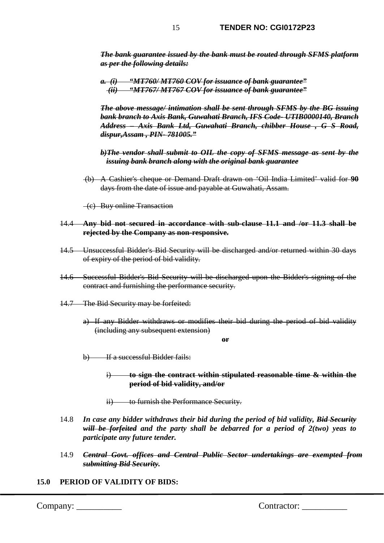*The bank guarantee issued by the bank must be routed through SFMS platform as per the following details:*

*"MT760/ MT760 COV for issuance of bank guarantee" (ii) "MT767/ MT767 COV for issuance of bank guarantee"* 

*The above message/ intimation shall be sent through SFMS by the BG issuing bank branch to Axis Bank, Guwahati Branch, IFS Code- UTIB0000140, Branch Address – Axis Bank Ltd, Guwahati Branch, chibber House , G S Road, dispur,Assam , PIN- 781005."* 

*b)The vendor shall submit to OIL the copy of SFMS message as sent by the issuing bank branch along with the original bank guarantee* 

(b) A Cashier's cheque or Demand Draft drawn on 'Oil India Limited' valid for **90**  days from the date of issue and payable at Guwahati, Assam.

(c) Buy online Transaction

#### 14.4 **Any bid not secured in accordance with sub-clause 11.1 and /or 11.3 shall be rejected by the Company as non-responsive.**

- 14.5 Unsuccessful Bidder's Bid Security will be discharged and/or returned within 30 days of expiry of the period of bid validity.
- 14.6 Successful Bidder's Bid Security will be discharged upon the Bidder's signing of the contract and furnishing the performance security.
- 14.7 The Bid Security may be forfeited:
	- a) If any Bidder withdraws or modifies their bid during the period of bid validity (including any subsequent extension)

**or** 

- b) If a successful Bidder fails:
	- i) **to sign the contract within stipulated reasonable time & within the period of bid validity, and/or**
	- ii) to furnish the Performance Security.
- 14.8 *In case any bidder withdraws their bid during the period of bid validity, Bid Security will be forfeited and the party shall be debarred for a period of 2(two) yeas to participate any future tender.*
- 14.9 *Central Govt. offices and Central Public Sector undertakings are exempted from submitting Bid Security.*
- **15.0 PERIOD OF VALIDITY OF BIDS:**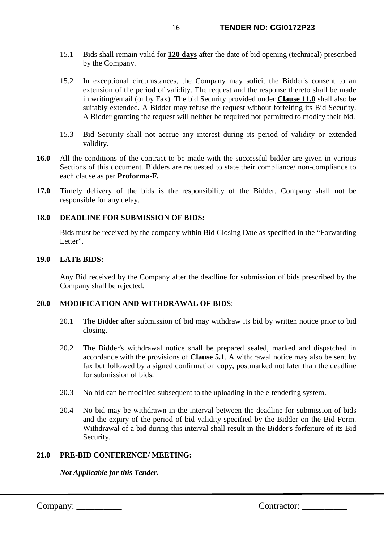- 15.1 Bids shall remain valid for **120 days** after the date of bid opening (technical) prescribed by the Company.
- 15.2 In exceptional circumstances, the Company may solicit the Bidder's consent to an extension of the period of validity. The request and the response thereto shall be made in writing/email (or by Fax). The bid Security provided under **Clause 11.0** shall also be suitably extended. A Bidder may refuse the request without forfeiting its Bid Security. A Bidder granting the request will neither be required nor permitted to modify their bid.
- 15.3 Bid Security shall not accrue any interest during its period of validity or extended validity.
- 16.0 All the conditions of the contract to be made with the successful bidder are given in various Sections of this document. Bidders are requested to state their compliance/ non-compliance to each clause as per **Proforma-F.**
- **17.0** Timely delivery of the bids is the responsibility of the Bidder. Company shall not be responsible for any delay.

#### **18.0 DEADLINE FOR SUBMISSION OF BIDS:**

Bids must be received by the company within Bid Closing Date as specified in the "Forwarding Letter".

#### **19.0 LATE BIDS:**

Any Bid received by the Company after the deadline for submission of bids prescribed by the Company shall be rejected.

#### **20.0 MODIFICATION AND WITHDRAWAL OF BIDS**:

- 20.1 The Bidder after submission of bid may withdraw its bid by written notice prior to bid closing.
- 20.2 The Bidder's withdrawal notice shall be prepared sealed, marked and dispatched in accordance with the provisions of **Clause 5.1**. A withdrawal notice may also be sent by fax but followed by a signed confirmation copy, postmarked not later than the deadline for submission of bids.
- 20.3 No bid can be modified subsequent to the uploading in the e-tendering system.
- 20.4 No bid may be withdrawn in the interval between the deadline for submission of bids and the expiry of the period of bid validity specified by the Bidder on the Bid Form. Withdrawal of a bid during this interval shall result in the Bidder's forfeiture of its Bid Security.

## **21.0 PRE-BID CONFERENCE/ MEETING:**

*Not Applicable for this Tender.*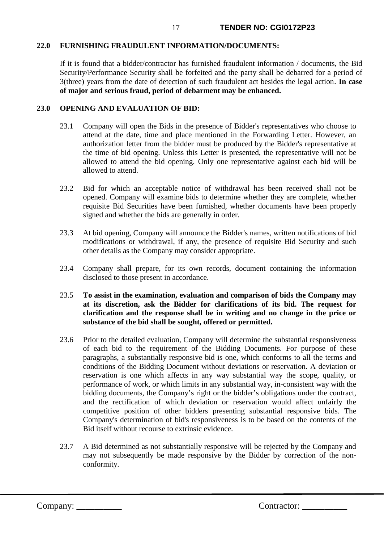#### **22.0 FURNISHING FRAUDULENT INFORMATION/DOCUMENTS:**

If it is found that a bidder/contractor has furnished fraudulent information / documents, the Bid Security/Performance Security shall be forfeited and the party shall be debarred for a period of 3(three) years from the date of detection of such fraudulent act besides the legal action. **In case of major and serious fraud, period of debarment may be enhanced.**

## **23.0 OPENING AND EVALUATION OF BID:**

- 23.1 Company will open the Bids in the presence of Bidder's representatives who choose to attend at the date, time and place mentioned in the Forwarding Letter. However, an authorization letter from the bidder must be produced by the Bidder's representative at the time of bid opening. Unless this Letter is presented, the representative will not be allowed to attend the bid opening. Only one representative against each bid will be allowed to attend.
- 23.2 Bid for which an acceptable notice of withdrawal has been received shall not be opened. Company will examine bids to determine whether they are complete, whether requisite Bid Securities have been furnished, whether documents have been properly signed and whether the bids are generally in order.
- 23.3 At bid opening, Company will announce the Bidder's names, written notifications of bid modifications or withdrawal, if any, the presence of requisite Bid Security and such other details as the Company may consider appropriate.
- 23.4 Company shall prepare, for its own records, document containing the information disclosed to those present in accordance.
- 23.5 **To assist in the examination, evaluation and comparison of bids the Company may at its discretion, ask the Bidder for clarifications of its bid. The request for clarification and the response shall be in writing and no change in the price or substance of the bid shall be sought, offered or permitted.**
- 23.6 Prior to the detailed evaluation, Company will determine the substantial responsiveness of each bid to the requirement of the Bidding Documents. For purpose of these paragraphs, a substantially responsive bid is one, which conforms to all the terms and conditions of the Bidding Document without deviations or reservation. A deviation or reservation is one which affects in any way substantial way the scope, quality, or performance of work, or which limits in any substantial way, in-consistent way with the bidding documents, the Company's right or the bidder's obligations under the contract, and the rectification of which deviation or reservation would affect unfairly the competitive position of other bidders presenting substantial responsive bids. The Company's determination of bid's responsiveness is to be based on the contents of the Bid itself without recourse to extrinsic evidence.
- 23.7 A Bid determined as not substantially responsive will be rejected by the Company and may not subsequently be made responsive by the Bidder by correction of the nonconformity.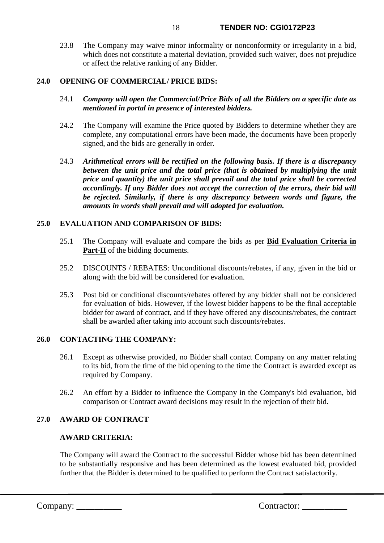#### 18 **TENDER NO: CGI0172P23**

23.8 The Company may waive minor informality or nonconformity or irregularity in a bid, which does not constitute a material deviation, provided such waiver, does not prejudice or affect the relative ranking of any Bidder.

## **24.0 OPENING OF COMMERCIAL/ PRICE BIDS:**

- 24.1 *Company will open the Commercial/Price Bids of all the Bidders on a specific date as mentioned in portal in presence of interested bidders.*
- 24.2 The Company will examine the Price quoted by Bidders to determine whether they are complete, any computational errors have been made, the documents have been properly signed, and the bids are generally in order.
- 24.3 *Arithmetical errors will be rectified on the following basis. If there is a discrepancy between the unit price and the total price (that is obtained by multiplying the unit price and quantity) the unit price shall prevail and the total price shall be corrected accordingly. If any Bidder does not accept the correction of the errors, their bid will be rejected. Similarly, if there is any discrepancy between words and figure, the amounts in words shall prevail and will adopted for evaluation.*

#### **25.0 EVALUATION AND COMPARISON OF BIDS:**

- 25.1 The Company will evaluate and compare the bids as per **Bid Evaluation Criteria in Part-II** of the bidding documents.
- 25.2 DISCOUNTS / REBATES: Unconditional discounts/rebates, if any, given in the bid or along with the bid will be considered for evaluation.
- 25.3 Post bid or conditional discounts/rebates offered by any bidder shall not be considered for evaluation of bids. However, if the lowest bidder happens to be the final acceptable bidder for award of contract, and if they have offered any discounts/rebates, the contract shall be awarded after taking into account such discounts/rebates.

## **26.0 CONTACTING THE COMPANY:**

- 26.1 Except as otherwise provided, no Bidder shall contact Company on any matter relating to its bid, from the time of the bid opening to the time the Contract is awarded except as required by Company.
- 26.2 An effort by a Bidder to influence the Company in the Company's bid evaluation, bid comparison or Contract award decisions may result in the rejection of their bid.

## **27.0 AWARD OF CONTRACT**

#### **AWARD CRITERIA:**

The Company will award the Contract to the successful Bidder whose bid has been determined to be substantially responsive and has been determined as the lowest evaluated bid, provided further that the Bidder is determined to be qualified to perform the Contract satisfactorily.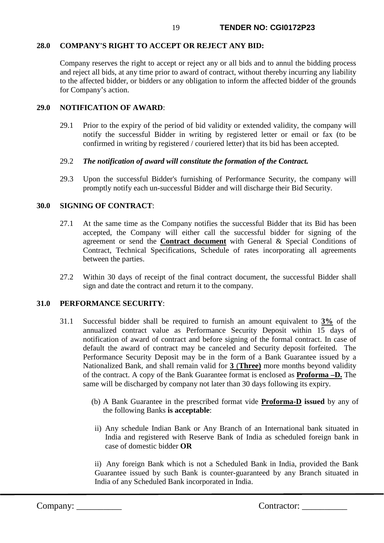#### **28.0 COMPANY'S RIGHT TO ACCEPT OR REJECT ANY BID:**

Company reserves the right to accept or reject any or all bids and to annul the bidding process and reject all bids, at any time prior to award of contract, without thereby incurring any liability to the affected bidder, or bidders or any obligation to inform the affected bidder of the grounds for Company's action.

## **29.0 NOTIFICATION OF AWARD**:

29.1 Prior to the expiry of the period of bid validity or extended validity, the company will notify the successful Bidder in writing by registered letter or email or fax (to be confirmed in writing by registered / couriered letter) that its bid has been accepted.

#### 29.2 *The notification of award will constitute the formation of the Contract.*

29.3 Upon the successful Bidder's furnishing of Performance Security, the company will promptly notify each un-successful Bidder and will discharge their Bid Security.

#### **30.0 SIGNING OF CONTRACT**:

- 27.1 At the same time as the Company notifies the successful Bidder that its Bid has been accepted, the Company will either call the successful bidder for signing of the agreement or send the **Contract document** with General & Special Conditions of Contract, Technical Specifications, Schedule of rates incorporating all agreements between the parties.
- 27.2 Within 30 days of receipt of the final contract document, the successful Bidder shall sign and date the contract and return it to the company.

## **31.0 PERFORMANCE SECURITY**:

- 31.1 Successful bidder shall be required to furnish an amount equivalent to **3%** of the annualized contract value as Performance Security Deposit within 15 days of notification of award of contract and before signing of the formal contract. In case of default the award of contract may be canceled and Security deposit forfeited. The Performance Security Deposit may be in the form of a Bank Guarantee issued by a Nationalized Bank, and shall remain valid for **3** (**Three)** more months beyond validity of the contract. A copy of the Bank Guarantee format is enclosed as **Proforma –D.** The same will be discharged by company not later than 30 days following its expiry.
	- (b) A Bank Guarantee in the prescribed format vide **Proforma-D issued** by any of the following Banks **is acceptable**:
	- ii) Any schedule Indian Bank or Any Branch of an International bank situated in India and registered with Reserve Bank of India as scheduled foreign bank in case of domestic bidder **OR**

ii) Any foreign Bank which is not a Scheduled Bank in India, provided the Bank Guarantee issued by such Bank is counter-guaranteed by any Branch situated in India of any Scheduled Bank incorporated in India.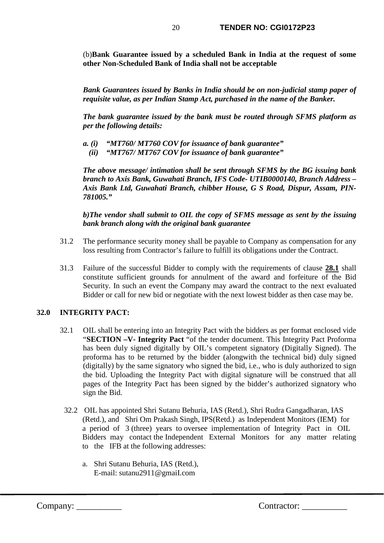(b)**Bank Guarantee issued by a scheduled Bank in India at the request of some other Non-Scheduled Bank of India shall not be acceptable**

*Bank Guarantees issued by Banks in India should be on non-judicial stamp paper of requisite value, as per Indian Stamp Act, purchased in the name of the Banker.*

*The bank guarantee issued by the bank must be routed through SFMS platform as per the following details:*

- *a. (i) "MT760/ MT760 COV for issuance of bank guarantee"* 
	- *(ii) "MT767/ MT767 COV for issuance of bank guarantee"*

*The above message/ intimation shall be sent through SFMS by the BG issuing bank branch to Axis Bank, Guwahati Branch, IFS Code- UTIB0000140, Branch Address – Axis Bank Ltd, Guwahati Branch, chibber House, G S Road, Dispur, Assam, PIN-781005."* 

*b)The vendor shall submit to OIL the copy of SFMS message as sent by the issuing bank branch along with the original bank guarantee* 

- 31.2 The performance security money shall be payable to Company as compensation for any loss resulting from Contractor's failure to fulfill its obligations under the Contract.
- 31.3 Failure of the successful Bidder to comply with the requirements of clause **28.1** shall constitute sufficient grounds for annulment of the award and forfeiture of the Bid Security. In such an event the Company may award the contract to the next evaluated Bidder or call for new bid or negotiate with the next lowest bidder as then case may be.

## **32.0 INTEGRITY PACT:**

- 32.1 OIL shall be entering into an Integrity Pact with the bidders as per format enclosed vide "**SECTION –V- Integrity Pact** "of the tender document. This Integrity Pact Proforma has been duly signed digitally by OIL's competent signatory (Digitally Signed). The proforma has to be returned by the bidder (alongwith the technical bid) duly signed (digitally) by the same signatory who signed the bid, i.e., who is duly authorized to sign the bid. Uploading the Integrity Pact with digital signature will be construed that all pages of the Integrity Pact has been signed by the bidder's authorized signatory who sign the Bid.
	- 32.2 OIL has appointed Shri Sutanu Behuria, IAS (Retd.), Shri Rudra Gangadharan, IAS (Retd.), and Shri Om Prakash Singh, IPS(Retd.) as Independent Monitors (IEM) for a period of 3 (three) years to oversee implementation of Integrity Pact in OIL Bidders may contact the Independent External Monitors for any matter relating to the IFB at the following addresses:
		- a. Shri Sutanu Behuria, IAS (Retd.), E-mail: [sutanu2911@gmaiI.com](mailto:sutanu2911@gmaiI.com)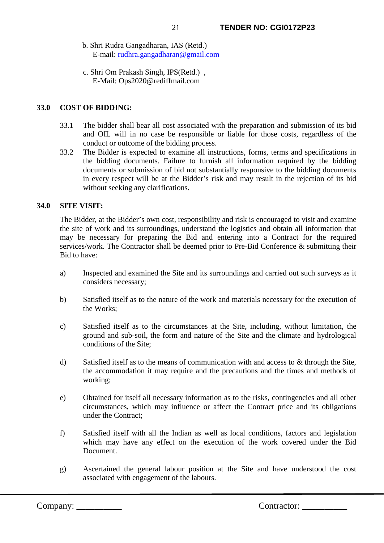- b. Shri Rudra Gangadharan, IAS (Retd.) E-mail: [rudhra.gangadharan@gmail.com](mailto:rudhra.gangadharan@gmail.com)
- c. Shri Om Prakash Singh, IPS(Retd.) , E-Mail: Ops2020@rediffmail.com

## **33.0 COST OF BIDDING:**

- 33.1 The bidder shall bear all cost associated with the preparation and submission of its bid and OIL will in no case be responsible or liable for those costs, regardless of the conduct or outcome of the bidding process.
- 33.2 The Bidder is expected to examine all instructions, forms, terms and specifications in the bidding documents. Failure to furnish all information required by the bidding documents or submission of bid not substantially responsive to the bidding documents in every respect will be at the Bidder's risk and may result in the rejection of its bid without seeking any clarifications.

#### **34.0 SITE VISIT:**

The Bidder, at the Bidder's own cost, responsibility and risk is encouraged to visit and examine the site of work and its surroundings, understand the logistics and obtain all information that may be necessary for preparing the Bid and entering into a Contract for the required services/work. The Contractor shall be deemed prior to Pre-Bid Conference & submitting their Bid to have:

- a) Inspected and examined the Site and its surroundings and carried out such surveys as it considers necessary;
- b) Satisfied itself as to the nature of the work and materials necessary for the execution of the Works;
- c) Satisfied itself as to the circumstances at the Site, including, without limitation, the ground and sub-soil, the form and nature of the Site and the climate and hydrological conditions of the Site;
- d) Satisfied itself as to the means of communication with and access to  $\&$  through the Site, the accommodation it may require and the precautions and the times and methods of working;
- e) Obtained for itself all necessary information as to the risks, contingencies and all other circumstances, which may influence or affect the Contract price and its obligations under the Contract;
- f) Satisfied itself with all the Indian as well as local conditions, factors and legislation which may have any effect on the execution of the work covered under the Bid Document.
- g) Ascertained the general labour position at the Site and have understood the cost associated with engagement of the labours.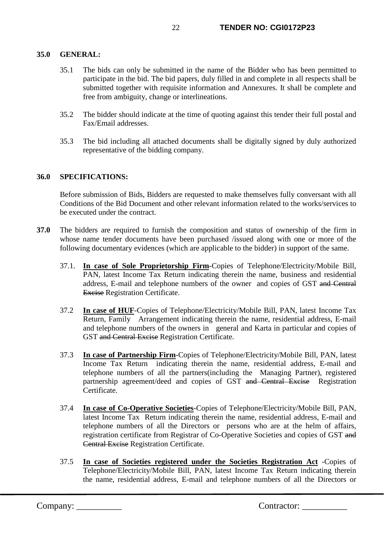## **35.0 GENERAL:**

- 35.1 The bids can only be submitted in the name of the Bidder who has been permitted to participate in the bid. The bid papers, duly filled in and complete in all respects shall be submitted together with requisite information and Annexures. It shall be complete and free from ambiguity, change or interlineations.
- 35.2 The bidder should indicate at the time of quoting against this tender their full postal and Fax/Email addresses.
- 35.3 The bid including all attached documents shall be digitally signed by duly authorized representative of the bidding company.

#### **36.0 SPECIFICATIONS:**

Before submission of Bids, Bidders are requested to make themselves fully conversant with all Conditions of the Bid Document and other relevant information related to the works/services to be executed under the contract.

- **37.0** The bidders are required to furnish the composition and status of ownership of the firm in whose name tender documents have been purchased /issued along with one or more of the following documentary evidences (which are applicable to the bidder) in support of the same.
	- 37.1. **In case of Sole Proprietorship Firm**-Copies of Telephone/Electricity/Mobile Bill, PAN, latest Income Tax Return indicating therein the name, business and residential address, E-mail and telephone numbers of the owner and copies of GST and Central Excise Registration Certificate.
	- 37.2 **In case of HUF**-Copies of Telephone/Electricity/Mobile Bill, PAN, latest Income Tax Return, Family Arrangement indicating therein the name, residential address, E-mail and telephone numbers of the owners in general and Karta in particular and copies of GST and Central Excise Registration Certificate.
	- 37.3 **In case of Partnership Firm**-Copies of Telephone/Electricity/Mobile Bill, PAN, latest Income Tax Return indicating therein the name, residential address, E-mail and telephone numbers of all the partners(including the Managing Partner), registered partnership agreement/deed and copies of GST and Central Excise Registration Certificate.
	- 37.4 **In case of Co-Operative Societies**-Copies of Telephone/Electricity/Mobile Bill, PAN, latest Income Tax Return indicating therein the name, residential address, E-mail and telephone numbers of all the Directors or persons who are at the helm of affairs, registration certificate from Registrar of Co-Operative Societies and copies of GST and Central Excise Registration Certificate.
	- 37.5 **In case of Societies registered under the Societies Registration Act** -Copies of Telephone/Electricity/Mobile Bill, PAN, latest Income Tax Return indicating therein the name, residential address, E-mail and telephone numbers of all the Directors or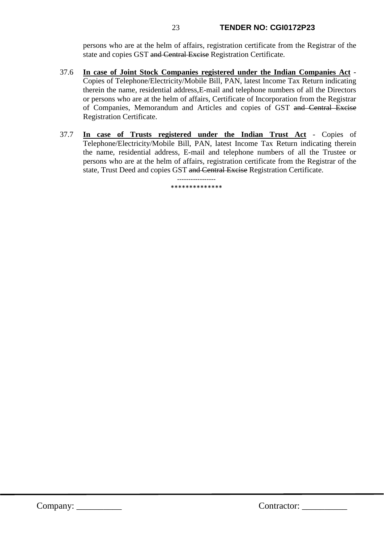## 23 **TENDER NO: CGI0172P23**

persons who are at the helm of affairs, registration certificate from the Registrar of the state and copies GST and Central Excise Registration Certificate.

- 37.6 **In case of Joint Stock Companies registered under the Indian Companies Act** Copies of Telephone/Electricity/Mobile Bill, PAN, latest Income Tax Return indicating therein the name, residential address,E-mail and telephone numbers of all the Directors or persons who are at the helm of affairs, Certificate of Incorporation from the Registrar of Companies, Memorandum and Articles and copies of GST and Central Excise Registration Certificate.
- 37.7 **In case of Trusts registered under the Indian Trust Act** Copies of Telephone/Electricity/Mobile Bill, PAN, latest Income Tax Return indicating therein the name, residential address, E-mail and telephone numbers of all the Trustee or persons who are at the helm of affairs, registration certificate from the Registrar of the state, Trust Deed and copies GST and Central Excise Registration Certificate.

----------------- \*\*\*\*\*\*\*\*\*\*\*\*\*\*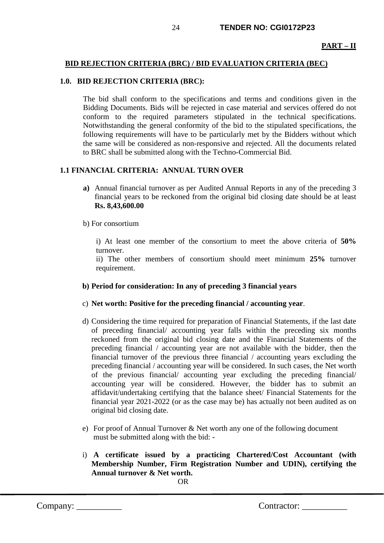## **BID REJECTION CRITERIA (BRC) / BID EVALUATION CRITERIA (BEC)**

#### **1.0. BID REJECTION CRITERIA (BRC):**

The bid shall conform to the specifications and terms and conditions given in the Bidding Documents. Bids will be rejected in case material and services offered do not conform to the required parameters stipulated in the technical specifications. Notwithstanding the general conformity of the bid to the stipulated specifications, the following requirements will have to be particularly met by the Bidders without which the same will be considered as non-responsive and rejected. All the documents related to BRC shall be submitted along with the Techno-Commercial Bid.

#### **1.1 FINANCIAL CRITERIA: ANNUAL TURN OVER**

- **a)** Annual financial turnover as per Audited Annual Reports in any of the preceding 3 financial years to be reckoned from the original bid closing date should be at least **Rs. 8,43,600.00**
- b) For consortium

i) At least one member of the consortium to meet the above criteria of **50%** turnover.

ii) The other members of consortium should meet minimum **25%** turnover requirement.

#### **b) Period for consideration: In any of preceding 3 financial years**

#### c) **Net worth: Positive for the preceding financial / accounting year**.

- d) Considering the time required for preparation of Financial Statements, if the last date of preceding financial/ accounting year falls within the preceding six months reckoned from the original bid closing date and the Financial Statements of the preceding financial / accounting year are not available with the bidder, then the financial turnover of the previous three financial / accounting years excluding the preceding financial / accounting year will be considered. In such cases, the Net worth of the previous financial/ accounting year excluding the preceding financial/ accounting year will be considered. However, the bidder has to submit an affidavit/undertaking certifying that the balance sheet/ Financial Statements for the financial year 2021-2022 (or as the case may be) has actually not been audited as on original bid closing date.
- e) For proof of Annual Turnover & Net worth any one of the following document must be submitted along with the bid: -
- i) **A certificate issued by a practicing Chartered/Cost Accountant (with Membership Number, Firm Registration Number and UDIN), certifying the Annual turnover & Net worth. OR** OR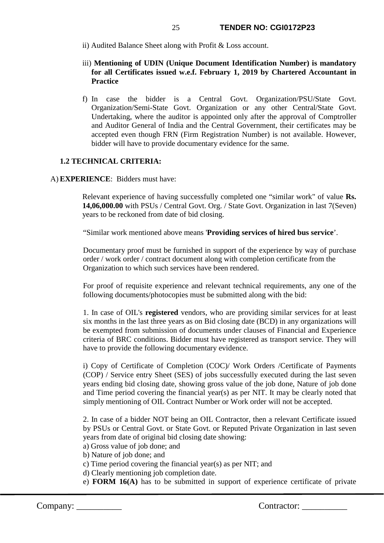- ii) Audited Balance Sheet along with Profit & Loss account.
- iii) **Mentioning of UDIN (Unique Document Identification Number) is mandatory for all Certificates issued w.e.f. February 1, 2019 by Chartered Accountant in Practice**
- f) In case the bidder is a Central Govt. Organization/PSU/State Govt. Organization/Semi-State Govt. Organization or any other Central/State Govt. Undertaking, where the auditor is appointed only after the approval of Comptroller and Auditor General of India and the Central Government, their certificates may be accepted even though FRN (Firm Registration Number) is not available. However, bidder will have to provide documentary evidence for the same.

## **1.2 TECHNICAL CRITERIA:**

## A) **EXPERIENCE**: Bidders must have:

Relevant experience of having successfully completed one "similar work" of value **Rs. 14,06,000.00** with PSUs / Central Govt. Org. / State Govt. Organization in last 7(Seven) years to be reckoned from date of bid closing.

"Similar work mentioned above means '**Providing services of hired bus service**'.

Documentary proof must be furnished in support of the experience by way of purchase order / work order / contract document along with completion certificate from the Organization to which such services have been rendered.

For proof of requisite experience and relevant technical requirements, any one of the following documents/photocopies must be submitted along with the bid:

1. In case of OIL's **registered** vendors, who are providing similar services for at least six months in the last three years as on Bid closing date (BCD) in any organizations will be exempted from submission of documents under clauses of Financial and Experience criteria of BRC conditions. Bidder must have registered as transport service. They will have to provide the following documentary evidence.

i) Copy of Certificate of Completion (COC)/ Work Orders /Certificate of Payments (COP) / Service entry Sheet (SES) of jobs successfully executed during the last seven years ending bid closing date, showing gross value of the job done, Nature of job done and Time period covering the financial year(s) as per NIT. It may be clearly noted that simply mentioning of OIL Contract Number or Work order will not be accepted.

2. In case of a bidder NOT being an OIL Contractor, then a relevant Certificate issued by PSUs or Central Govt. or State Govt. or Reputed Private Organization in last seven years from date of original bid closing date showing:

- a) Gross value of job done; and
- b) Nature of job done; and
- c) Time period covering the financial year(s) as per NIT; and
- d) Clearly mentioning job completion date.
- e) **FORM 16(A)** has to be submitted in support of experience certificate of private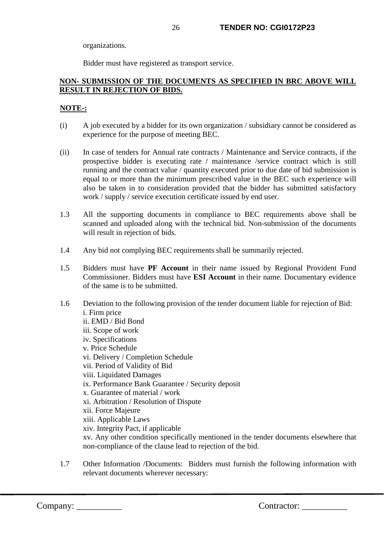organizations.

Bidder must have registered as transport service.

## **NON- SUBMISSION OF THE DOCUMENTS AS SPECIFIED IN BRC ABOVE WILL RESULT IN REJECTION OF BIDS.**

## **NOTE-:**

- (i) A job executed by a bidder for its own organization / subsidiary cannot be considered as experience for the purpose of meeting BEC.
- (ii) In case of tenders for Annual rate contracts / Maintenance and Service contracts, if the prospective bidder is executing rate / maintenance /service contract which is still running and the contract value / quantity executed prior to due date of bid submission is equal to or more than the minimum prescribed value in the BEC such experience will also be taken in to consideration provided that the bidder has submitted satisfactory work / supply / service execution certificate issued by end user.
- 1.3 All the supporting documents in compliance to BEC requirements above shall be scanned and uploaded along with the technical bid. Non-submission of the documents will result in rejection of bids.
- 1.4 Any bid not complying BEC requirements shall be summarily rejected.
- 1.5 Bidders must have **PF Account** in their name issued by Regional Provident Fund Commissioner. Bidders must have **ESI Account** in their name. Documentary evidence of the same is to be submitted.
- 1.6 Deviation to the following provision of the tender document liable for rejection of Bid: i. Firm price ii. EMD / Bid Bond iii. Scope of work iv. Specifications v. Price Schedule vi. Delivery / Completion Schedule vii. Period of Validity of Bid viii. Liquidated Damages ix. Performance Bank Guarantee / Security deposit x. Guarantee of material / work xi. Arbitration / Resolution of Dispute xii. Force Majeure xiii. Applicable Laws xiv. Integrity Pact, if applicable xv. Any other condition specifically mentioned in the tender documents elsewhere that
- 1.7 Other Information /Documents: Bidders must furnish the following information with relevant documents wherever necessary:

non-compliance of the clause lead to rejection of the bid.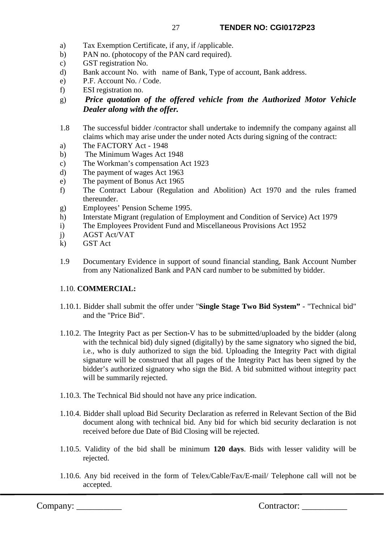- a) Tax Exemption Certificate, if any, if /applicable.
- b) PAN no. (photocopy of the PAN card required).
- c) GST registration No.
- d) Bank account No. with name of Bank, Type of account, Bank address.
- e) P.F. Account No. / Code.
- f) ESI registration no.
- g) *Price quotation of the offered vehicle from the Authorized Motor Vehicle Dealer along with the offer.*
- 1.8 The successful bidder /contractor shall undertake to indemnify the company against all claims which may arise under the under noted Acts during signing of the contract:
- a) The FACTORY Act 1948
- b) The Minimum Wages Act 1948
- c) The Workman's compensation Act 1923
- d) The payment of wages Act 1963
- e) The payment of Bonus Act 1965
- f) The Contract Labour (Regulation and Abolition) Act 1970 and the rules framed thereunder.
- g) Employees' Pension Scheme 1995.
- h) Interstate Migrant (regulation of Employment and Condition of Service) Act 1979
- i) The Employees Provident Fund and Miscellaneous Provisions Act 1952
- j) AGST Act/VAT
- k) GST Act
- 1.9 Documentary Evidence in support of sound financial standing, Bank Account Number from any Nationalized Bank and PAN card number to be submitted by bidder.

## 1.10. **COMMERCIAL:**

- 1.10.1. Bidder shall submit the offer under "**Single Stage Two Bid System"** "Technical bid" and the "Price Bid".
- 1.10.2. The Integrity Pact as per Section-V has to be submitted/uploaded by the bidder (along with the technical bid) duly signed (digitally) by the same signatory who signed the bid, i.e., who is duly authorized to sign the bid. Uploading the Integrity Pact with digital signature will be construed that all pages of the Integrity Pact has been signed by the bidder's authorized signatory who sign the Bid. A bid submitted without integrity pact will be summarily rejected.
- 1.10.3. The Technical Bid should not have any price indication.
- 1.10.4. Bidder shall upload Bid Security Declaration as referred in Relevant Section of the Bid document along with technical bid. Any bid for which bid security declaration is not received before due Date of Bid Closing will be rejected.
- 1.10.5. Validity of the bid shall be minimum **120 days**. Bids with lesser validity will be rejected.
- 1.10.6. Any bid received in the form of Telex/Cable/Fax/E-mail/ Telephone call will not be accepted.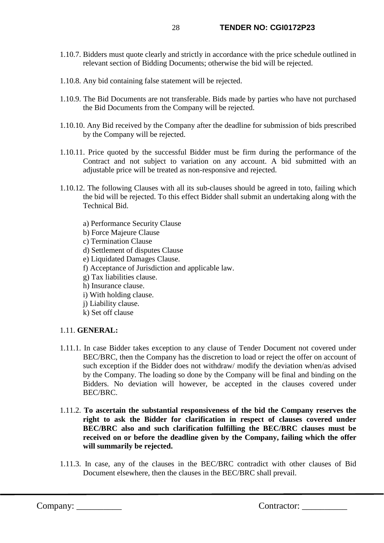- 1.10.7. Bidders must quote clearly and strictly in accordance with the price schedule outlined in relevant section of Bidding Documents; otherwise the bid will be rejected.
- 1.10.8. Any bid containing false statement will be rejected.
- 1.10.9. The Bid Documents are not transferable. Bids made by parties who have not purchased the Bid Documents from the Company will be rejected.
- 1.10.10. Any Bid received by the Company after the deadline for submission of bids prescribed by the Company will be rejected.
- 1.10.11. Price quoted by the successful Bidder must be firm during the performance of the Contract and not subject to variation on any account. A bid submitted with an adjustable price will be treated as non-responsive and rejected.
- 1.10.12. The following Clauses with all its sub-clauses should be agreed in toto, failing which the bid will be rejected. To this effect Bidder shall submit an undertaking along with the Technical Bid.
	- a) Performance Security Clause
	- b) Force Majeure Clause
	- c) Termination Clause
	- d) Settlement of disputes Clause
	- e) Liquidated Damages Clause.
	- f) Acceptance of Jurisdiction and applicable law.
	- g) Tax liabilities clause.
	- h) Insurance clause.
	- i) With holding clause.
	- j) Liability clause.
	- k) Set off clause

#### 1.11. **GENERAL:**

- 1.11.1. In case Bidder takes exception to any clause of Tender Document not covered under BEC/BRC, then the Company has the discretion to load or reject the offer on account of such exception if the Bidder does not withdraw/ modify the deviation when/as advised by the Company. The loading so done by the Company will be final and binding on the Bidders. No deviation will however, be accepted in the clauses covered under BEC/BRC.
- 1.11.2. **To ascertain the substantial responsiveness of the bid the Company reserves the right to ask the Bidder for clarification in respect of clauses covered under BEC/BRC also and such clarification fulfilling the BEC/BRC clauses must be received on or before the deadline given by the Company, failing which the offer will summarily be rejected.**
- 1.11.3. In case, any of the clauses in the BEC/BRC contradict with other clauses of Bid Document elsewhere, then the clauses in the BEC/BRC shall prevail.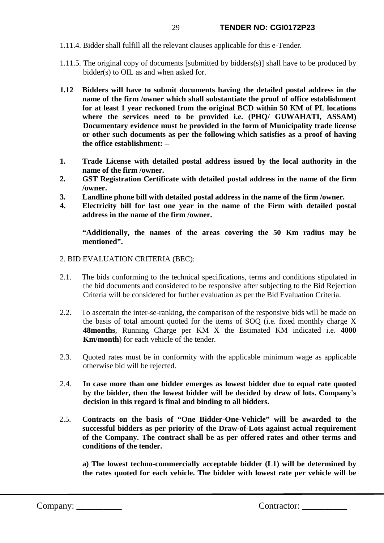- 1.11.4. Bidder shall fulfill all the relevant clauses applicable for this e-Tender.
- 1.11.5. The original copy of documents [submitted by bidders(s)] shall have to be produced by bidder(s) to OIL as and when asked for.
- **1.12 Bidders will have to submit documents having the detailed postal address in the name of the firm /owner which shall substantiate the proof of office establishment for at least 1 year reckoned from the original BCD within 50 KM of PL locations where the services need to be provided i.e. (PHQ/ GUWAHATI, ASSAM) Documentary evidence must be provided in the form of Municipality trade license or other such documents as per the following which satisfies as a proof of having the office establishment: --**
- **1. Trade License with detailed postal address issued by the local authority in the name of the firm /owner.**
- **2. GST Registration Certificate with detailed postal address in the name of the firm /owner.**
- **3. Landline phone bill with detailed postal address in the name of the firm /owner.**
- **4. Electricity bill for last one year in the name of the Firm with detailed postal address in the name of the firm /owner.**

**"Additionally, the names of the areas covering the 50 Km radius may be mentioned".**

- 2. BID EVALUATION CRITERIA (BEC):
- 2.1. The bids conforming to the technical specifications, terms and conditions stipulated in the bid documents and considered to be responsive after subjecting to the Bid Rejection Criteria will be considered for further evaluation as per the Bid Evaluation Criteria.
- 2.2. To ascertain the inter-se-ranking, the comparison of the responsive bids will be made on the basis of total amount quoted for the items of SOQ (i.e. fixed monthly charge X **48months**, Running Charge per KM X the Estimated KM indicated i.e. **4000 Km/month**) for each vehicle of the tender.
- 2.3. Quoted rates must be in conformity with the applicable minimum wage as applicable otherwise bid will be rejected.
- 2.4. **In case more than one bidder emerges as lowest bidder due to equal rate quoted by the bidder, then the lowest bidder will be decided by draw of lots. Company's decision in this regard is final and binding to all bidders.**
- 2.5. **Contracts on the basis of "One Bidder-One-Vehicle" will be awarded to the successful bidders as per priority of the Draw-of-Lots against actual requirement of the Company. The contract shall be as per offered rates and other terms and conditions of the tender.**

**a) The lowest techno-commercially acceptable bidder (L1) will be determined by the rates quoted for each vehicle. The bidder with lowest rate per vehicle will be**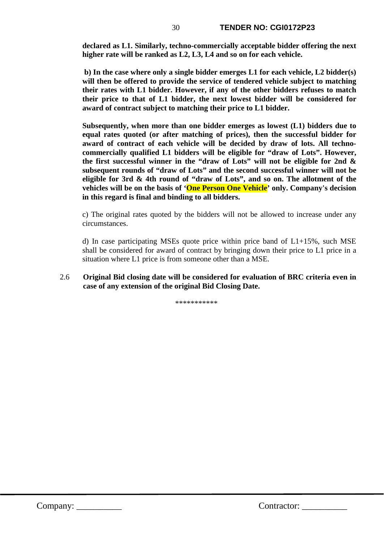**declared as L1. Similarly, techno-commercially acceptable bidder offering the next higher rate will be ranked as L2, L3, L4 and so on for each vehicle.** 

**b) In the case where only a single bidder emerges L1 for each vehicle, L2 bidder(s) will then be offered to provide the service of tendered vehicle subject to matching their rates with L1 bidder. However, if any of the other bidders refuses to match their price to that of L1 bidder, the next lowest bidder will be considered for award of contract subject to matching their price to L1 bidder.** 

**Subsequently, when more than one bidder emerges as lowest (L1) bidders due to equal rates quoted (or after matching of prices), then the successful bidder for award of contract of each vehicle will be decided by draw of lots. All technocommercially qualified L1 bidders will be eligible for "draw of Lots". However, the first successful winner in the "draw of Lots" will not be eligible for 2nd & subsequent rounds of "draw of Lots" and the second successful winner will not be eligible for 3rd & 4th round of "draw of Lots", and so on. The allotment of the vehicles will be on the basis of 'One Person One Vehicle' only. Company's decision in this regard is final and binding to all bidders.**

c) The original rates quoted by the bidders will not be allowed to increase under any circumstances.

d) In case participating MSEs quote price within price band of L1+15%, such MSE shall be considered for award of contract by bringing down their price to L1 price in a situation where L1 price is from someone other than a MSE.

2.6 **Original Bid closing date will be considered for evaluation of BRC criteria even in case of any extension of the original Bid Closing Date.**

\*\*\*\*\*\*\*\*\*\*\*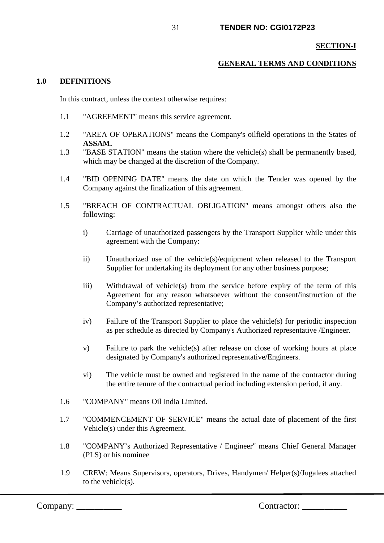#### **SECTION-I**

#### **GENERAL TERMS AND CONDITIONS**

#### **1.0 DEFINITIONS**

In this contract, unless the context otherwise requires:

- 1.1 "AGREEMENT" means this service agreement.
- 1.2 "AREA OF OPERATIONS" means the Company's oilfield operations in the States of **ASSAM.**
- 1.3 "BASE STATION" means the station where the vehicle(s) shall be permanently based, which may be changed at the discretion of the Company.
- 1.4 "BID OPENING DATE" means the date on which the Tender was opened by the Company against the finalization of this agreement.
- 1.5 "BREACH OF CONTRACTUAL OBLIGATION" means amongst others also the following:
	- i) Carriage of unauthorized passengers by the Transport Supplier while under this agreement with the Company:
	- ii) Unauthorized use of the vehicle(s)/equipment when released to the Transport Supplier for undertaking its deployment for any other business purpose;
	- iii) Withdrawal of vehicle(s) from the service before expiry of the term of this Agreement for any reason whatsoever without the consent/instruction of the Company's authorized representative;
	- iv) Failure of the Transport Supplier to place the vehicle(s) for periodic inspection as per schedule as directed by Company's Authorized representative /Engineer.
	- v) Failure to park the vehicle(s) after release on close of working hours at place designated by Company's authorized representative/Engineers.
	- vi) The vehicle must be owned and registered in the name of the contractor during the entire tenure of the contractual period including extension period, if any.
- 1.6 "COMPANY" means Oil India Limited.
- 1.7 "COMMENCEMENT OF SERVICE" means the actual date of placement of the first Vehicle(s) under this Agreement.
- 1.8 "COMPANY's Authorized Representative / Engineer" means Chief General Manager (PLS) or his nominee
- 1.9 CREW: Means Supervisors, operators, Drives, Handymen/ Helper(s)/Jugalees attached to the vehicle(s).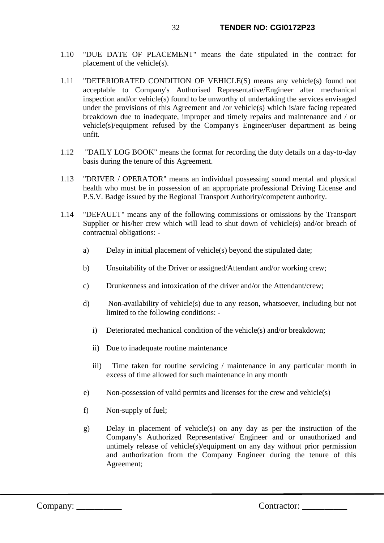- 1.10 "DUE DATE OF PLACEMENT" means the date stipulated in the contract for placement of the vehicle(s).
- 1.11 "DETERIORATED CONDITION OF VEHICLE(S) means any vehicle(s) found not acceptable to Company's Authorised Representative/Engineer after mechanical inspection and/or vehicle(s) found to be unworthy of undertaking the services envisaged under the provisions of this Agreement and /or vehicle(s) which is/are facing repeated breakdown due to inadequate, improper and timely repairs and maintenance and / or vehicle(s)/equipment refused by the Company's Engineer/user department as being unfit.
- 1.12 "DAILY LOG BOOK" means the format for recording the duty details on a day-to-day basis during the tenure of this Agreement.
- 1.13 "DRIVER / OPERATOR" means an individual possessing sound mental and physical health who must be in possession of an appropriate professional Driving License and P.S.V. Badge issued by the Regional Transport Authority/competent authority.
- 1.14 "DEFAULT" means any of the following commissions or omissions by the Transport Supplier or his/her crew which will lead to shut down of vehicle(s) and/or breach of contractual obligations:
	- a) Delay in initial placement of vehicle(s) beyond the stipulated date;
	- b) Unsuitability of the Driver or assigned/Attendant and/or working crew;
	- c) Drunkenness and intoxication of the driver and/or the Attendant/crew;
	- d) Non-availability of vehicle(s) due to any reason, whatsoever, including but not limited to the following conditions:
		- i) Deteriorated mechanical condition of the vehicle(s) and/or breakdown;
		- ii) Due to inadequate routine maintenance
		- iii) Time taken for routine servicing / maintenance in any particular month in excess of time allowed for such maintenance in any month
	- e) Non-possession of valid permits and licenses for the crew and vehicle(s)
	- f) Non-supply of fuel;
	- g) Delay in placement of vehicle(s) on any day as per the instruction of the Company's Authorized Representative/ Engineer and or unauthorized and untimely release of vehicle(s)/equipment on any day without prior permission and authorization from the Company Engineer during the tenure of this Agreement;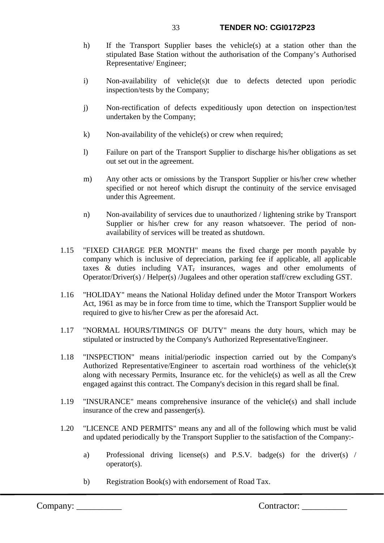- h) If the Transport Supplier bases the vehicle(s) at a station other than the stipulated Base Station without the authorisation of the Company's Authorised Representative/ Engineer;
- i) Non-availability of vehicle(s)t due to defects detected upon periodic inspection/tests by the Company;
- j) Non-rectification of defects expeditiously upon detection on inspection/test undertaken by the Company;
- k) Non-availability of the vehicle(s) or crew when required;
- l) Failure on part of the Transport Supplier to discharge his/her obligations as set out set out in the agreement.
- m) Any other acts or omissions by the Transport Supplier or his/her crew whether specified or not hereof which disrupt the continuity of the service envisaged under this Agreement.
- n) Non-availability of services due to unauthorized / lightening strike by Transport Supplier or his/her crew for any reason whatsoever. The period of nonavailability of services will be treated as shutdown.
- 1.15 "FIXED CHARGE PER MONTH" means the fixed charge per month payable by company which is inclusive of depreciation, parking fee if applicable, all applicable taxes & duties including VAT, insurances, wages and other emoluments of Operator/Driver(s) / Helper(s) /Jugalees and other operation staff/crew excluding GST.
- 1.16 "HOLIDAY" means the National Holiday defined under the Motor Transport Workers Act, 1961 as may be in force from time to time, which the Transport Supplier would be required to give to his/her Crew as per the aforesaid Act.
- 1.17 "NORMAL HOURS/TIMINGS OF DUTY" means the duty hours, which may be stipulated or instructed by the Company's Authorized Representative/Engineer.
- 1.18 "INSPECTION" means initial/periodic inspection carried out by the Company's Authorized Representative/Engineer to ascertain road worthiness of the vehicle(s)t along with necessary Permits, Insurance etc. for the vehicle(s) as well as all the Crew engaged against this contract. The Company's decision in this regard shall be final.
- 1.19 "INSURANCE" means comprehensive insurance of the vehicle(s) and shall include insurance of the crew and passenger(s).
- 1.20 "LICENCE AND PERMITS" means any and all of the following which must be valid and updated periodically by the Transport Supplier to the satisfaction of the Company:
	- a) Professional driving license(s) and P.S.V. badge(s) for the driver(s) / operator(s).
	- b) Registration Book(s) with endorsement of Road Tax.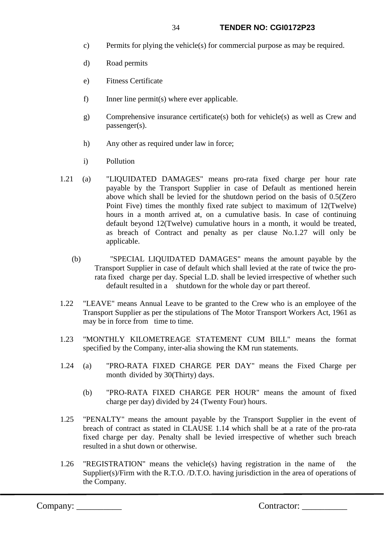- c) Permits for plying the vehicle(s) for commercial purpose as may be required.
- d) Road permits
- e) Fitness Certificate
- f) Inner line permit(s) where ever applicable.
- g) Comprehensive insurance certificate(s) both for vehicle(s) as well as Crew and passenger(s).
- h) Any other as required under law in force;
- i) Pollution
- 1.21 (a) "LIQUIDATED DAMAGES" means pro-rata fixed charge per hour rate payable by the Transport Supplier in case of Default as mentioned herein above which shall be levied for the shutdown period on the basis of 0.5(Zero Point Five) times the monthly fixed rate subject to maximum of 12(Twelve) hours in a month arrived at, on a cumulative basis. In case of continuing default beyond 12(Twelve) cumulative hours in a month, it would be treated, as breach of Contract and penalty as per clause No.1.27 will only be applicable.
	- (b) "SPECIAL LIQUIDATED DAMAGES" means the amount payable by the Transport Supplier in case of default which shall levied at the rate of twice the prorata fixed charge per day. Special L.D. shall be levied irrespective of whether such default resulted in a shutdown for the whole day or part thereof.
- 1.22 "LEAVE" means Annual Leave to be granted to the Crew who is an employee of the Transport Supplier as per the stipulations of The Motor Transport Workers Act, 1961 as may be in force from time to time.
- 1.23 "MONTHLY KILOMETREAGE STATEMENT CUM BILL" means the format specified by the Company, inter-alia showing the KM run statements.
- 1.24 (a) "PRO-RATA FIXED CHARGE PER DAY" means the Fixed Charge per month divided by 30(Thirty) days.
	- (b) "PRO-RATA FIXED CHARGE PER HOUR" means the amount of fixed charge per day) divided by 24 (Twenty Four) hours.
- 1.25 "PENALTY" means the amount payable by the Transport Supplier in the event of breach of contract as stated in CLAUSE 1.14 which shall be at a rate of the pro-rata fixed charge per day. Penalty shall be levied irrespective of whether such breach resulted in a shut down or otherwise.
- 1.26 "REGISTRATION" means the vehicle(s) having registration in the name of the Supplier(s)/Firm with the R.T.O. /D.T.O. having jurisdiction in the area of operations of the Company.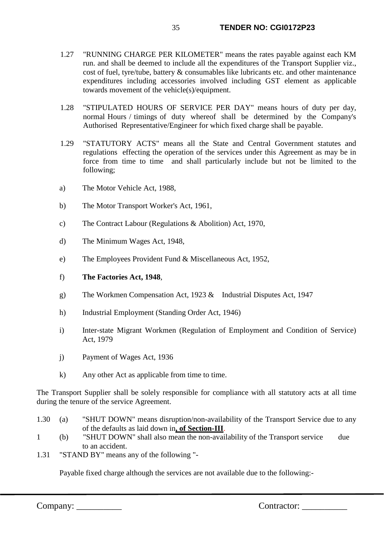- 1.27 "RUNNING CHARGE PER KILOMETER" means the rates payable against each KM run. and shall be deemed to include all the expenditures of the Transport Supplier viz., cost of fuel, tyre/tube, battery & consumables like lubricants etc. and other maintenance expenditures including accessories involved including GST element as applicable towards movement of the vehicle(s)/equipment.
- 1.28 "STIPULATED HOURS OF SERVICE PER DAY" means hours of duty per day, normal Hours / timings of duty whereof shall be determined by the Company's Authorised Representative/Engineer for which fixed charge shall be payable.
- 1.29 "STATUTORY ACTS" means all the State and Central Government statutes and regulations effecting the operation of the services under this Agreement as may be in force from time to time and shall particularly include but not be limited to the following;
- a) The Motor Vehicle Act, 1988,
- b) The Motor Transport Worker's Act, 1961,
- c) The Contract Labour (Regulations & Abolition) Act, 1970,
- d) The Minimum Wages Act, 1948,
- e) The Employees Provident Fund & Miscellaneous Act, 1952,
- f) **The Factories Act, 1948**,
- g) The Workmen Compensation Act, 1923 & Industrial Disputes Act, 1947
- h) Industrial Employment (Standing Order Act, 1946)
- i) Inter-state Migrant Workmen (Regulation of Employment and Condition of Service) Act, 1979
- j) Payment of Wages Act, 1936
- k) Any other Act as applicable from time to time.

The Transport Supplier shall be solely responsible for compliance with all statutory acts at all time during the tenure of the service Agreement.

- 1.30 (a) "SHUT DOWN" means disruption/non-availability of the Transport Service due to any of the defaults as laid down in**, of Section-III**.
- 1 (b) "SHUT DOWN" shall also mean the non-availability of the Transport service due to an accident.
- 1.31 "STAND BY" means any of the following "-

Payable fixed charge although the services are not available due to the following:-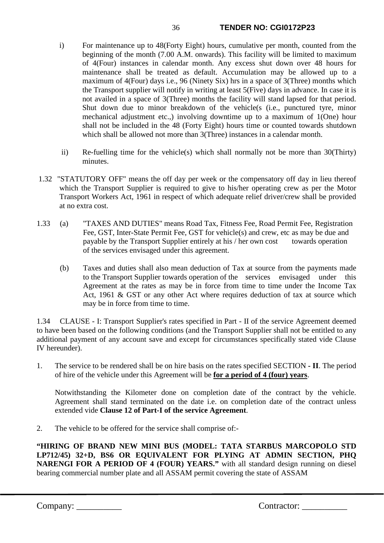- i) For maintenance up to 48(Forty Eight) hours, cumulative per month, counted from the beginning of the month (7.00 A.M. onwards). This facility will be limited to maximum of 4(Four) instances in calendar month. Any excess shut down over 48 hours for maintenance shall be treated as default. Accumulation may be allowed up to a maximum of 4(Four) days i.e., 96 (Ninety Six) hrs in a space of 3(Three) months which the Transport supplier will notify in writing at least 5(Five) days in advance. In case it is not availed in a space of 3(Three) months the facility will stand lapsed for that period. Shut down due to minor breakdown of the vehicle(s (i.e., punctured tyre, minor mechanical adjustment etc.,) involving downtime up to a maximum of 1(One) hour shall not be included in the 48 (Forty Eight) hours time or counted towards shutdown which shall be allowed not more than 3(Three) instances in a calendar month.
- ii) Re-fuelling time for the vehicle(s) which shall normally not be more than 30(Thirty) minutes.
- 1.32 "STATUTORY OFF" means the off day per week or the compensatory off day in lieu thereof which the Transport Supplier is required to give to his/her operating crew as per the Motor Transport Workers Act, 1961 in respect of which adequate relief driver/crew shall be provided at no extra cost.
- 1.33 (a) "TAXES AND DUTIES" means Road Tax, Fitness Fee, Road Permit Fee, Registration Fee, GST, Inter-State Permit Fee, GST for vehicle(s) and crew, etc as may be due and payable by the Transport Supplier entirely at his / her own cost towards operation of the services envisaged under this agreement.
	- (b) Taxes and duties shall also mean deduction of Tax at source from the payments made to the Transport Supplier towards operation of the services envisaged under this Agreement at the rates as may be in force from time to time under the Income Tax Act, 1961 & GST or any other Act where requires deduction of tax at source which may be in force from time to time.

1.34 CLAUSE - I: Transport Supplier's rates specified in Part - II of the service Agreement deemed to have been based on the following conditions (and the Transport Supplier shall not be entitled to any additional payment of any account save and except for circumstances specifically stated vide Clause IV hereunder).

1. The service to be rendered shall be on hire basis on the rates specified SECTION **- II**. The period of hire of the vehicle under this Agreement will be **for a period of 4 (four) years**.

Notwithstanding the Kilometer done on completion date of the contract by the vehicle. Agreement shall stand terminated on the date i.e. on completion date of the contract unless extended vide **Clause 12 of Part-I of the service Agreement**.

2. The vehicle to be offered for the service shall comprise of:-

**"HIRING OF BRAND NEW MINI BUS (MODEL: TATA STARBUS MARCOPOLO STD LP712/45) 32+D, BS6 OR EQUIVALENT FOR PLYING AT ADMIN SECTION, PHQ NARENGI FOR A PERIOD OF 4 (FOUR) YEARS."** with all standard design running on diesel bearing commercial number plate and all ASSAM permit covering the state of ASSAM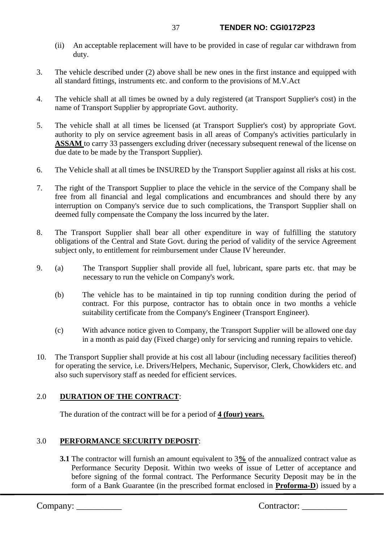- (ii) An acceptable replacement will have to be provided in case of regular car withdrawn from duty.
- 3. The vehicle described under (2) above shall be new ones in the first instance and equipped with all standard fittings, instruments etc. and conform to the provisions of M.V.Act
- 4. The vehicle shall at all times be owned by a duly registered (at Transport Supplier's cost) in the name of Transport Supplier by appropriate Govt. authority.
- 5. The vehicle shall at all times be licensed (at Transport Supplier's cost) by appropriate Govt. authority to ply on service agreement basis in all areas of Company's activities particularly in **ASSAM** to carry 33 passengers excluding driver (necessary subsequent renewal of the license on due date to be made by the Transport Supplier).
- 6. The Vehicle shall at all times be INSURED by the Transport Supplier against all risks at his cost.
- 7. The right of the Transport Supplier to place the vehicle in the service of the Company shall be free from all financial and legal complications and encumbrances and should there by any interruption on Company's service due to such complications, the Transport Supplier shall on deemed fully compensate the Company the loss incurred by the later.
- 8. The Transport Supplier shall bear all other expenditure in way of fulfilling the statutory obligations of the Central and State Govt. during the period of validity of the service Agreement subject only, to entitlement for reimbursement under Clause IV hereunder.
- 9. (a) The Transport Supplier shall provide all fuel, lubricant, spare parts etc. that may be necessary to run the vehicle on Company's work.
	- (b) The vehicle has to be maintained in tip top running condition during the period of contract. For this purpose, contractor has to obtain once in two months a vehicle suitability certificate from the Company's Engineer (Transport Engineer).
	- (c) With advance notice given to Company, the Transport Supplier will be allowed one day in a month as paid day (Fixed charge) only for servicing and running repairs to vehicle.
- 10. The Transport Supplier shall provide at his cost all labour (including necessary facilities thereof) for operating the service, i.e. Drivers/Helpers, Mechanic, Supervisor, Clerk, Chowkiders etc. and also such supervisory staff as needed for efficient services.

# 2.0 **DURATION OF THE CONTRACT**:

The duration of the contract will be for a period of **4 (four) years.** 

# 3.0 **PERFORMANCE SECURITY DEPOSIT**:

**3.1** The contractor will furnish an amount equivalent to 3**%** of the annualized contract value as Performance Security Deposit. Within two weeks of issue of Letter of acceptance and before signing of the formal contract. The Performance Security Deposit may be in the form of a Bank Guarantee (in the prescribed format enclosed in **Proforma-D**) issued by a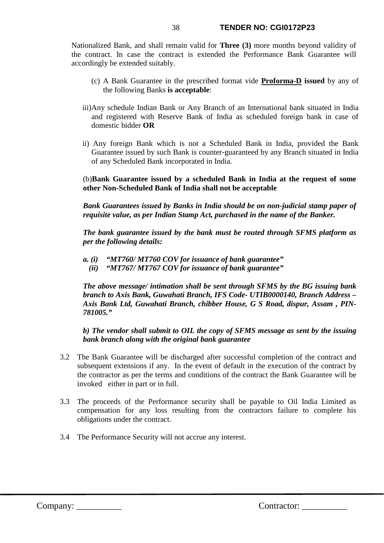Nationalized Bank, and shall remain valid for **Three (3)** more months beyond validity of the contract. In case the contract is extended the Performance Bank Guarantee will accordingly be extended suitably.

- (c) A Bank Guarantee in the prescribed format vide **Proforma-D issued** by any of the following Banks **is acceptable**:
- iii)Any schedule Indian Bank or Any Branch of an International bank situated in India and registered with Reserve Bank of India as scheduled foreign bank in case of domestic bidder **OR**
- ii) Any foreign Bank which is not a Scheduled Bank in India, provided the Bank Guarantee issued by such Bank is counter-guaranteed by any Branch situated in India of any Scheduled Bank incorporated in India.

(b)**Bank Guarantee issued by a scheduled Bank in India at the request of some other Non-Scheduled Bank of India shall not be acceptable**

*Bank Guarantees issued by Banks in India should be on non-judicial stamp paper of requisite value, as per Indian Stamp Act, purchased in the name of the Banker.*

*The bank guarantee issued by the bank must be routed through SFMS platform as per the following details:*

- *a. (i) "MT760/ MT760 COV for issuance of bank guarantee"* 
	- *(ii) "MT767/ MT767 COV for issuance of bank guarantee"*

*The above message/ intimation shall be sent through SFMS by the BG issuing bank branch to Axis Bank, Guwahati Branch, IFS Code- UTIB0000140, Branch Address – Axis Bank Ltd, Guwahati Branch, chibber House, G S Road, dispur, Assam , PIN-781005."* 

 *b) The vendor shall submit to OIL the copy of SFMS message as sent by the issuing bank branch along with the original bank guarantee* 

- 3.2 The Bank Guarantee will be discharged after successful completion of the contract and subsequent extensions if any. In the event of default in the execution of the contract by the contractor as per the terms and conditions of the contract the Bank Guarantee will be invoked either in part or in full.
- 3.3 The proceeds of the Performance security shall be payable to Oil India Limited as compensation for any loss resulting from the contractors failure to complete his obligations under the contract.
- 3.4 The Performance Security will not accrue any interest.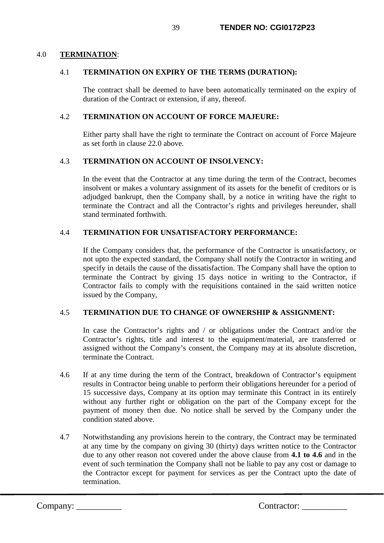### 4.0 **TERMINATION**:

#### 4.1 **TERMINATION ON EXPIRY OF THE TERMS (DURATION):**

The contract shall be deemed to have been automatically terminated on the expiry of duration of the Contract or extension, if any, thereof.

### 4.2 **TERMINATION ON ACCOUNT OF FORCE MAJEURE:**

Either party shall have the right to terminate the Contract on account of Force Majeure as set forth in clause 22.0 above.

### 4.3 **TERMINATION ON ACCOUNT OF INSOLVENCY:**

In the event that the Contractor at any time during the term of the Contract, becomes insolvent or makes a voluntary assignment of its assets for the benefit of creditors or is adjudged bankrupt, then the Company shall, by a notice in writing have the right to terminate the Contract and all the Contractor's rights and privileges hereunder, shall stand terminated forthwith.

### 4.4 **TERMINATION FOR UNSATISFACTORY PERFORMANCE:**

If the Company considers that, the performance of the Contractor is unsatisfactory, or not upto the expected standard, the Company shall notify the Contractor in writing and specify in details the cause of the dissatisfaction. The Company shall have the option to terminate the Contract by giving 15 days notice in writing to the Contractor, if Contractor fails to comply with the requisitions contained in the said written notice issued by the Company,

# 4.5 **TERMINATION DUE TO CHANGE OF OWNERSHIP & ASSIGNMENT:**

In case the Contractor's rights and / or obligations under the Contract and/or the Contractor's rights, title and interest to the equipment/material, are transferred or assigned without the Company's consent, the Company may at its absolute discretion, terminate the Contract.

- 4.6 If at any time during the term of the Contract, breakdown of Contractor's equipment results in Contractor being unable to perform their obligations hereunder for a period of 15 successive days, Company at its option may terminate this Contract in its entirely without any further right or obligation on the part of the Company except for the payment of money then due. No notice shall be served by the Company under the condition stated above.
- 4.7 Notwithstanding any provisions herein to the contrary, the Contract may be terminated at any time by the company on giving 30 (thirty) days written notice to the Contractor due to any other reason not covered under the above clause from **4.1 to 4.6** and in the event of such termination the Company shall not be liable to pay any cost or damage to the Contractor except for payment for services as per the Contract upto the date of termination.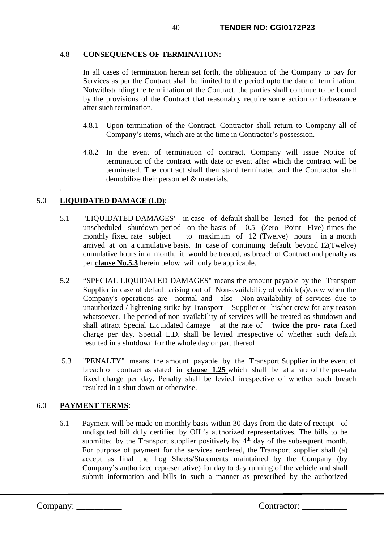# 4.8 **CONSEQUENCES OF TERMINATION:**

In all cases of termination herein set forth, the obligation of the Company to pay for Services as per the Contract shall be limited to the period upto the date of termination. Notwithstanding the termination of the Contract, the parties shall continue to be bound by the provisions of the Contract that reasonably require some action or forbearance after such termination.

- 4.8.1 Upon termination of the Contract, Contractor shall return to Company all of Company's items, which are at the time in Contractor's possession.
- 4.8.2 In the event of termination of contract, Company will issue Notice of termination of the contract with date or event after which the contract will be terminated. The contract shall then stand terminated and the Contractor shall demobilize their personnel & materials.

# 5.0 **LIQUIDATED DAMAGE (LD)**:

.

- 5.1 "LIQUIDATED DAMAGES" in case of default shall be levied for the period of unscheduled shutdown period on the basis of 0.5 (Zero Point Five) times the monthly fixed rate subject to maximum of 12 (Twelve) hours in a month arrived at on a cumulative basis. In case of continuing default beyond 12(Twelve) cumulative hours in a month, it would be treated, as breach of Contract and penalty as per **clause No.5.3** herein below will only be applicable.
- 5.2 "SPECIAL LIQUIDATED DAMAGES" means the amount payable by the Transport Supplier in case of default arising out of Non-availability of vehicle(s)/crew when the Company's operations are normal and also Non-availability of services due to unauthorized / lightening strike by Transport Supplier or his/her crew for any reason whatsoever. The period of non-availability of services will be treated as shutdown and shall attract Special Liquidated damage at the rate of **twice the pro- rata** fixed charge per day. Special L.D. shall be levied irrespective of whether such default resulted in a shutdown for the whole day or part thereof.
- 5.3 "PENALTY" means the amount payable by the Transport Supplier in the event of breach of contract as stated in **clause 1.25** which shall be at a rate of the pro-rata fixed charge per day. Penalty shall be levied irrespective of whether such breach resulted in a shut down or otherwise.

# 6.0 **PAYMENT TERMS**:

6.1 Payment will be made on monthly basis within 30-days from the date of receipt of undisputed bill duly certified by OIL's authorized representatives. The bills to be submitted by the Transport supplier positively by  $4<sup>th</sup>$  day of the subsequent month. For purpose of payment for the services rendered, the Transport supplier shall (a) accept as final the Log Sheets/Statements maintained by the Company (by Company's authorized representative) for day to day running of the vehicle and shall submit information and bills in such a manner as prescribed by the authorized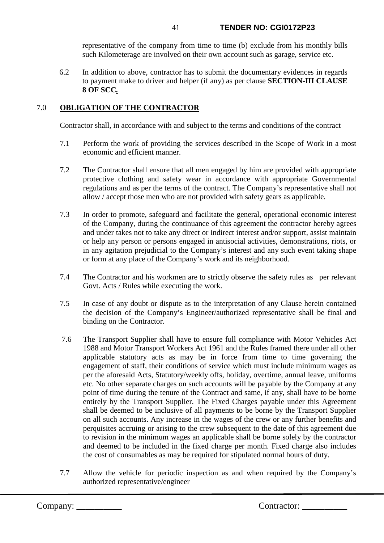representative of the company from time to time (b) exclude from his monthly bills such Kilometerage are involved on their own account such as garage, service etc.

6.2 In addition to above, contractor has to submit the documentary evidences in regards to payment make to driver and helper (if any) as per clause **SECTION-III CLAUSE 8 OF SCC***.* 

# 7.0 **OBLIGATION OF THE CONTRACTOR**

Contractor shall, in accordance with and subject to the terms and conditions of the contract

- 7.1 Perform the work of providing the services described in the Scope of Work in a most economic and efficient manner.
- 7.2 The Contractor shall ensure that all men engaged by him are provided with appropriate protective clothing and safety wear in accordance with appropriate Governmental regulations and as per the terms of the contract. The Company's representative shall not allow / accept those men who are not provided with safety gears as applicable.
- 7.3 In order to promote, safeguard and facilitate the general, operational economic interest of the Company, during the continuance of this agreement the contractor hereby agrees and under takes not to take any direct or indirect interest and/or support, assist maintain or help any person or persons engaged in antisocial activities, demonstrations, riots, or in any agitation prejudicial to the Company's interest and any such event taking shape or form at any place of the Company's work and its neighborhood.
- 7.4 The Contractor and his workmen are to strictly observe the safety rules as per relevant Govt. Acts / Rules while executing the work.
- 7.5 In case of any doubt or dispute as to the interpretation of any Clause herein contained the decision of the Company's Engineer/authorized representative shall be final and binding on the Contractor.
- 7.6 The Transport Supplier shall have to ensure full compliance with Motor Vehicles Act 1988 and Motor Transport Workers Act 1961 and the Rules framed there under all other applicable statutory acts as may be in force from time to time governing the engagement of staff, their conditions of service which must include minimum wages as per the aforesaid Acts, Statutory/weekly offs, holiday, overtime, annual leave, uniforms etc. No other separate charges on such accounts will be payable by the Company at any point of time during the tenure of the Contract and same, if any, shall have to be borne entirely by the Transport Supplier. The Fixed Charges payable under this Agreement shall be deemed to be inclusive of all payments to be borne by the Transport Supplier on all such accounts. Any increase in the wages of the crew or any further benefits and perquisites accruing or arising to the crew subsequent to the date of this agreement due to revision in the minimum wages an applicable shall be borne solely by the contractor and deemed to be included in the fixed charge per month. Fixed charge also includes the cost of consumables as may be required for stipulated normal hours of duty.
- 7.7 Allow the vehicle for periodic inspection as and when required by the Company's authorized representative/engineer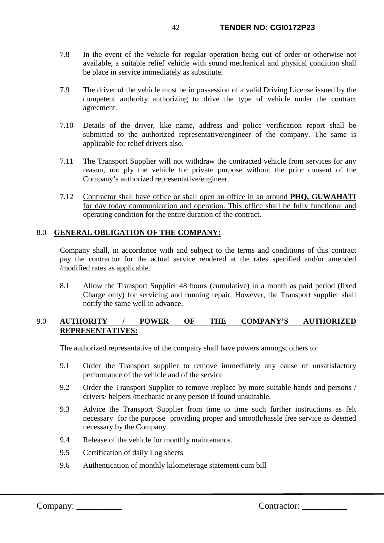- 7.8 In the event of the vehicle for regular operation being out of order or otherwise not available, a suitable relief vehicle with sound mechanical and physical condition shall be place in service immediately as substitute.
- 7.9 The driver of the vehicle must be in possession of a valid Driving License issued by the competent authority authorizing to drive the type of vehicle under the contract agreement.
- 7.10 Details of the driver, like name, address and police verification report shall be submitted to the authorized representative/engineer of the company. The same is applicable for relief drivers also.
- 7.11 The Transport Supplier will not withdraw the contracted vehicle from services for any reason, not ply the vehicle for private purpose without the prior consent of the Company's authorized representative/engineer.
- 7.12 Contractor shall have office or shall open an office in an around **PHQ, GUWAHATI** for day today communication and operation. This office shall be fully functional and operating condition for the entire duration of the contract.

# 8.0 **GENERAL OBLIGATION OF THE COMPANY:**

Company shall, in accordance with and subject to the terms and conditions of this contract pay the contractor for the actual service rendered at the rates specified and/or amended /modified rates as applicable.

8.1 Allow the Transport Supplier 48 hours (cumulative) in a month as paid period (fixed Charge only) for servicing and running repair. However, the Transport supplier shall notify the same well in advance.

# 9.0 **AUTHORITY / POWER OF THE COMPANY'S AUTHORIZED REPRESENTATIVES:**

The authorized representative of the company shall have powers amongst others to:

- 9.1 Order the Transport supplier to remove immediately any cause of unsatisfactory performance of the vehicle and of the service
- 9.2 Order the Transport Supplier to remove /replace by more suitable hands and persons / drivers/ helpers /mechanic or any person if found unsuitable.
- 9.3 Advice the Transport Supplier from time to time such further instructions as felt necessary for the purpose providing proper and smooth/hassle free service as deemed necessary by the Company.
- 9.4 Release of the vehicle for monthly maintenance.
- 9.5 Certification of daily Log sheets
- 9.6 Authentication of monthly kilometerage statement cum bill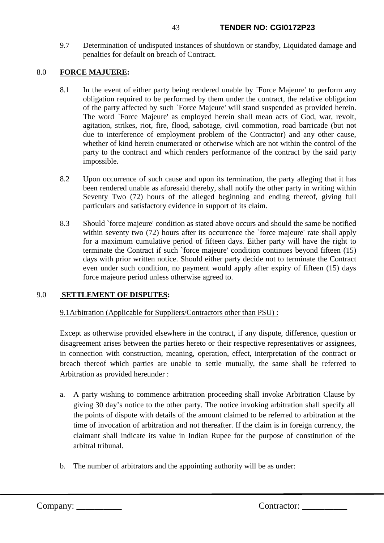9.7 Determination of undisputed instances of shutdown or standby, Liquidated damage and penalties for default on breach of Contract.

# 8.0 **FORCE MAJUERE:**

- 8.1 In the event of either party being rendered unable by `Force Majeure' to perform any obligation required to be performed by them under the contract, the relative obligation of the party affected by such `Force Majeure' will stand suspended as provided herein. The word `Force Majeure' as employed herein shall mean acts of God, war, revolt, agitation, strikes, riot, fire, flood, sabotage, civil commotion, road barricade (but not due to interference of employment problem of the Contractor) and any other cause, whether of kind herein enumerated or otherwise which are not within the control of the party to the contract and which renders performance of the contract by the said party impossible.
- 8.2 Upon occurrence of such cause and upon its termination, the party alleging that it has been rendered unable as aforesaid thereby, shall notify the other party in writing within Seventy Two (72) hours of the alleged beginning and ending thereof, giving full particulars and satisfactory evidence in support of its claim.
- 8.3 Should `force majeure' condition as stated above occurs and should the same be notified within seventy two (72) hours after its occurrence the 'force majeure' rate shall apply for a maximum cumulative period of fifteen days. Either party will have the right to terminate the Contract if such `force majeure' condition continues beyond fifteen (15) days with prior written notice. Should either party decide not to terminate the Contract even under such condition, no payment would apply after expiry of fifteen (15) days force majeure period unless otherwise agreed to.

# 9.0 **SETTLEMENT OF DISPUTES:**

# 9.1Arbitration (Applicable for Suppliers/Contractors other than PSU) :

Except as otherwise provided elsewhere in the contract, if any dispute, difference, question or disagreement arises between the parties hereto or their respective representatives or assignees, in connection with construction, meaning, operation, effect, interpretation of the contract or breach thereof which parties are unable to settle mutually, the same shall be referred to Arbitration as provided hereunder :

- a. A party wishing to commence arbitration proceeding shall invoke Arbitration Clause by giving 30 day's notice to the other party. The notice invoking arbitration shall specify all the points of dispute with details of the amount claimed to be referred to arbitration at the time of invocation of arbitration and not thereafter. If the claim is in foreign currency, the claimant shall indicate its value in Indian Rupee for the purpose of constitution of the arbitral tribunal.
- b. The number of arbitrators and the appointing authority will be as under: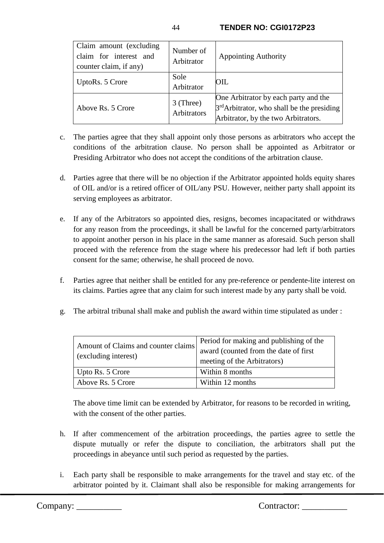| Claim amount (excluding)<br>claim for interest and<br>counter claim, if any) | Number of<br>Arbitrator  | <b>Appointing Authority</b>                                                                                                           |
|------------------------------------------------------------------------------|--------------------------|---------------------------------------------------------------------------------------------------------------------------------------|
| UptoRs. 5 Crore                                                              | Sole<br>Arbitrator       | OIL                                                                                                                                   |
| Above Rs. 5 Crore                                                            | 3 (Three)<br>Arbitrators | One Arbitrator by each party and the<br>3 <sup>rd</sup> Arbitrator, who shall be the presiding<br>Arbitrator, by the two Arbitrators. |

- c. The parties agree that they shall appoint only those persons as arbitrators who accept the conditions of the arbitration clause. No person shall be appointed as Arbitrator or Presiding Arbitrator who does not accept the conditions of the arbitration clause.
- d. Parties agree that there will be no objection if the Arbitrator appointed holds equity shares of OIL and/or is a retired officer of OIL/any PSU. However, neither party shall appoint its serving employees as arbitrator.
- e. If any of the Arbitrators so appointed dies, resigns, becomes incapacitated or withdraws for any reason from the proceedings, it shall be lawful for the concerned party/arbitrators to appoint another person in his place in the same manner as aforesaid. Such person shall proceed with the reference from the stage where his predecessor had left if both parties consent for the same; otherwise, he shall proceed de novo.
- f. Parties agree that neither shall be entitled for any pre-reference or pendente-lite interest on its claims. Parties agree that any claim for such interest made by any party shall be void.
- g. The arbitral tribunal shall make and publish the award within time stipulated as under :

| Amount of Claims and counter claims<br>(excluding interest) | Period for making and publishing of the<br>award (counted from the date of first<br>meeting of the Arbitrators) |
|-------------------------------------------------------------|-----------------------------------------------------------------------------------------------------------------|
| Upto Rs. 5 Crore                                            | Within 8 months                                                                                                 |
| Above Rs. 5 Crore                                           | Within 12 months                                                                                                |

The above time limit can be extended by Arbitrator, for reasons to be recorded in writing, with the consent of the other parties.

- h. If after commencement of the arbitration proceedings, the parties agree to settle the dispute mutually or refer the dispute to conciliation, the arbitrators shall put the proceedings in abeyance until such period as requested by the parties.
- i. Each party shall be responsible to make arrangements for the travel and stay etc. of the arbitrator pointed by it. Claimant shall also be responsible for making arrangements for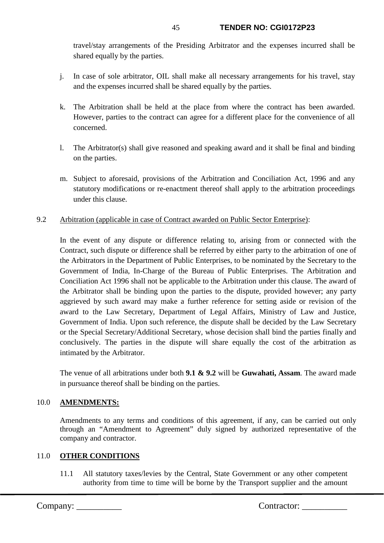travel/stay arrangements of the Presiding Arbitrator and the expenses incurred shall be shared equally by the parties.

- j. In case of sole arbitrator, OIL shall make all necessary arrangements for his travel, stay and the expenses incurred shall be shared equally by the parties.
- k. The Arbitration shall be held at the place from where the contract has been awarded. However, parties to the contract can agree for a different place for the convenience of all concerned.
- l. The Arbitrator(s) shall give reasoned and speaking award and it shall be final and binding on the parties.
- m. Subject to aforesaid, provisions of the Arbitration and Conciliation Act, 1996 and any statutory modifications or re-enactment thereof shall apply to the arbitration proceedings under this clause.
- 9.2 Arbitration (applicable in case of Contract awarded on Public Sector Enterprise):

In the event of any dispute or difference relating to, arising from or connected with the Contract, such dispute or difference shall be referred by either party to the arbitration of one of the Arbitrators in the Department of Public Enterprises, to be nominated by the Secretary to the Government of India, In-Charge of the Bureau of Public Enterprises. The Arbitration and Conciliation Act 1996 shall not be applicable to the Arbitration under this clause. The award of the Arbitrator shall be binding upon the parties to the dispute, provided however; any party aggrieved by such award may make a further reference for setting aside or revision of the award to the Law Secretary, Department of Legal Affairs, Ministry of Law and Justice, Government of India. Upon such reference, the dispute shall be decided by the Law Secretary or the Special Secretary/Additional Secretary, whose decision shall bind the parties finally and conclusively. The parties in the dispute will share equally the cost of the arbitration as intimated by the Arbitrator.

The venue of all arbitrations under both **9.1 & 9.2** will be **Guwahati, Assam**. The award made in pursuance thereof shall be binding on the parties.

# 10.0 **AMENDMENTS:**

Amendments to any terms and conditions of this agreement, if any, can be carried out only through an "Amendment to Agreement" duly signed by authorized representative of the company and contractor.

# 11.0 **OTHER CONDITIONS**

11.1 All statutory taxes/levies by the Central, State Government or any other competent authority from time to time will be borne by the Transport supplier and the amount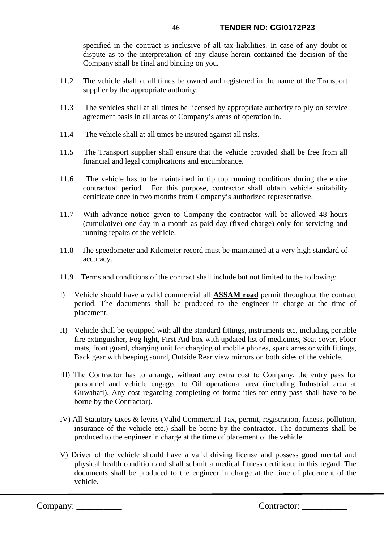specified in the contract is inclusive of all tax liabilities. In case of any doubt or dispute as to the interpretation of any clause herein contained the decision of the Company shall be final and binding on you.

- 11.2 The vehicle shall at all times be owned and registered in the name of the Transport supplier by the appropriate authority.
- 11.3 The vehicles shall at all times be licensed by appropriate authority to ply on service agreement basis in all areas of Company's areas of operation in.
- 11.4 The vehicle shall at all times be insured against all risks.
- 11.5 The Transport supplier shall ensure that the vehicle provided shall be free from all financial and legal complications and encumbrance.
- 11.6 The vehicle has to be maintained in tip top running conditions during the entire contractual period. For this purpose, contractor shall obtain vehicle suitability certificate once in two months from Company's authorized representative.
- 11.7 With advance notice given to Company the contractor will be allowed 48 hours (cumulative) one day in a month as paid day (fixed charge) only for servicing and running repairs of the vehicle.
- 11.8 The speedometer and Kilometer record must be maintained at a very high standard of accuracy.
- 11.9 Terms and conditions of the contract shall include but not limited to the following:
- I) Vehicle should have a valid commercial all **ASSAM road** permit throughout the contract period. The documents shall be produced to the engineer in charge at the time of placement.
- II) Vehicle shall be equipped with all the standard fittings, instruments etc, including portable fire extinguisher, Fog light, First Aid box with updated list of medicines, Seat cover, Floor mats, front guard, charging unit for charging of mobile phones, spark arrestor with fittings, Back gear with beeping sound, Outside Rear view mirrors on both sides of the vehicle.
- III) The Contractor has to arrange, without any extra cost to Company, the entry pass for personnel and vehicle engaged to Oil operational area (including Industrial area at Guwahati). Any cost regarding completing of formalities for entry pass shall have to be borne by the Contractor).
- IV) All Statutory taxes & levies (Valid Commercial Tax, permit, registration, fitness, pollution, insurance of the vehicle etc.) shall be borne by the contractor. The documents shall be produced to the engineer in charge at the time of placement of the vehicle.
- V) Driver of the vehicle should have a valid driving license and possess good mental and physical health condition and shall submit a medical fitness certificate in this regard. The documents shall be produced to the engineer in charge at the time of placement of the vehicle.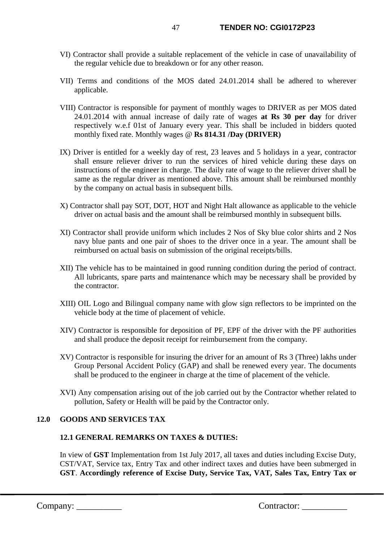- VI) Contractor shall provide a suitable replacement of the vehicle in case of unavailability of the regular vehicle due to breakdown or for any other reason.
- VII) Terms and conditions of the MOS dated 24.01.2014 shall be adhered to wherever applicable.
- VIII) Contractor is responsible for payment of monthly wages to DRIVER as per MOS dated 24.01.2014 with annual increase of daily rate of wages **at Rs 30 per day** for driver respectively w.e.f 01st of January every year. This shall be included in bidders quoted monthly fixed rate. Monthly wages @ **Rs 814.31 /Day (DRIVER)**
- IX) Driver is entitled for a weekly day of rest, 23 leaves and 5 holidays in a year, contractor shall ensure reliever driver to run the services of hired vehicle during these days on instructions of the engineer in charge. The daily rate of wage to the reliever driver shall be same as the regular driver as mentioned above. This amount shall be reimbursed monthly by the company on actual basis in subsequent bills.
- X) Contractor shall pay SOT, DOT, HOT and Night Halt allowance as applicable to the vehicle driver on actual basis and the amount shall be reimbursed monthly in subsequent bills.
- XI) Contractor shall provide uniform which includes 2 Nos of Sky blue color shirts and 2 Nos navy blue pants and one pair of shoes to the driver once in a year. The amount shall be reimbursed on actual basis on submission of the original receipts/bills.
- XII) The vehicle has to be maintained in good running condition during the period of contract. All lubricants, spare parts and maintenance which may be necessary shall be provided by the contractor.
- XIII) OIL Logo and Bilingual company name with glow sign reflectors to be imprinted on the vehicle body at the time of placement of vehicle.
- XIV) Contractor is responsible for deposition of PF, EPF of the driver with the PF authorities and shall produce the deposit receipt for reimbursement from the company.
- XV) Contractor is responsible for insuring the driver for an amount of Rs 3 (Three) lakhs under Group Personal Accident Policy (GAP) and shall be renewed every year. The documents shall be produced to the engineer in charge at the time of placement of the vehicle.
- XVI) Any compensation arising out of the job carried out by the Contractor whether related to pollution, Safety or Health will be paid by the Contractor only.

# **12.0 GOODS AND SERVICES TAX**

### **12.1 GENERAL REMARKS ON TAXES & DUTIES:**

In view of **GST** Implementation from 1st July 2017, all taxes and duties including Excise Duty, CST/VAT, Service tax, Entry Tax and other indirect taxes and duties have been submerged in **GST**. **Accordingly reference of Excise Duty, Service Tax, VAT, Sales Tax, Entry Tax or**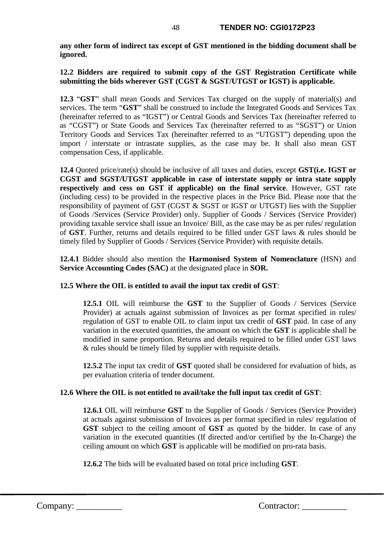**any other form of indirect tax except of GST mentioned in the bidding document shall be ignored.** 

### **12.2 Bidders are required to submit copy of the GST Registration Certificate while submitting the bids wherever GST (CGST & SGST/UTGST or IGST) is applicable.**

**12.3** "**GST**" shall mean Goods and Services Tax charged on the supply of material(s) and services. The term "**GST**" shall be construed to include the Integrated Goods and Services Tax (hereinafter referred to as "IGST") or Central Goods and Services Tax (hereinafter referred to as "CGST") or State Goods and Services Tax (hereinafter referred to as "SGST") or Union Territory Goods and Services Tax (hereinafter referred to as "UTGST") depending upon the import / interstate or intrastate supplies, as the case may be. It shall also mean GST compensation Cess, if applicable.

**12.4** Quoted price/rate(s) should be inclusive of all taxes and duties, except **GST(i.e. IGST or CGST and SGST/UTGST applicable in case of interstate supply or intra state supply respectively and cess on GST if applicable) on the final service**. However, GST rate (including cess) to be provided in the respective places in the Price Bid. Please note that the responsibility of payment of GST (CGST & SGST or IGST or UTGST) lies with the Supplier of Goods /Services (Service Provider) only. Supplier of Goods / Services (Service Provider) providing taxable service shall issue an Invoice/ Bill, as the case may be as per rules/ regulation of **GST**. Further, returns and details required to be filled under GST laws & rules should be timely filed by Supplier of Goods / Services (Service Provider) with requisite details.

**12.4.1** Bidder should also mention the **Harmonised System of Nomenclature** (HSN) and **Service Accounting Codes (SAC)** at the designated place in **SOR.**

# **12.5 Where the OIL is entitled to avail the input tax credit of GST**:

**12.5.1** OIL will reimburse the **GST** to the Supplier of Goods / Services (Service Provider) at actuals against submission of Invoices as per format specified in rules/ regulation of GST to enable OIL to claim input tax credit of **GST** paid. In case of any variation in the executed quantities, the amount on which the **GST** is applicable shall be modified in same proportion. Returns and details required to be filled under GST laws & rules should be timely filed by supplier with requisite details.

**12.5.2** The input tax credit of **GST** quoted shall be considered for evaluation of bids, as per evaluation criteria of tender document.

# **12.6 Where the OIL is not entitled to avail/take the full input tax credit of GST**:

**12.6.1** OIL will reimburse **GST** to the Supplier of Goods / Services (Service Provider) at actuals against submission of Invoices as per format specified in rules/ regulation of **GST** subject to the ceiling amount of **GST** as quoted by the bidder. In case of any variation in the executed quantities (If directed and/or certified by the In-Charge) the ceiling amount on which **GST** is applicable will be modified on pro-rata basis.

**12.6.2** The bids will be evaluated based on total price including **GST**.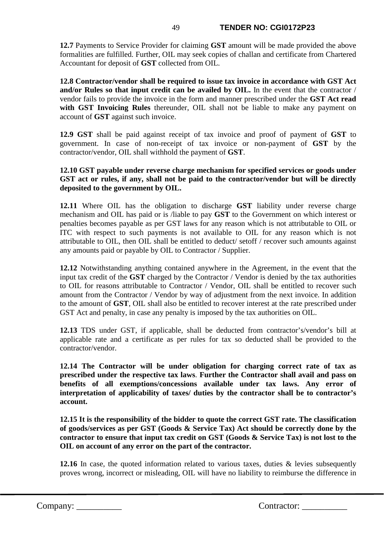**12.7** Payments to Service Provider for claiming **GST** amount will be made provided the above formalities are fulfilled. Further, OIL may seek copies of challan and certificate from Chartered Accountant for deposit of **GST** collected from OIL.

**12.8 Contractor/vendor shall be required to issue tax invoice in accordance with GST Act and/or Rules so that input credit can be availed by OIL.** In the event that the contractor / vendor fails to provide the invoice in the form and manner prescribed under the **GST Act read with GST Invoicing Rules** thereunder, OIL shall not be liable to make any payment on account of **GST** against such invoice.

**12.9 GST** shall be paid against receipt of tax invoice and proof of payment of **GST** to government. In case of non-receipt of tax invoice or non-payment of **GST** by the contractor/vendor, OIL shall withhold the payment of **GST**.

# **12.10 GST payable under reverse charge mechanism for specified services or goods under GST act or rules, if any, shall not be paid to the contractor/vendor but will be directly deposited to the government by OIL.**

**12.11** Where OIL has the obligation to discharge **GST** liability under reverse charge mechanism and OIL has paid or is /liable to pay **GST** to the Government on which interest or penalties becomes payable as per GST laws for any reason which is not attributable to OIL or ITC with respect to such payments is not available to OIL for any reason which is not attributable to OIL, then OIL shall be entitled to deduct/ setoff / recover such amounts against any amounts paid or payable by OIL to Contractor / Supplier.

**12.12** Notwithstanding anything contained anywhere in the Agreement, in the event that the input tax credit of the **GST** charged by the Contractor / Vendor is denied by the tax authorities to OIL for reasons attributable to Contractor / Vendor, OIL shall be entitled to recover such amount from the Contractor / Vendor by way of adjustment from the next invoice. In addition to the amount of **GST**, OIL shall also be entitled to recover interest at the rate prescribed under GST Act and penalty, in case any penalty is imposed by the tax authorities on OIL.

**12.13** TDS under GST, if applicable, shall be deducted from contractor's/vendor's bill at applicable rate and a certificate as per rules for tax so deducted shall be provided to the contractor/vendor.

**12.14 The Contractor will be under obligation for charging correct rate of tax as prescribed under the respective tax laws**. **Further the Contractor shall avail and pass on benefits of all exemptions/concessions available under tax laws. Any error of interpretation of applicability of taxes/ duties by the contractor shall be to contractor's account.**

**12.15 It is the responsibility of the bidder to quote the correct GST rate. The classification of goods/services as per GST (Goods & Service Tax) Act should be correctly done by the contractor to ensure that input tax credit on GST (Goods & Service Tax) is not lost to the OIL on account of any error on the part of the contractor.** 

**12.16** In case, the quoted information related to various taxes, duties & levies subsequently proves wrong, incorrect or misleading, OIL will have no liability to reimburse the difference in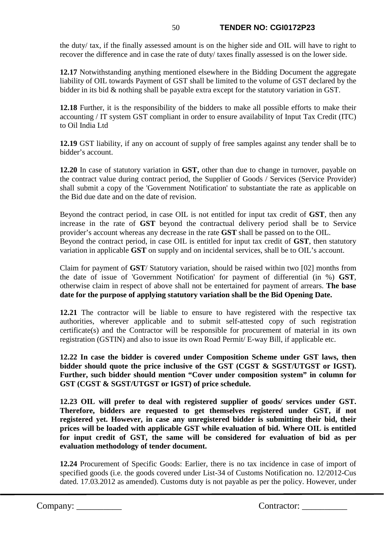the duty/ tax, if the finally assessed amount is on the higher side and OIL will have to right to recover the difference and in case the rate of duty/ taxes finally assessed is on the lower side.

**12.17** Notwithstanding anything mentioned elsewhere in the Bidding Document the aggregate liability of OIL towards Payment of GST shall be limited to the volume of GST declared by the bidder in its bid & nothing shall be payable extra except for the statutory variation in GST.

**12.18** Further, it is the responsibility of the bidders to make all possible efforts to make their accounting / IT system GST compliant in order to ensure availability of Input Tax Credit (ITC) to Oil India Ltd

**12.19** GST liability, if any on account of supply of free samples against any tender shall be to bidder's account.

**12.20** In case of statutory variation in **GST,** other than due to change in turnover, payable on the contract value during contract period, the Supplier of Goods / Services (Service Provider) shall submit a copy of the 'Government Notification' to substantiate the rate as applicable on the Bid due date and on the date of revision.

Beyond the contract period, in case OIL is not entitled for input tax credit of **GST**, then any increase in the rate of **GST** beyond the contractual delivery period shall be to Service provider's account whereas any decrease in the rate **GST** shall be passed on to the OIL. Beyond the contract period, in case OIL is entitled for input tax credit of **GST**, then statutory variation in applicable **GST** on supply and on incidental services, shall be to OIL's account.

Claim for payment of **GST**/ Statutory variation, should be raised within two [02] months from the date of issue of 'Government Notification' for payment of differential (in %) **GST**, otherwise claim in respect of above shall not be entertained for payment of arrears. **The base date for the purpose of applying statutory variation shall be the Bid Opening Date.**

**12.21** The contractor will be liable to ensure to have registered with the respective tax authorities, wherever applicable and to submit self-attested copy of such registration certificate(s) and the Contractor will be responsible for procurement of material in its own registration (GSTIN) and also to issue its own Road Permit/ E-way Bill, if applicable etc.

**12.22 In case the bidder is covered under Composition Scheme under GST laws, then bidder should quote the price inclusive of the GST (CGST & SGST/UTGST or IGST). Further, such bidder should mention "Cover under composition system" in column for GST (CGST & SGST/UTGST or IGST) of price schedule.** 

**12.23 OIL will prefer to deal with registered supplier of goods/ services under GST. Therefore, bidders are requested to get themselves registered under GST, if not registered yet. However, in case any unregistered bidder is submitting their bid, their prices will be loaded with applicable GST while evaluation of bid. Where OIL is entitled for input credit of GST, the same will be considered for evaluation of bid as per evaluation methodology of tender document.**

**12.24** Procurement of Specific Goods: Earlier, there is no tax incidence in case of import of specified goods (i.e. the goods covered under List-34 of Customs Notification no. 12/2012-Cus dated. 17.03.2012 as amended). Customs duty is not payable as per the policy. However, under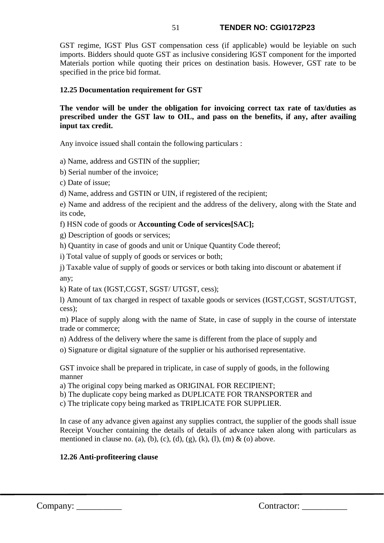GST regime, IGST Plus GST compensation cess (if applicable) would be leyiable on such imports. Bidders should quote GST as inclusive considering IGST component for the imported Materials portion while quoting their prices on destination basis. However, GST rate to be specified in the price bid format.

# **12.25 Documentation requirement for GST**

**The vendor will be under the obligation for invoicing correct tax rate of tax/duties as prescribed under the GST law to OIL, and pass on the benefits, if any, after availing input tax credit.** 

Any invoice issued shall contain the following particulars :

a) Name, address and GSTIN of the supplier;

b) Serial number of the invoice;

c) Date of issue;

d) Name, address and GSTIN or UIN, if registered of the recipient;

e) Name and address of the recipient and the address of the delivery, along with the State and its code,

f) HSN code of goods or **Accounting Code of services[SAC];**

g) Description of goods or services;

h) Quantity in case of goods and unit or Unique Quantity Code thereof;

i) Total value of supply of goods or services or both;

j) Taxable value of supply of goods or services or both taking into discount or abatement if any;

k) Rate of tax (IGST,CGST, SGST/ UTGST, cess);

l) Amount of tax charged in respect of taxable goods or services (IGST,CGST, SGST/UTGST, cess);

m) Place of supply along with the name of State, in case of supply in the course of interstate trade or commerce;

n) Address of the delivery where the same is different from the place of supply and

o) Signature or digital signature of the supplier or his authorised representative.

GST invoice shall be prepared in triplicate, in case of supply of goods, in the following manner

a) The original copy being marked as ORIGINAL FOR RECIPIENT;

b) The duplicate copy being marked as DUPLICATE FOR TRANSPORTER and

c) The triplicate copy being marked as TRIPLICATE FOR SUPPLIER.

In case of any advance given against any supplies contract, the supplier of the goods shall issue Receipt Voucher containing the details of details of advance taken along with particulars as mentioned in clause no. (a), (b), (c), (d), (g), (k), (l), (m) & (o) above.

# **12.26 Anti-profiteering clause**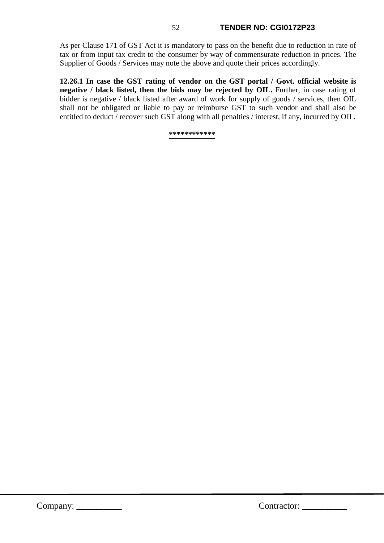As per Clause 171 of GST Act it is mandatory to pass on the benefit due to reduction in rate of tax or from input tax credit to the consumer by way of commensurate reduction in prices. The Supplier of Goods / Services may note the above and quote their prices accordingly.

**12.26.1 In case the GST rating of vendor on the GST portal / Govt. official website is negative / black listed, then the bids may be rejected by OIL.** Further, in case rating of bidder is negative / black listed after award of work for supply of goods / services, then OIL shall not be obligated or liable to pay or reimburse GST to such vendor and shall also be entitled to deduct / recover such GST along with all penalties / interest, if any, incurred by OIL.

#### **\*\*\*\*\*\*\*\*\*\*\*\***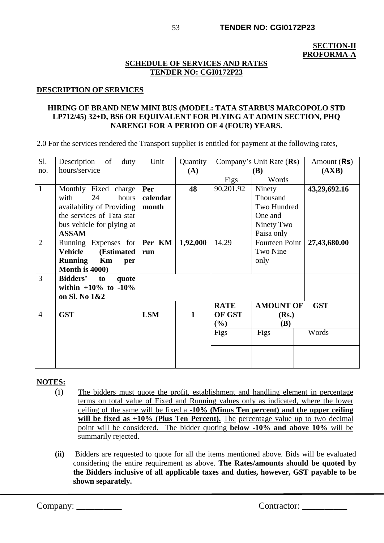#### **SECTION-II PROFORMA-A**

# **SCHEDULE OF SERVICES AND RATES TENDER NO: CGI0172P23**

#### **DESCRIPTION OF SERVICES**

#### **HIRING OF BRAND NEW MINI BUS (MODEL: TATA STARBUS MARCOPOLO STD LP712/45) 32+D, BS6 OR EQUIVALENT FOR PLYING AT ADMIN SECTION, PHQ NARENGI FOR A PERIOD OF 4 (FOUR) YEARS.**

2.0 For the services rendered the Transport supplier is entitled for payment at the following rates,

| S1.            | Description<br>of<br>duty            | Unit       | Quantity     |             | Company's Unit Rate (Rs) | Amount $(Rs)$ |
|----------------|--------------------------------------|------------|--------------|-------------|--------------------------|---------------|
| no.            | hours/service                        |            | (A)          | <b>(B)</b>  |                          | (AXB)         |
|                |                                      |            |              | Figs        | Words                    |               |
| $\mathbf{1}$   | Monthly Fixed charge                 | Per        | 48           | 90,201.92   | Ninety                   | 43,29,692.16  |
|                | with<br>24<br>hours                  | calendar   |              |             | Thousand                 |               |
|                | availability of Providing            | month      |              |             | Two Hundred              |               |
|                | the services of Tata star            |            |              |             | One and                  |               |
|                | bus vehicle for plying at            |            |              |             | Ninety Two               |               |
|                | <b>ASSAM</b>                         |            |              |             | Paisa only               |               |
| $\overline{2}$ | Running Expenses for                 | Per KM     | 1,92,000     | 14.29       | Fourteen Point           | 27,43,680.00  |
|                | <b>Vehicle</b><br><b>(Estimated)</b> | run        |              |             | Two Nine                 |               |
|                | <b>Running</b><br>Km<br>per          |            |              |             | only                     |               |
|                | Month is 4000)                       |            |              |             |                          |               |
| 3              | Bidders'<br>to<br>quote              |            |              |             |                          |               |
|                | within $+10\%$ to $-10\%$            |            |              |             |                          |               |
|                | on Sl. No 1&2                        |            |              |             |                          |               |
|                |                                      |            |              | <b>RATE</b> | <b>AMOUNT OF</b>         | <b>GST</b>    |
| $\overline{4}$ | <b>GST</b>                           | <b>LSM</b> | $\mathbf{1}$ | OF GST      | (Rs.)                    |               |
|                |                                      |            |              | $(\%)$      | <b>(B)</b>               |               |
|                |                                      |            |              | Figs        | Figs                     | Words         |
|                |                                      |            |              |             |                          |               |
|                |                                      |            |              |             |                          |               |
|                |                                      |            |              |             |                          |               |

# **NOTES:**

- (i) The bidders must quote the profit, establishment and handling element in percentage terms on total value of Fixed and Running values only as indicated, where the lower ceiling of the same will be fixed a **-10% (Minus Ten percent) and the upper ceiling**  will be fixed as  $+10\%$  (Plus Ten Percent). The percentage value up to two decimal point will be considered. The bidder quoting **below -10% and above 10%** will be summarily rejected.
- **(ii)** Bidders are requested to quote for all the items mentioned above. Bids will be evaluated considering the entire requirement as above. **The Rates/amounts should be quoted by the Bidders inclusive of all applicable taxes and duties, however, GST payable to be shown separately.**

Company: \_\_\_\_\_\_\_\_\_\_ Contractor: \_\_\_\_\_\_\_\_\_\_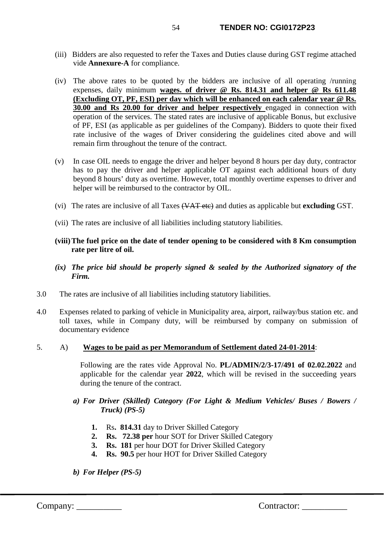- (iii) Bidders are also requested to refer the Taxes and Duties clause during GST regime attached vide **Annexure-A** for compliance.
- (iv) The above rates to be quoted by the bidders are inclusive of all operating /running expenses, daily minimum **wages. of driver @ Rs. 814.31 and helper @ Rs 611.48 (Excluding OT, PF, ESI) per day which will be enhanced on each calendar year @ Rs. 30.00 and Rs 20.00 for driver and helper respectively** engaged in connection with operation of the services. The stated rates are inclusive of applicable Bonus, but exclusive of PF, ESI (as applicable as per guidelines of the Company). Bidders to quote their fixed rate inclusive of the wages of Driver considering the guidelines cited above and will remain firm throughout the tenure of the contract.
- (v) In case OIL needs to engage the driver and helper beyond 8 hours per day duty, contractor has to pay the driver and helper applicable OT against each additional hours of duty beyond 8 hours' duty as overtime. However, total monthly overtime expenses to driver and helper will be reimbursed to the contractor by OIL.
- (vi) The rates are inclusive of all Taxes (VAT etc) and duties as applicable but **excluding** GST.
- (vii) The rates are inclusive of all liabilities including statutory liabilities.
- **(viii)The fuel price on the date of tender opening to be considered with 8 Km consumption rate per litre of oil.**
- *(ix) The price bid should be properly signed & sealed by the Authorized signatory of the Firm.*
- 3.0 The rates are inclusive of all liabilities including statutory liabilities.
- 4.0 Expenses related to parking of vehicle in Municipality area, airport, railway/bus station etc. and toll taxes, while in Company duty, will be reimbursed by company on submission of documentary evidence
- 5. A) **Wages to be paid as per Memorandum of Settlement dated 24-01-2014**:

Following are the rates vide Approval No. **PL/ADMIN/2/3-17/491 of 02.02.2022** and applicable for the calendar year **2022**, which will be revised in the succeeding years during the tenure of the contract.

# *a) For Driver (Skilled) Category (For Light & Medium Vehicles/ Buses / Bowers / Truck) (PS-5)*

- **1.** Rs**. 814.31** day to Driver Skilled Category
- **2. Rs. 72.38 per** hour SOT for Driver Skilled Category
- **3. Rs. 181** per hour DOT for Driver Skilled Category
- **4. Rs. 90.5** per hour HOT for Driver Skilled Category

*b) For Helper (PS-5)*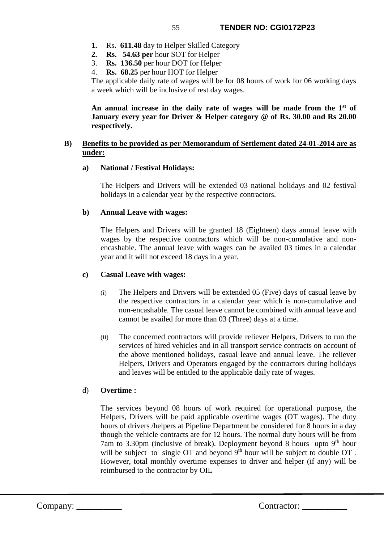- **1.** Rs**. 611.48** day to Helper Skilled Category
- **2. Rs. 54.63 per** hour SOT for Helper
- 3. **Rs. 136.50** per hour DOT for Helper
- 4. **Rs. 68.25** per hour HOT for Helper

The applicable daily rate of wages will be for 08 hours of work for 06 working days a week which will be inclusive of rest day wages.

**An annual increase in the daily rate of wages will be made from the 1st of January every year for Driver & Helper category @ of Rs. 30.00 and Rs 20.00 respectively.** 

# **B) Benefits to be provided as per Memorandum of Settlement dated 24-01-2014 are as under:**

# **a) National / Festival Holidays:**

The Helpers and Drivers will be extended 03 national holidays and 02 festival holidays in a calendar year by the respective contractors.

### **b) Annual Leave with wages:**

The Helpers and Drivers will be granted 18 (Eighteen) days annual leave with wages by the respective contractors which will be non-cumulative and nonencashable. The annual leave with wages can be availed 03 times in a calendar year and it will not exceed 18 days in a year.

#### **c) Casual Leave with wages:**

- (i) The Helpers and Drivers will be extended 05 (Five) days of casual leave by the respective contractors in a calendar year which is non-cumulative and non-encashable. The casual leave cannot be combined with annual leave and cannot be availed for more than 03 (Three) days at a time.
- (ii) The concerned contractors will provide reliever Helpers, Drivers to run the services of hired vehicles and in all transport service contracts on account of the above mentioned holidays, casual leave and annual leave. The reliever Helpers, Drivers and Operators engaged by the contractors during holidays and leaves will be entitled to the applicable daily rate of wages.

# d) **Overtime :**

The services beyond 08 hours of work required for operational purpose, the Helpers, Drivers will be paid applicable overtime wages (OT wages). The duty hours of drivers /helpers at Pipeline Department be considered for 8 hours in a day though the vehicle contracts are for 12 hours. The normal duty hours will be from 7am to 3.30pm (inclusive of break). Deployment beyond 8 hours upto  $9<sup>th</sup>$  hour will be subject to single OT and beyond 9<sup>th</sup> hour will be subject to double OT. However, total monthly overtime expenses to driver and helper (if any) will be reimbursed to the contractor by OIL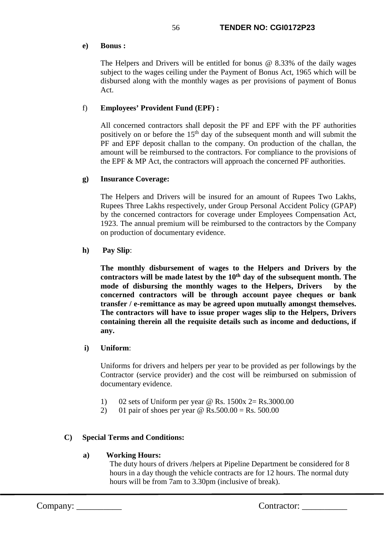# **e) Bonus :**

The Helpers and Drivers will be entitled for bonus @ 8.33% of the daily wages subject to the wages ceiling under the Payment of Bonus Act, 1965 which will be disbursed along with the monthly wages as per provisions of payment of Bonus Act.

# f) **Employees' Provident Fund (EPF) :**

All concerned contractors shall deposit the PF and EPF with the PF authorities positively on or before the  $15<sup>th</sup>$  day of the subsequent month and will submit the PF and EPF deposit challan to the company. On production of the challan, the amount will be reimbursed to the contractors. For compliance to the provisions of the EPF & MP Act, the contractors will approach the concerned PF authorities.

# **g) Insurance Coverage:**

The Helpers and Drivers will be insured for an amount of Rupees Two Lakhs, Rupees Three Lakhs respectively, under Group Personal Accident Policy (GPAP) by the concerned contractors for coverage under Employees Compensation Act, 1923. The annual premium will be reimbursed to the contractors by the Company on production of documentary evidence.

# **h) Pay Slip**:

**The monthly disbursement of wages to the Helpers and Drivers by the contractors will be made latest by the 10th day of the subsequent month. The mode of disbursing the monthly wages to the Helpers, Drivers by the concerned contractors will be through account payee cheques or bank transfer / e-remittance as may be agreed upon mutually amongst themselves. The contractors will have to issue proper wages slip to the Helpers, Drivers containing therein all the requisite details such as income and deductions, if any.** 

# **i) Uniform**:

Uniforms for drivers and helpers per year to be provided as per followings by the Contractor (service provider) and the cost will be reimbursed on submission of documentary evidence.

- 1) 02 sets of Uniform per year @ Rs. 1500x 2= Rs.3000.00
- 2) 01 pair of shoes per year  $\omega$  Rs.500.00 = Rs. 500.00

# **C) Special Terms and Conditions:**

#### **a) Working Hours:**

The duty hours of drivers /helpers at Pipeline Department be considered for 8 hours in a day though the vehicle contracts are for 12 hours. The normal duty hours will be from 7am to 3.30pm (inclusive of break).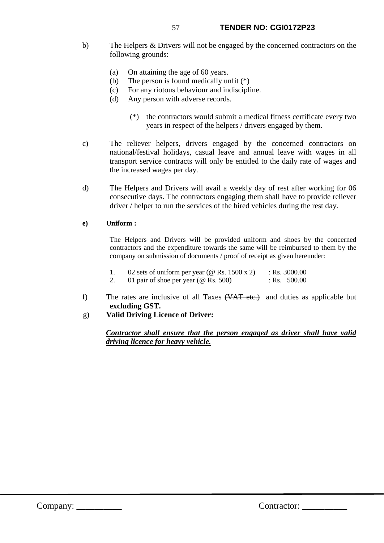- b) The Helpers & Drivers will not be engaged by the concerned contractors on the following grounds:
	- (a) On attaining the age of 60 years.
	- (b) The person is found medically unfit (\*)
	- (c) For any riotous behaviour and indiscipline.
	- (d) Any person with adverse records.
		- (\*) the contractors would submit a medical fitness certificate every two years in respect of the helpers / drivers engaged by them.
- c) The reliever helpers, drivers engaged by the concerned contractors on national/festival holidays, casual leave and annual leave with wages in all transport service contracts will only be entitled to the daily rate of wages and the increased wages per day.
- d) The Helpers and Drivers will avail a weekly day of rest after working for 06 consecutive days. The contractors engaging them shall have to provide reliever driver / helper to run the services of the hired vehicles during the rest day.

#### **e) Uniform :**

The Helpers and Drivers will be provided uniform and shoes by the concerned contractors and the expenditure towards the same will be reimbursed to them by the company on submission of documents / proof of receipt as given hereunder:

- 1. 02 sets of uniform per year (@ Rs. 1500 x 2) : Rs. 3000.00
- 2. 01 pair of shoe per year  $(\textcircled{e}$  Rs. 500 $)$  : Rs. 500.00
- f) The rates are inclusive of all Taxes (VAT etc.) and duties as applicable but **excluding GST.**
- g) **Valid Driving Licence of Driver:**

*Contractor shall ensure that the person engaged as driver shall have valid driving licence for heavy vehicle.*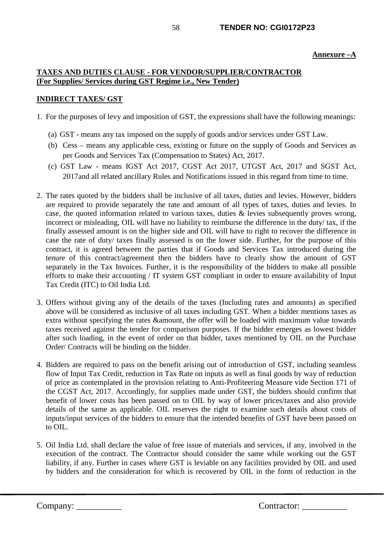# **TAXES AND DUTIES CLAUSE - FOR VENDOR/SUPPLIER/CONTRACTOR (For Supplies/ Services during GST Regime i.e., New Tender)**

### **INDIRECT TAXES/ GST**

- 1. For the purposes of levy and imposition of GST, the expressions shall have the following meanings:
	- (a) GST means any tax imposed on the supply of goods and/or services under GST Law.
	- (b) Cess means any applicable cess, existing or future on the supply of Goods and Services as per Goods and Services Tax (Compensation to States) Act, 2017.
	- (c) GST Law means IGST Act 2017, CGST Act 2017, UTGST Act, 2017 and SGST Act, 2017and all related ancillary Rules and Notifications issued in this regard from time to time.
- 2. The rates quoted by the bidders shall be inclusive of all taxes, duties and levies. However, bidders are required to provide separately the rate and amount of all types of taxes, duties and levies. In case, the quoted information related to various taxes, duties & levies subsequently proves wrong, incorrect or misleading, OIL will have no liability to reimburse the difference in the duty/ tax, if the finally assessed amount is on the higher side and OIL will have to right to recover the difference in case the rate of duty/ taxes finally assessed is on the lower side. Further, for the purpose of this contract, it is agreed between the parties that if Goods and Services Tax introduced during the tenure of this contract/agreement then the bidders have to clearly show the amount of GST separately in the Tax Invoices. Further, it is the responsibility of the bidders to make all possible efforts to make their accounting / IT system GST compliant in order to ensure availability of Input Tax Credit (ITC) to Oil India Ltd.
- 3. Offers without giving any of the details of the taxes (Including rates and amounts) as specified above will be considered as inclusive of all taxes including GST. When a bidder mentions taxes as extra without specifying the rates &amount, the offer will be loaded with maximum value towards taxes received against the tender for comparison purposes. If the bidder emerges as lowest bidder after such loading, in the event of order on that bidder, taxes mentioned by OIL on the Purchase Order/ Contracts will be binding on the bidder.
- 4. Bidders are required to pass on the benefit arising out of introduction of GST, including seamless flow of Input Tax Credit, reduction in Tax Rate on inputs as well as final goods by way of reduction of price as contemplated in the provision relating to Anti-Profiteering Measure vide Section 171 of the CGST Act, 2017. Accordingly, for supplies made under GST, the bidders should confirm that benefit of lower costs has been passed on to OIL by way of lower prices/taxes and also provide details of the same as applicable. OIL reserves the right to examine such details about costs of inputs/input services of the bidders to ensure that the intended benefits of GST have been passed on to OIL.
- 5. Oil India Ltd. shall declare the value of free issue of materials and services, if any, involved in the execution of the contract. The Contractor should consider the same while working out the GST liability, if any. Further in cases where GST is leviable on any facilities provided by OIL and used by bidders and the consideration for which is recovered by OIL in the form of reduction in the

Company: \_\_\_\_\_\_\_\_\_\_ Contractor: \_\_\_\_\_\_\_\_\_\_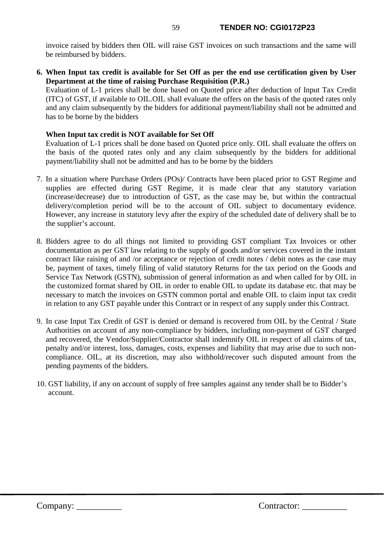invoice raised by bidders then OIL will raise GST invoices on such transactions and the same will be reimbursed by bidders.

**6. When Input tax credit is available for Set Off as per the end use certification given by User Department at the time of raising Purchase Requisition (P.R.)**

Evaluation of L-1 prices shall be done based on Quoted price after deduction of Input Tax Credit (ITC) of GST, if available to OIL.OIL shall evaluate the offers on the basis of the quoted rates only and any claim subsequently by the bidders for additional payment/liability shall not be admitted and has to be borne by the bidders

### **When Input tax credit is NOT available for Set Off**

Evaluation of L-1 prices shall be done based on Quoted price only. OIL shall evaluate the offers on the basis of the quoted rates only and any claim subsequently by the bidders for additional payment/liability shall not be admitted and has to be borne by the bidders

- 7. In a situation where Purchase Orders (POs)/ Contracts have been placed prior to GST Regime and supplies are effected during GST Regime, it is made clear that any statutory variation (increase/decrease) due to introduction of GST, as the case may be, but within the contractual delivery/completion period will be to the account of OIL subject to documentary evidence. However, any increase in statutory levy after the expiry of the scheduled date of delivery shall be to the supplier's account.
- 8. Bidders agree to do all things not limited to providing GST compliant Tax Invoices or other documentation as per GST law relating to the supply of goods and/or services covered in the instant contract like raising of and /or acceptance or rejection of credit notes / debit notes as the case may be, payment of taxes, timely filing of valid statutory Returns for the tax period on the Goods and Service Tax Network (GSTN), submission of general information as and when called for by OIL in the customized format shared by OIL in order to enable OIL to update its database etc. that may be necessary to match the invoices on GSTN common portal and enable OIL to claim input tax credit in relation to any GST payable under this Contract or in respect of any supply under this Contract.
- 9. In case Input Tax Credit of GST is denied or demand is recovered from OIL by the Central / State Authorities on account of any non-compliance by bidders, including non-payment of GST charged and recovered, the Vendor/Supplier/Contractor shall indemnify OIL in respect of all claims of tax, penalty and/or interest, loss, damages, costs, expenses and liability that may arise due to such noncompliance. OIL, at its discretion, may also withhold/recover such disputed amount from the pending payments of the bidders.
- 10. GST liability, if any on account of supply of free samples against any tender shall be to Bidder's account.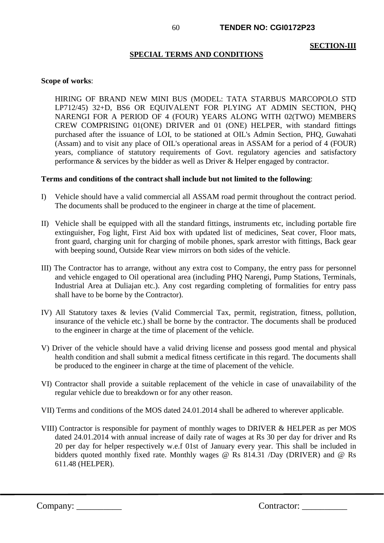#### **SECTION-III**

#### **SPECIAL TERMS AND CONDITIONS**

#### **Scope of works**:

HIRING OF BRAND NEW MINI BUS (MODEL: TATA STARBUS MARCOPOLO STD LP712/45) 32+D, BS6 OR EQUIVALENT FOR PLYING AT ADMIN SECTION, PHQ NARENGI FOR A PERIOD OF 4 (FOUR) YEARS ALONG WITH 02(TWO) MEMBERS CREW COMPRISING 01(ONE) DRIVER and 01 (ONE) HELPER, with standard fittings purchased after the issuance of LOI, to be stationed at OIL's Admin Section, PHQ, Guwahati (Assam) and to visit any place of OIL's operational areas in ASSAM for a period of 4 (FOUR) years, compliance of statutory requirements of Govt. regulatory agencies and satisfactory performance & services by the bidder as well as Driver & Helper engaged by contractor.

#### **Terms and conditions of the contract shall include but not limited to the following**:

- I) Vehicle should have a valid commercial all ASSAM road permit throughout the contract period. The documents shall be produced to the engineer in charge at the time of placement.
- II) Vehicle shall be equipped with all the standard fittings, instruments etc, including portable fire extinguisher, Fog light, First Aid box with updated list of medicines, Seat cover, Floor mats, front guard, charging unit for charging of mobile phones, spark arrestor with fittings, Back gear with beeping sound, Outside Rear view mirrors on both sides of the vehicle.
- III) The Contractor has to arrange, without any extra cost to Company, the entry pass for personnel and vehicle engaged to Oil operational area (including PHQ Narengi, Pump Stations, Terminals, Industrial Area at Duliajan etc.). Any cost regarding completing of formalities for entry pass shall have to be borne by the Contractor).
- IV) All Statutory taxes & levies (Valid Commercial Tax, permit, registration, fitness, pollution, insurance of the vehicle etc.) shall be borne by the contractor. The documents shall be produced to the engineer in charge at the time of placement of the vehicle.
- V) Driver of the vehicle should have a valid driving license and possess good mental and physical health condition and shall submit a medical fitness certificate in this regard. The documents shall be produced to the engineer in charge at the time of placement of the vehicle.
- VI) Contractor shall provide a suitable replacement of the vehicle in case of unavailability of the regular vehicle due to breakdown or for any other reason.
- VII) Terms and conditions of the MOS dated 24.01.2014 shall be adhered to wherever applicable.
- VIII) Contractor is responsible for payment of monthly wages to DRIVER & HELPER as per MOS dated 24.01.2014 with annual increase of daily rate of wages at Rs 30 per day for driver and Rs 20 per day for helper respectively w.e.f 01st of January every year. This shall be included in bidders quoted monthly fixed rate. Monthly wages @ Rs 814.31 /Day (DRIVER) and @ Rs 611.48 (HELPER).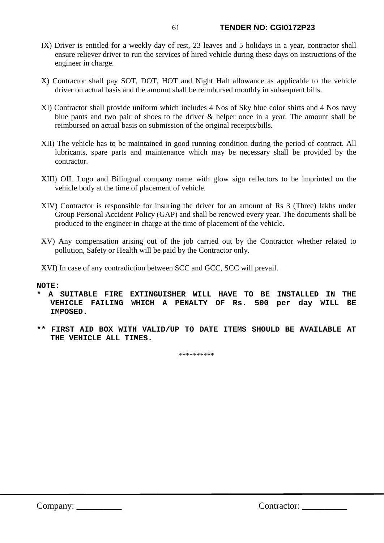- IX) Driver is entitled for a weekly day of rest, 23 leaves and 5 holidays in a year, contractor shall ensure reliever driver to run the services of hired vehicle during these days on instructions of the engineer in charge.
- X) Contractor shall pay SOT, DOT, HOT and Night Halt allowance as applicable to the vehicle driver on actual basis and the amount shall be reimbursed monthly in subsequent bills.
- XI) Contractor shall provide uniform which includes 4 Nos of Sky blue color shirts and 4 Nos navy blue pants and two pair of shoes to the driver & helper once in a year. The amount shall be reimbursed on actual basis on submission of the original receipts/bills.
- XII) The vehicle has to be maintained in good running condition during the period of contract. All lubricants, spare parts and maintenance which may be necessary shall be provided by the contractor.
- XIII) OIL Logo and Bilingual company name with glow sign reflectors to be imprinted on the vehicle body at the time of placement of vehicle.
- XIV) Contractor is responsible for insuring the driver for an amount of Rs 3 (Three) lakhs under Group Personal Accident Policy (GAP) and shall be renewed every year. The documents shall be produced to the engineer in charge at the time of placement of the vehicle.
- XV) Any compensation arising out of the job carried out by the Contractor whether related to pollution, Safety or Health will be paid by the Contractor only.

XVI) In case of any contradiction between SCC and GCC, SCC will prevail.

#### **NOTE:**

- **\* A SUITABLE FIRE EXTINGUISHER WILL HAVE TO BE INSTALLED IN THE VEHICLE FAILING WHICH A PENALTY OF Rs. 500 per day WILL BE IMPOSED.**
- **\*\* FIRST AID BOX WITH VALID/UP TO DATE ITEMS SHOULD BE AVAILABLE AT THE VEHICLE ALL TIMES.**

\*\*\*\*\*\*\*\*\*\*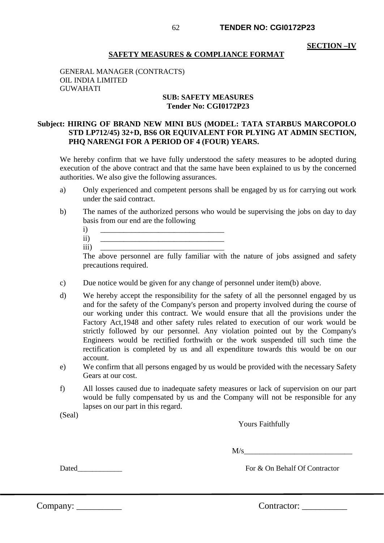#### **SECTION –IV**

#### **SAFETY MEASURES & COMPLIANCE FORMAT**

GENERAL MANAGER (CONTRACTS) OIL INDIA LIMITED GUWAHATI

#### **SUB: SAFETY MEASURES Tender No: CGI0172P23**

### **Subject: HIRING OF BRAND NEW MINI BUS (MODEL: TATA STARBUS MARCOPOLO STD LP712/45) 32+D, BS6 OR EQUIVALENT FOR PLYING AT ADMIN SECTION, PHQ NARENGI FOR A PERIOD OF 4 (FOUR) YEARS.**

We hereby confirm that we have fully understood the safety measures to be adopted during execution of the above contract and that the same have been explained to us by the concerned authorities. We also give the following assurances.

- a) Only experienced and competent persons shall be engaged by us for carrying out work under the said contract.
- b) The names of the authorized persons who would be supervising the jobs on day to day basis from our end are the following

ii) \_\_\_\_\_\_\_\_\_\_\_\_\_\_\_\_\_\_\_\_\_\_\_\_\_\_\_\_\_\_\_\_ iii) \_\_\_\_\_\_\_\_\_\_\_\_\_\_\_\_\_\_\_\_\_\_\_\_\_\_\_\_\_\_\_\_

The above personnel are fully familiar with the nature of jobs assigned and safety precautions required.

- c) Due notice would be given for any change of personnel under item(b) above.
- d) We hereby accept the responsibility for the safety of all the personnel engaged by us and for the safety of the Company's person and property involved during the course of our working under this contract. We would ensure that all the provisions under the Factory Act,1948 and other safety rules related to execution of our work would be strictly followed by our personnel. Any violation pointed out by the Company's Engineers would be rectified forthwith or the work suspended till such time the rectification is completed by us and all expenditure towards this would be on our account.
- e) We confirm that all persons engaged by us would be provided with the necessary Safety Gears at our cost.
- f) All losses caused due to inadequate safety measures or lack of supervision on our part would be fully compensated by us and the Company will not be responsible for any lapses on our part in this regard.

(Seal)

Yours Faithfully

 $M/s$ 

Dated<br>Dated For & On Behalf Of Contractor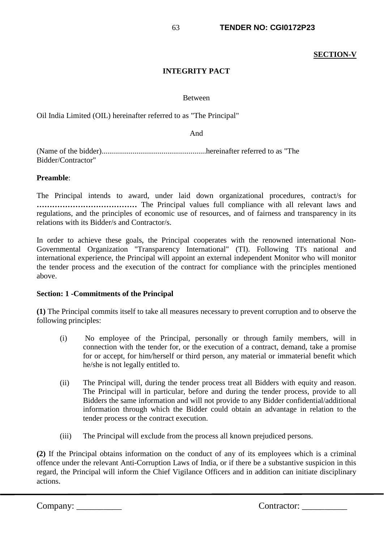#### **SECTION-V**

### **INTEGRITY PACT**

#### Between

Oil India Limited (OIL) hereinafter referred to as "The Principal"

And

(Name of the bidder)......................................................hereinafter referred to as "The Bidder/Contractor"

#### **Preamble**:

The Principal intends to award, under laid down organizational procedures, contract/s for **…………………………………** The Principal values full compliance with all relevant laws and regulations, and the principles of economic use of resources, and of fairness and transparency in its relations with its Bidder/s and Contractor/s.

In order to achieve these goals, the Principal cooperates with the renowned international Non-Governmental Organization "Transparency International" (TI). Following TI's national and international experience, the Principal will appoint an external independent Monitor who will monitor the tender process and the execution of the contract for compliance with the principles mentioned above.

#### **Section: 1 -Commitments of the Principal**

**(1)** The Principal commits itself to take all measures necessary to prevent corruption and to observe the following principles:

- (i) No employee of the Principal, personally or through family members, will in connection with the tender for, or the execution of a contract, demand, take a promise for or accept, for him/herself or third person, any material or immaterial benefit which he/she is not legally entitled to.
- (ii) The Principal will, during the tender process treat all Bidders with equity and reason. The Principal will in particular, before and during the tender process, provide to all Bidders the same information and will not provide to any Bidder confidential/additional information through which the Bidder could obtain an advantage in relation to the tender process or the contract execution.
- (iii) The Principal will exclude from the process all known prejudiced persons.

**(2)** If the Principal obtains information on the conduct of any of its employees which is a criminal offence under the relevant Anti-Corruption Laws of India, or if there be a substantive suspicion in this regard, the Principal will inform the Chief Vigilance Officers and in addition can initiate disciplinary actions.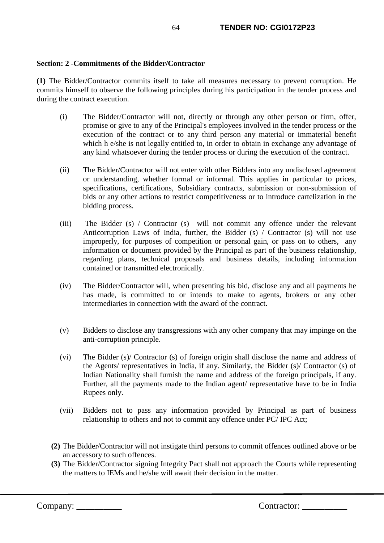### **Section: 2 -Commitments of the Bidder/Contractor**

**(1)** The Bidder/Contractor commits itself to take all measures necessary to prevent corruption. He commits himself to observe the following principles during his participation in the tender process and during the contract execution.

- (i) The Bidder/Contractor will not, directly or through any other person or firm, offer, promise or give to any of the Principal's employees involved in the tender process or the execution of the contract or to any third person any material or immaterial benefit which h e/she is not legally entitled to, in order to obtain in exchange any advantage of any kind whatsoever during the tender process or during the execution of the contract.
- (ii) The Bidder/Contractor will not enter with other Bidders into any undisclosed agreement or understanding, whether formal or informal. This applies in particular to prices, specifications, certifications, Subsidiary contracts, submission or non-submission of bids or any other actions to restrict competitiveness or to introduce cartelization in the bidding process.
- (iii) The Bidder (s) / Contractor (s) will not commit any offence under the relevant Anticorruption Laws of India, further, the Bidder (s) / Contractor (s) will not use improperly, for purposes of competition or personal gain, or pass on to others, any information or document provided by the Principal as part of the business relationship, regarding plans, technical proposals and business details, including information contained or transmitted electronically.
- (iv) The Bidder/Contractor will, when presenting his bid, disclose any and all payments he has made, is committed to or intends to make to agents, brokers or any other intermediaries in connection with the award of the contract.
- (v) Bidders to disclose any transgressions with any other company that may impinge on the anti-corruption principle.
- (vi) The Bidder (s)/ Contractor (s) of foreign origin shall disclose the name and address of the Agents/ representatives in India, if any. Similarly, the Bidder (s)/ Contractor (s) of Indian Nationality shall furnish the name and address of the foreign principals, if any. Further, all the payments made to the Indian agent/ representative have to be in India Rupees only.
- (vii) Bidders not to pass any information provided by Principal as part of business relationship to others and not to commit any offence under PC/ IPC Act;
- **(2)** The Bidder/Contractor will not instigate third persons to commit offences outlined above or be an accessory to such offences.
- **(3)** The Bidder/Contractor signing Integrity Pact shall not approach the Courts while representing the matters to IEMs and he/she will await their decision in the matter.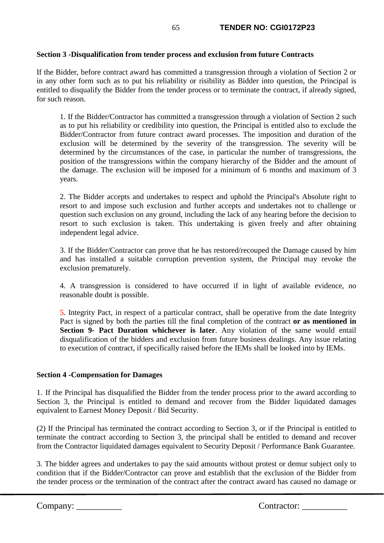### **Section 3 -Disqualification from tender process and exclusion from future Contracts**

If the Bidder, before contract award has committed a transgression through a violation of Section 2 or in any other form such as to put his reliability or risibility as Bidder into question, the Principal is entitled to disqualify the Bidder from the tender process or to terminate the contract, if already signed, for such reason.

1. If the Bidder/Contractor has committed a transgression through a violation of Section 2 such as to put his reliability or credibility into question, the Principal is entitled also to exclude the Bidder/Contractor from future contract award processes. The imposition and duration of the exclusion will be determined by the severity of the transgression. The severity will be determined by the circumstances of the case, in particular the number of transgressions, the position of the transgressions within the company hierarchy of the Bidder and the amount of the damage. The exclusion will be imposed for a minimum of 6 months and maximum of 3 years.

2. The Bidder accepts and undertakes to respect and uphold the Principal's Absolute right to resort to and impose such exclusion and further accepts and undertakes not to challenge or question such exclusion on any ground, including the lack of any hearing before the decision to resort to such exclusion is taken. This undertaking is given freely and after obtaining independent legal advice.

3. If the Bidder/Contractor can prove that he has restored/recouped the Damage caused by him and has installed a suitable corruption prevention system, the Principal may revoke the exclusion prematurely.

4. A transgression is considered to have occurred if in light of available evidence, no reasonable doubt is possible.

5. Integrity Pact, in respect of a particular contract, shall be operative from the date Integrity Pact is signed by both the parties till the final completion of the contract **or as mentioned in Section 9- Pact Duration whichever is later**. Any violation of the same would entail disqualification of the bidders and exclusion from future business dealings. Any issue relating to execution of contract, if specifically raised before the IEMs shall be looked into by IEMs.

#### **Section 4 -Compensation for Damages**

1. If the Principal has disqualified the Bidder from the tender process prior to the award according to Section 3, the Principal is entitled to demand and recover from the Bidder liquidated damages equivalent to Earnest Money Deposit / Bid Security.

(2) If the Principal has terminated the contract according to Section 3, or if the Principal is entitled to terminate the contract according to Section 3, the principal shall be entitled to demand and recover from the Contractor liquidated damages equivalent to Security Deposit / Performance Bank Guarantee.

3. The bidder agrees and undertakes to pay the said amounts without protest or demur subject only to condition that if the Bidder/Contractor can prove and establish that the exclusion of the Bidder from the tender process or the termination of the contract after the contract award has caused no damage or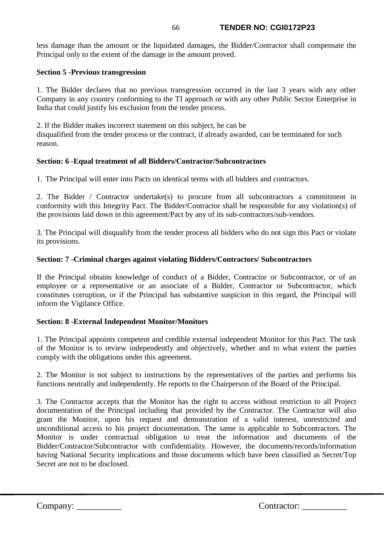less damage than the amount or the liquidated damages, the Bidder/Contractor shall compensate the Principal only to the extent of the damage in the amount proved.

### **Section 5 -Previous transgression**

1. The Bidder declares that no previous transgression occurred in the last 3 years with any other Company in any country conforming to the TI approach or with any other Public Sector Enterprise in India that could justify his exclusion from the tender process.

2. If the Bidder makes incorrect statement on this subject, he can be

disqualified from the tender process or the contract, if already awarded, can be terminated for such reason.

### **Section: 6 -Equal treatment of all Bidders/Contractor/Subcontractors**

1. The Principal will enter into Pacts on identical terms with all bidders and contractors.

2. The Bidder / Contractor undertake(s) to procure from all subcontractors a commitment in conformity with this Integrity Pact. The Bidder/Contractor shall be responsible for any violation(s) of the provisions laid down in this agreement/Pact by any of its sub-contractors/sub-vendors.

3. The Principal will disqualify from the tender process all bidders who do not sign this Pact or violate its provisions.

### **Section: 7 -Criminal charges against violating Bidders/Contractors/ Subcontractors**

If the Principal obtains knowledge of conduct of a Bidder, Contractor or Subcontractor, or of an employee or a representative or an associate of a Bidder, Contractor or Subcontractor, which constitutes corruption, or if the Principal has substantive suspicion in this regard, the Principal will inform the Vigilance Office.

#### **Section: 8 -External Independent Monitor/Monitors**

1. The Principal appoints competent and credible external independent Monitor for this Pact. The task of the Monitor is to review independently and objectively, whether and to what extent the parties comply with the obligations under this agreement.

2. The Monitor is not subject to instructions by the representatives of the parties and performs his functions neutrally and independently. He reports to the Chairperson of the Board of the Principal.

3. The Contractor accepts that the Monitor has the right to access without restriction to all Project documentation of the Principal including that provided by the Contractor. The Contractor will also grant the Monitor, upon his request and demonstration of a valid interest, unrestricted and unconditional access to his project documentation. The same is applicable to Subcontractors. The Monitor is under contractual obligation to treat the information and documents of the Bidder/Contractor/Subcontractor with confidentiality. However, the documents/records/information having National Security implications and those documents which have been classified as Secret/Top Secret are not to be disclosed.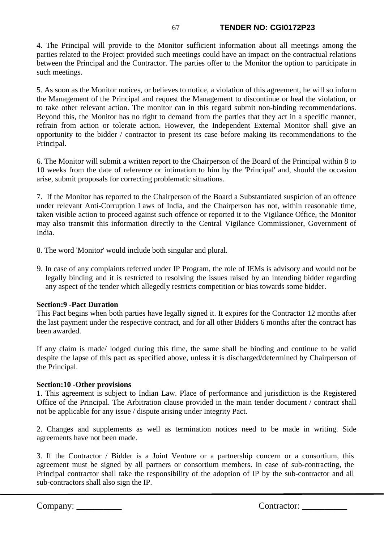4. The Principal will provide to the Monitor sufficient information about all meetings among the parties related to the Project provided such meetings could have an impact on the contractual relations between the Principal and the Contractor. The parties offer to the Monitor the option to participate in such meetings.

5. As soon as the Monitor notices, or believes to notice, a violation of this agreement, he will so inform the Management of the Principal and request the Management to discontinue or heal the violation, or to take other relevant action. The monitor can in this regard submit non-binding recommendations. Beyond this, the Monitor has no right to demand from the parties that they act in a specific manner, refrain from action or tolerate action. However, the Independent External Monitor shall give an opportunity to the bidder / contractor to present its case before making its recommendations to the Principal.

6. The Monitor will submit a written report to the Chairperson of the Board of the Principal within 8 to 10 weeks from the date of reference or intimation to him by the 'Principal' and, should the occasion arise, submit proposals for correcting problematic situations.

7. If the Monitor has reported to the Chairperson of the Board a Substantiated suspicion of an offence under relevant Anti-Corruption Laws of India, and the Chairperson has not, within reasonable time, taken visible action to proceed against such offence or reported it to the Vigilance Office, the Monitor may also transmit this information directly to the Central Vigilance Commissioner, Government of India.

- 8. The word 'Monitor' would include both singular and plural.
- 9. In case of any complaints referred under IP Program, the role of IEMs is advisory and would not be legally binding and it is restricted to resolving the issues raised by an intending bidder regarding any aspect of the tender which allegedly restricts competition or bias towards some bidder.

#### **Section:9 -Pact Duration**

This Pact begins when both parties have legally signed it. It expires for the Contractor 12 months after the last payment under the respective contract, and for all other Bidders 6 months after the contract has been awarded.

If any claim is made/ lodged during this time, the same shall be binding and continue to be valid despite the lapse of this pact as specified above, unless it is discharged/determined by Chairperson of the Principal.

#### **Section:10 -Other provisions**

1. This agreement is subject to Indian Law. Place of performance and jurisdiction is the Registered Office of the Principal. The Arbitration clause provided in the main tender document / contract shall not be applicable for any issue / dispute arising under Integrity Pact.

2. Changes and supplements as well as termination notices need to be made in writing. Side agreements have not been made.

3. If the Contractor / Bidder is a Joint Venture or a partnership concern or a consortium, this agreement must be signed by all partners or consortium members. In case of sub-contracting, the Principal contractor shall take the responsibility of the adoption of IP by the sub-contractor and all sub-contractors shall also sign the IP.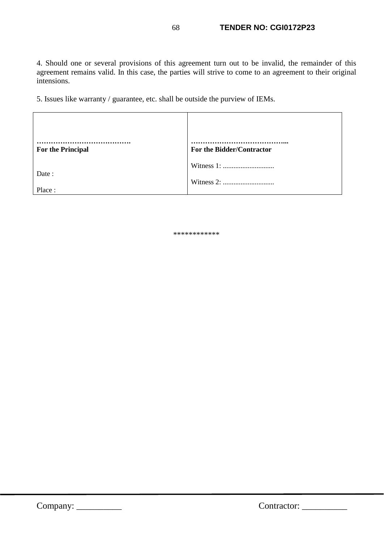4. Should one or several provisions of this agreement turn out to be invalid, the remainder of this agreement remains valid. In this case, the parties will strive to come to an agreement to their original intensions.

5. Issues like warranty / guarantee, etc. shall be outside the purview of IEMs.

| <b>For the Principal</b> | <b>For the Bidder/Contractor</b> |
|--------------------------|----------------------------------|
| Date:                    |                                  |
| Place:                   |                                  |

\*\*\*\*\*\*\*\*\*\*\*\*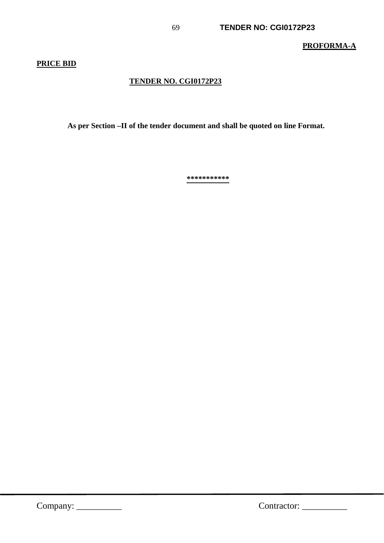**PROFORMA-A**

# **PRICE BID**

# **TENDER NO. CGI0172P23**

 **As per Section –II of the tender document and shall be quoted on line Format.** 

**\*\*\*\*\*\*\*\*\*\*\***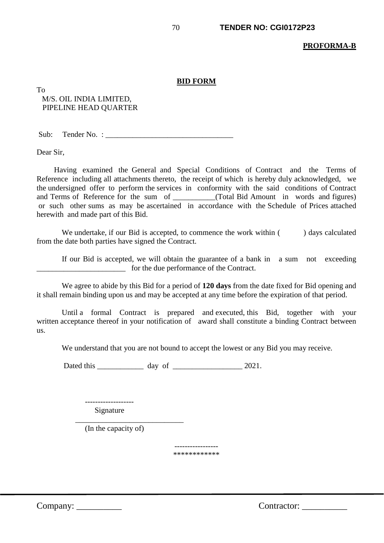#### **PROFORMA-B**

#### **BID FORM**

To M/S. OIL INDIA LIMITED, PIPELINE HEAD QUARTER

 $Sub:$  Tender No. :

Dear Sir,

Having examined the General and Special Conditions of Contract and the Terms of Reference including all attachments thereto, the receipt of which is hereby duly acknowledged, we the undersigned offer to perform the services in conformity with the said conditions of Contract and Terms of Reference for the sum of  $(Total Bid Amount in words and figures)$ or such other sums as may be ascertained in accordance with the Schedule of Prices attached herewith and made part of this Bid.

We undertake, if our Bid is accepted, to commence the work within () days calculated from the date both parties have signed the Contract.

 If our Bid is accepted, we will obtain the guarantee of a bank in a sum not exceeding for the due performance of the Contract.

 We agree to abide by this Bid for a period of **120 days** from the date fixed for Bid opening and it shall remain binding upon us and may be accepted at any time before the expiration of that period.

 Until a formal Contract is prepared and executed, this Bid, together with your written acceptance thereof in your notification of award shall constitute a binding Contract between us.

We understand that you are not bound to accept the lowest or any Bid you may receive.

Dated this day of 2021.

 ------------------- Signature

 $\frac{1}{\sqrt{2}}$  ,  $\frac{1}{\sqrt{2}}$  ,  $\frac{1}{\sqrt{2}}$  ,  $\frac{1}{\sqrt{2}}$  ,  $\frac{1}{\sqrt{2}}$  ,  $\frac{1}{\sqrt{2}}$  ,  $\frac{1}{\sqrt{2}}$  ,  $\frac{1}{\sqrt{2}}$  ,  $\frac{1}{\sqrt{2}}$  ,  $\frac{1}{\sqrt{2}}$  ,  $\frac{1}{\sqrt{2}}$  ,  $\frac{1}{\sqrt{2}}$  ,  $\frac{1}{\sqrt{2}}$  ,  $\frac{1}{\sqrt{2}}$  ,  $\frac{1}{\sqrt{2}}$ (In the capacity of)

> ----------------- \*\*\*\*\*\*\*\*\*\*\*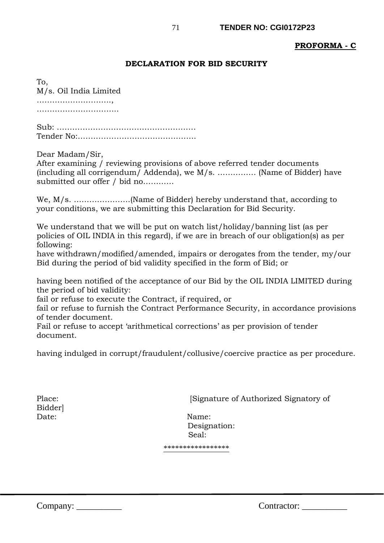### **PROFORMA - C**

#### **DECLARATION FOR BID SECURITY**

To, M/s. Oil India Limited ……………………….., ……………………………………

Sub: ……………………………………………… Tender No:……………………………………….

Dear Madam/Sir,

After examining / reviewing provisions of above referred tender documents (including all corrigendum/ Addenda), we M/s. …………… (Name of Bidder) have submitted our offer / bid no…………

We, M/s. ………………….(Name of Bidder) hereby understand that, according to your conditions, we are submitting this Declaration for Bid Security.

We understand that we will be put on watch list/holiday/banning list (as per policies of OIL INDIA in this regard), if we are in breach of our obligation(s) as per following:

have withdrawn/modified/amended, impairs or derogates from the tender, my/our Bid during the period of bid validity specified in the form of Bid; or

having been notified of the acceptance of our Bid by the OIL INDIA LIMITED during the period of bid validity:

fail or refuse to execute the Contract, if required, or

fail or refuse to furnish the Contract Performance Security, in accordance provisions of tender document.

Fail or refuse to accept 'arithmetical corrections' as per provision of tender document.

having indulged in corrupt/fraudulent/collusive/coercive practice as per procedure.

Bidder]

Place: [Signature of Authorized Signatory of

Date: Name: Designation: Seal:

\*\*\*\*\*\*\*\*\*\*\*\*\*\*\*\*\*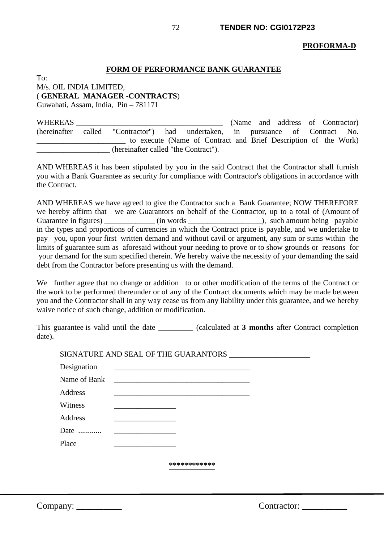#### **PROFORMA-D**

#### **FORM OF PERFORMANCE BANK GUARANTEE**

To: M/s. OIL INDIA LIMITED, ( **GENERAL MANAGER -CONTRACTS**)

Guwahati, Assam, India, Pin – 781171

WHEREAS **EXECUTE:** (Name and address of Contractor) (hereinafter called "Contractor") had undertaken, in pursuance of Contract No. to execute (Name of Contract and Brief Description of the Work) \_\_\_\_\_\_\_\_\_\_\_\_\_\_\_\_\_\_\_ (hereinafter called "the Contract").

AND WHEREAS it has been stipulated by you in the said Contract that the Contractor shall furnish you with a Bank Guarantee as security for compliance with Contractor's obligations in accordance with the Contract.

AND WHEREAS we have agreed to give the Contractor such a Bank Guarantee; NOW THEREFORE we hereby affirm that we are Guarantors on behalf of the Contractor, up to a total of (Amount of Guarantee in figures) \_\_\_\_\_\_\_\_\_\_\_\_ (in words \_\_\_\_\_\_\_\_\_\_\_\_\_\_\_\_\_\_\_), such amount being payable in the types and proportions of currencies in which the Contract price is payable, and we undertake to pay you, upon your first written demand and without cavil or argument, any sum or sums within the limits of guarantee sum as aforesaid without your needing to prove or to show grounds or reasons for your demand for the sum specified therein. We hereby waive the necessity of your demanding the said debt from the Contractor before presenting us with the demand.

We further agree that no change or addition to or other modification of the terms of the Contract or the work to be performed thereunder or of any of the Contract documents which may be made between you and the Contractor shall in any way cease us from any liability under this guarantee, and we hereby waive notice of such change, addition or modification.

This guarantee is valid until the date \_\_\_\_\_\_\_\_\_ (calculated at **3 months** after Contract completion date).

| Designation  |                                                                            |  |
|--------------|----------------------------------------------------------------------------|--|
| Name of Bank | <u> 1980 - Andrea Andrews, amerikansk politik (</u>                        |  |
| Address      |                                                                            |  |
| Witness      |                                                                            |  |
| Address      | the control of the control of the control of the control of the control of |  |
| Date         |                                                                            |  |
| Place        |                                                                            |  |
|              |                                                                            |  |
|              | ske ske ske ske ske ske ske ske ske ske                                    |  |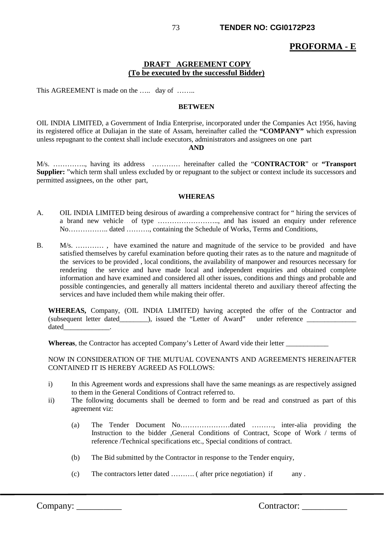# **PROFORMA - E**

### **DRAFT AGREEMENT COPY (To be executed by the successful Bidder)**

This AGREEMENT is made on the ….. day of ……..

#### **BETWEEN**

OIL INDIA LIMITED, a Government of India Enterprise, incorporated under the Companies Act 1956, having its registered office at Duliajan in the state of Assam, hereinafter called the **"COMPANY"** which expression unless repugnant to the context shall include executors, administrators and assignees on one part

#### **AND**

M/s. ………….., having its address ………… hereinafter called the "**CONTRACTOR**" or **"Transport Supplier:** "which term shall unless excluded by or repugnant to the subject or context include its successors and permitted assignees, on the other part,

#### **WHEREAS**

- A. OIL INDIA LIMITED being desirous of awarding a comprehensive contract for " hiring the services of a brand new vehicle of type …………………….., and has issued an enquiry under reference No…………….. dated ………., containing the Schedule of Works, Terms and Conditions,
- B. M/s. ………… , have examined the nature and magnitude of the service to be provided and have satisfied themselves by careful examination before quoting their rates as to the nature and magnitude of the services to be provided , local conditions, the availability of manpower and resources necessary for rendering the service and have made local and independent enquiries and obtained complete information and have examined and considered all other issues, conditions and things and probable and possible contingencies, and generally all matters incidental thereto and auxiliary thereof affecting the services and have included them while making their offer.

**WHEREAS,** Company, (OIL INDIA LIMITED) having accepted the offer of the Contractor and (subsequent letter dated \_\_\_\_\_\_\_), issued the "Letter of Award" under reference \_\_\_\_\_\_\_\_\_\_\_\_\_\_\_\_\_\_\_ dated\_\_\_\_\_\_\_\_\_\_\_\_\_.

**Whereas**, the Contractor has accepted Company's Letter of Award vide their letter \_\_\_\_\_\_\_\_\_\_\_\_

NOW IN CONSIDERATION OF THE MUTUAL COVENANTS AND AGREEMENTS HEREINAFTER CONTAINED IT IS HEREBY AGREED AS FOLLOWS:

- i) In this Agreement words and expressions shall have the same meanings as are respectively assigned to them in the General Conditions of Contract referred to.
- ii) The following documents shall be deemed to form and be read and construed as part of this agreement viz:
	- (a) The Tender Document No…………………dated ………, inter-alia providing the Instruction to the bidder ,General Conditions of Contract, Scope of Work / terms of reference /Technical specifications etc., Special conditions of contract.
	- (b) The Bid submitted by the Contractor in response to the Tender enquiry,
	- (c) The contractors letter dated ………. ( after price negotiation) if any .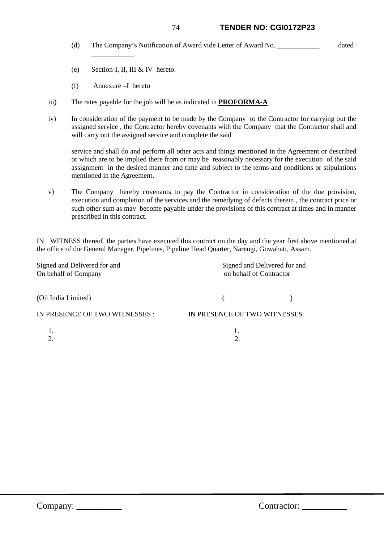### 74 **TENDER NO: CGI0172P23**

- (d) The Company's Notification of Award vide Letter of Award No. \_\_\_\_\_\_\_\_\_\_\_\_ dated
- (e) Section-I, II, III & IV hereto.
- (f) Annexure –I hereto

 $\overline{\phantom{a}}$  ,  $\overline{\phantom{a}}$  ,  $\overline{\phantom{a}}$  ,  $\overline{\phantom{a}}$  ,  $\overline{\phantom{a}}$  ,  $\overline{\phantom{a}}$  ,  $\overline{\phantom{a}}$  ,  $\overline{\phantom{a}}$  ,  $\overline{\phantom{a}}$  ,  $\overline{\phantom{a}}$  ,  $\overline{\phantom{a}}$  ,  $\overline{\phantom{a}}$  ,  $\overline{\phantom{a}}$  ,  $\overline{\phantom{a}}$  ,  $\overline{\phantom{a}}$  ,  $\overline{\phantom{a}}$ 

- iii) The rates payable for the job will be as indicated in **PROFORMA-A**
- iv) In consideration of the payment to be made by the Company to the Contractor for carrying out the assigned service , the Contractor hereby covenants with the Company that the Contractor shall and will carry out the assigned service and complete the said

service and shall do and perform all other acts and things mentioned in the Agreement or described or which are to be implied there from or may be reasonably necessary for the execution of the said assignment in the desired manner and time and subject to the terms and conditions or stipulations mentioned in the Agreement.

v) The Company hereby covenants to pay the Contractor in consideration of the due provision, execution and completion of the services and the remedying of defects therein , the contract price or such other sum as may become payable under the provisions of this contract at times and in manner prescribed in this contract.

IN WITNESS thereof, the parties have executed this contract on the day and the year first above mentioned at the office of the General Manager, Pipelines, Pipeline Head Quarter, Narengi, Guwahati, Assam.

| Signed and Delivered for and<br>On behalf of Company | Signed and Delivered for and<br>on behalf of Contractor |  |  |  |  |
|------------------------------------------------------|---------------------------------------------------------|--|--|--|--|
| (Oil India Limited)                                  |                                                         |  |  |  |  |
| IN PRESENCE OF TWO WITNESSES :                       | IN PRESENCE OF TWO WITNESSES                            |  |  |  |  |
| 2.                                                   | 2.                                                      |  |  |  |  |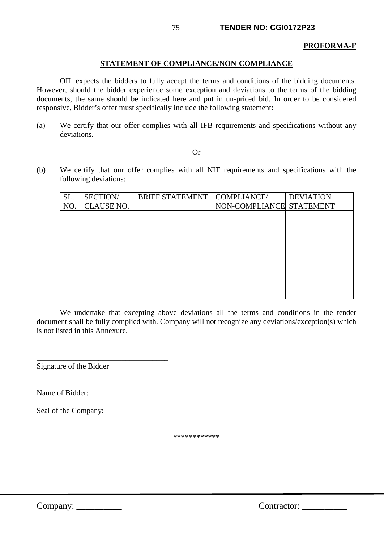#### **PROFORMA-F**

### **STATEMENT OF COMPLIANCE/NON-COMPLIANCE**

OIL expects the bidders to fully accept the terms and conditions of the bidding documents. However, should the bidder experience some exception and deviations to the terms of the bidding documents, the same should be indicated here and put in un-priced bid. In order to be considered responsive, Bidder's offer must specifically include the following statement:

(a) We certify that our offer complies with all IFB requirements and specifications without any deviations.

#### Or

(b) We certify that our offer complies with all NIT requirements and specifications with the following deviations:

| SL. | SECTION/          | <b>BRIEF STATEMENT</b> | <b>COMPLIANCE/</b>       | <b>DEVIATION</b> |
|-----|-------------------|------------------------|--------------------------|------------------|
| NO. | <b>CLAUSE NO.</b> |                        | NON-COMPLIANCE STATEMENT |                  |
|     |                   |                        |                          |                  |
|     |                   |                        |                          |                  |
|     |                   |                        |                          |                  |
|     |                   |                        |                          |                  |
|     |                   |                        |                          |                  |
|     |                   |                        |                          |                  |
|     |                   |                        |                          |                  |
|     |                   |                        |                          |                  |
|     |                   |                        |                          |                  |
|     |                   |                        |                          |                  |

We undertake that excepting above deviations all the terms and conditions in the tender document shall be fully complied with. Company will not recognize any deviations/exception(s) which is not listed in this Annexure.

Signature of the Bidder

Name of Bidder:

\_\_\_\_\_\_\_\_\_\_\_\_\_\_\_\_\_\_\_\_\_\_\_\_\_\_\_\_\_\_\_\_\_\_

Seal of the Company:

----------------- \*\*\*\*\*\*\*\*\*\*\*\*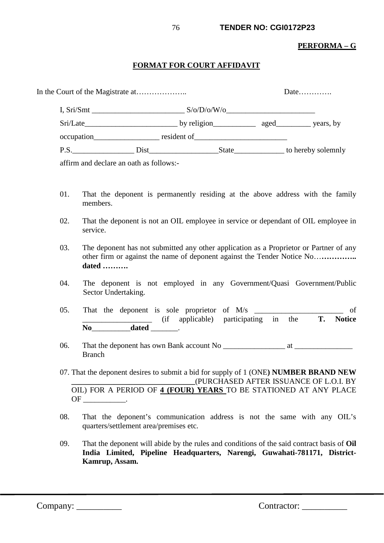### **PERFORMA – G**

### **FORMAT FOR COURT AFFIDAVIT**

|            |  | S/O/D/O/W/O |                                                                                                                                                                                                                                     |                    |
|------------|--|-------------|-------------------------------------------------------------------------------------------------------------------------------------------------------------------------------------------------------------------------------------|--------------------|
|            |  |             |                                                                                                                                                                                                                                     |                    |
| occupation |  | resident of |                                                                                                                                                                                                                                     |                    |
| P.S.       |  |             | <b>State</b> State State State State State State State State State State State State State State State State State State State State State State State State State State State State State State State State State State State Stat | to hereby solemnly |

affirm and declare an oath as follows:-

- 01. That the deponent is permanently residing at the above address with the family members.
- 02. That the deponent is not an OIL employee in service or dependant of OIL employee in service.
- 03. The deponent has not submitted any other application as a Proprietor or Partner of any other firm or against the name of deponent against the Tender Notice No…**………….. dated ……….**
- 04. The deponent is not employed in any Government/Quasi Government/Public Sector Undertaking.
- 05. That the deponent is sole proprietor of  $M/s$  \_\_\_\_\_\_\_\_\_\_\_\_\_\_\_\_\_\_\_\_\_\_ of \_\_\_\_\_\_\_\_\_\_\_\_\_\_\_\_\_\_ (if applicable) participating in the **T. Notice No**\_\_\_\_\_\_\_\_\_\_**dated** \_\_\_\_\_\_\_.
- 06. That the deponent has own Bank account No \_\_\_\_\_\_\_\_\_\_\_\_\_\_\_\_ at \_\_\_\_\_\_\_\_\_\_\_\_\_\_\_ Branch
- 07. That the deponent desires to submit a bid for supply of 1 (ONE**) NUMBER BRAND NEW \_\_\_\_\_\_\_\_\_\_\_\_\_\_\_\_\_\_\_\_\_\_\_\_\_\_\_\_\_\_\_\_**(PURCHASED AFTER ISSUANCE OF L.O.I. BY OIL) FOR A PERIOD OF **4 (FOUR) YEARS** TO BE STATIONED AT ANY PLACE OF \_\_\_\_\_\_\_\_\_\_\_.
- 08. That the deponent's communication address is not the same with any OIL's quarters/settlement area/premises etc.
- 09. That the deponent will abide by the rules and conditions of the said contract basis of **Oil India Limited, Pipeline Headquarters, Narengi, Guwahati-781171, District-Kamrup, Assam.**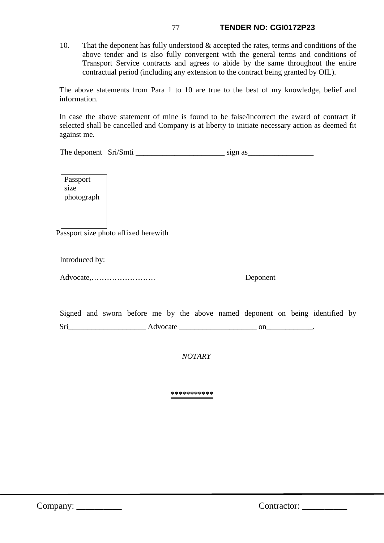10. That the deponent has fully understood & accepted the rates, terms and conditions of the above tender and is also fully convergent with the general terms and conditions of Transport Service contracts and agrees to abide by the same throughout the entire contractual period (including any extension to the contract being granted by OIL).

The above statements from Para 1 to 10 are true to the best of my knowledge, belief and information.

In case the above statement of mine is found to be false/incorrect the award of contract if selected shall be cancelled and Company is at liberty to initiate necessary action as deemed fit against me.

| The deponent Sri/Smti | sign as |
|-----------------------|---------|
|                       |         |

Passport size photograph

Passport size photo affixed herewith

Introduced by:

Advocate,……………………. Deponent

|     |  |          |  |  |  | Signed and sworn before me by the above named deponent on being identified by |  |
|-----|--|----------|--|--|--|-------------------------------------------------------------------------------|--|
| Sri |  | Advocate |  |  |  |                                                                               |  |

*NOTARY*

**\*\*\*\*\*\*\*\*\*\*\***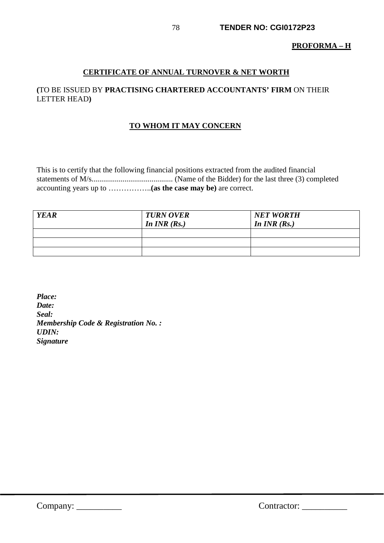### **PROFORMA – H**

## **CERTIFICATE OF ANNUAL TURNOVER & NET WORTH**

# **(**TO BE ISSUED BY **PRACTISING CHARTERED ACCOUNTANTS' FIRM** ON THEIR LETTER HEAD**)**

### **TO WHOM IT MAY CONCERN**

This is to certify that the following financial positions extracted from the audited financial statements of M/s.......................................... (Name of the Bidder) for the last three (3) completed accounting years up to ……………..**(as the case may be)** are correct.

| <b>YEAR</b> | <b>TURN OVER</b><br>In $INR(Rs.)$ | <b>NET WORTH</b><br>In $INR$ $(Rs.)$ |
|-------------|-----------------------------------|--------------------------------------|
|             |                                   |                                      |
|             |                                   |                                      |
|             |                                   |                                      |

*Place: Date: Seal: Membership Code & Registration No. : UDIN: Signature*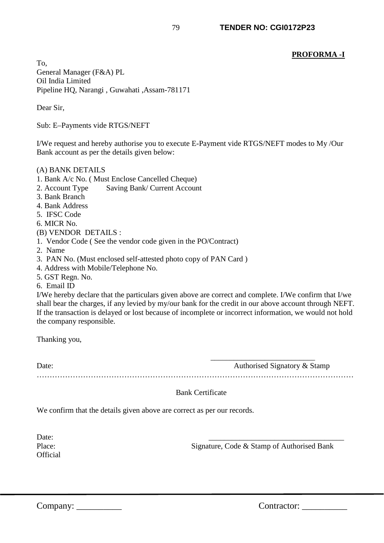### **PROFORMA -I**

To, General Manager (F&A) PL Oil India Limited Pipeline HQ, Narangi , Guwahati ,Assam-781171

Dear Sir,

Sub: E–Payments vide RTGS/NEFT

I/We request and hereby authorise you to execute E-Payment vide RTGS/NEFT modes to My /Our Bank account as per the details given below:

### (A) BANK DETAILS

- 1. Bank A/c No. ( Must Enclose Cancelled Cheque)
- 2. Account Type Saving Bank/ Current Account
- 3. Bank Branch
- 4. Bank Address
- 5. IFSC Code
- 6. MICR No.
- (B) VENDOR DETAILS :
- 1. Vendor Code ( See the vendor code given in the PO/Contract)
- 2. Name
- 3. PAN No. (Must enclosed self-attested photo copy of PAN Card )
- 4. Address with Mobile/Telephone No.
- 5. GST Regn. No.
- 6. Email ID

I/We hereby declare that the particulars given above are correct and complete. I/We confirm that I/we shall bear the charges, if any levied by my/our bank for the credit in our above account through NEFT. If the transaction is delayed or lost because of incomplete or incorrect information, we would not hold the company responsible.

Thanking you,

 $\overline{\phantom{a}}$  , and the contract of the contract of the contract of the contract of the contract of the contract of the contract of the contract of the contract of the contract of the contract of the contract of the contrac Date: Authorised Signatory & Stamp

Bank Certificate

……………………………………………………………………………………………………………

We confirm that the details given above are correct as per our records.

Date: 2008. 2010. 2010. 2010. 2010. 2010. 2010. 2010. 2010. 2010. 2010. 2010. 2010. 2010. 2010. 2010. 2010. 20 **Official** 

Place: Signature, Code & Stamp of Authorised Bank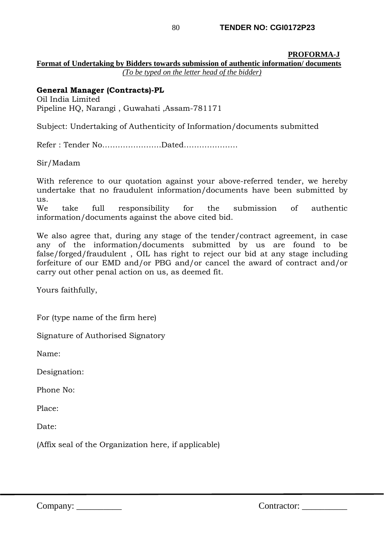#### **PROFORMA-J**

**Format of Undertaking by Bidders towards submission of authentic information/ documents** *(To be typed on the letter head of the bidder)* 

# **General Manager (Contracts)-PL**

Oil India Limited Pipeline HQ, Narangi , Guwahati ,Assam-781171

Subject: Undertaking of Authenticity of Information/documents submitted

Refer : Tender No…………………..Dated…………………

Sir/Madam

With reference to our quotation against your above-referred tender, we hereby undertake that no fraudulent information/documents have been submitted by us.

We take full responsibility for the submission of authentic information/documents against the above cited bid.

We also agree that, during any stage of the tender/contract agreement, in case any of the information/documents submitted by us are found to be false/forged/fraudulent , OIL has right to reject our bid at any stage including forfeiture of our EMD and/or PBG and/or cancel the award of contract and/or carry out other penal action on us, as deemed fit.

Yours faithfully,

For (type name of the firm here)

Signature of Authorised Signatory

Name:

Designation:

Phone No:

Place:

Date:

(Affix seal of the Organization here, if applicable)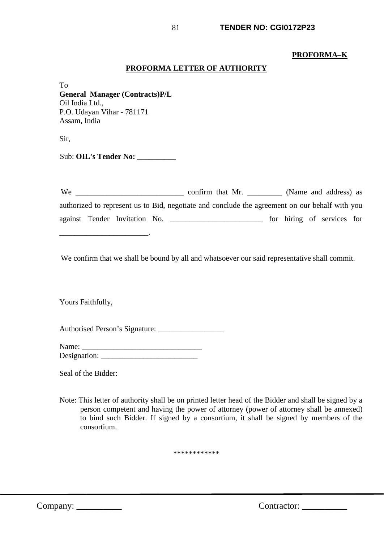### **PROFORMA–K**

### **PROFORMA LETTER OF AUTHORITY**

To **General Manager (Contracts)P/L** Oil India Ltd., P.O. Udayan Vihar - 781171 Assam, India

Sir,

Sub: **OIL's Tender No: \_\_\_\_\_\_\_\_\_\_** 

\_\_\_\_\_\_\_\_\_\_\_\_\_\_\_\_\_\_\_\_\_\_\_.

| We |                               |                                                                                                | confirm that Mr. |  |  | (Name and address) as      |  |
|----|-------------------------------|------------------------------------------------------------------------------------------------|------------------|--|--|----------------------------|--|
|    |                               | authorized to represent us to Bid, negotiate and conclude the agreement on our behalf with you |                  |  |  |                            |  |
|    | against Tender Invitation No. |                                                                                                |                  |  |  | for hiring of services for |  |

We confirm that we shall be bound by all and whatsoever our said representative shall commit.

Yours Faithfully,

Authorised Person's Signature: \_\_\_\_\_\_\_\_\_\_\_\_\_\_\_\_\_

| Name:        |  |
|--------------|--|
| Designation: |  |

Seal of the Bidder:

Note: This letter of authority shall be on printed letter head of the Bidder and shall be signed by a person competent and having the power of attorney (power of attorney shall be annexed) to bind such Bidder. If signed by a consortium, it shall be signed by members of the consortium.

\*\*\*\*\*\*\*\*\*\*\*\*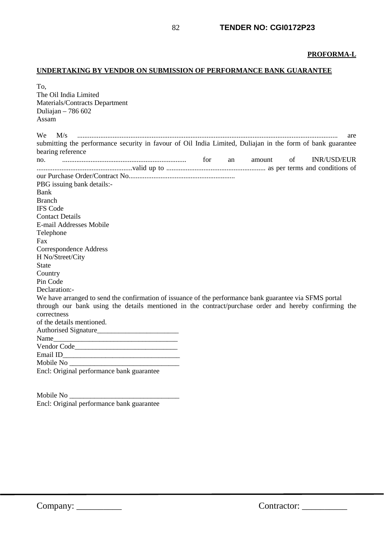#### **PROFORMA-L**

## **UNDERTAKING BY VENDOR ON SUBMISSION OF PERFORMANCE BANK GUARANTEE**

| To.                                                                                                        |
|------------------------------------------------------------------------------------------------------------|
| The Oil India Limited                                                                                      |
| Materials/Contracts Department                                                                             |
| Duliajan - 786 602                                                                                         |
| Assam                                                                                                      |
|                                                                                                            |
| We \<br>M/s<br>are                                                                                         |
| submitting the performance security in favour of Oil India Limited, Duliajan in the form of bank guarantee |
| bearing reference                                                                                          |
| no. $f$ for<br>of<br>INR/USD/EUR<br>amount<br>an                                                           |
|                                                                                                            |
|                                                                                                            |
| PBG issuing bank details:-                                                                                 |
| Bank                                                                                                       |
| <b>Branch</b>                                                                                              |
| <b>IFS Code</b>                                                                                            |
| <b>Contact Details</b>                                                                                     |
| E-mail Addresses Mobile                                                                                    |
| Telephone                                                                                                  |
| Fax                                                                                                        |
| Correspondence Address                                                                                     |
| H No/Street/City                                                                                           |
| <b>State</b>                                                                                               |
| Country                                                                                                    |
| Pin Code                                                                                                   |
| Declaration:-                                                                                              |
| We have arranged to send the confirmation of issuance of the performance bank guarantee via SFMS portal    |
| through our bank using the details mentioned in the contract/purchase order and hereby confirming the      |
| correctness                                                                                                |
| of the details mentioned.                                                                                  |
|                                                                                                            |
|                                                                                                            |
|                                                                                                            |
|                                                                                                            |
|                                                                                                            |
| Encl: Original performance bank guarantee                                                                  |
|                                                                                                            |
|                                                                                                            |

Mobile No \_\_\_\_\_\_\_\_\_\_\_\_\_\_\_\_\_\_\_\_\_\_\_\_\_\_\_\_\_\_\_ Encl: Original performance bank guarantee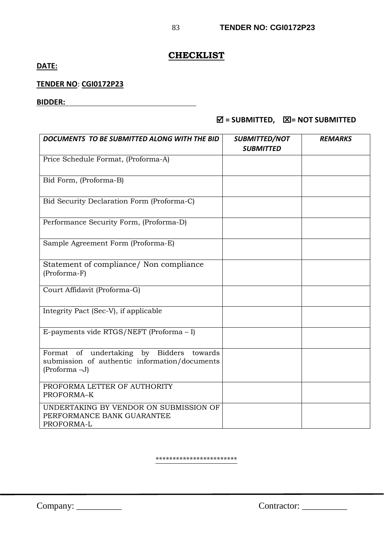# **CHECKLIST**

# **DATE:**

# **TENDER NO**: **CGI0172P23**

#### **BIDDER:**

# **= SUBMITTED, = NOT SUBMITTED**

| DOCUMENTS TO BE SUBMITTED ALONG WITH THE BID                                                               | SUBMITTED/NOT<br><b>SUBMITTED</b> | <b>REMARKS</b> |
|------------------------------------------------------------------------------------------------------------|-----------------------------------|----------------|
| Price Schedule Format, (Proforma-A)                                                                        |                                   |                |
| Bid Form, (Proforma-B)                                                                                     |                                   |                |
| Bid Security Declaration Form (Proforma-C)                                                                 |                                   |                |
| Performance Security Form, (Proforma-D)                                                                    |                                   |                |
| Sample Agreement Form (Proforma-E)                                                                         |                                   |                |
| Statement of compliance/ Non compliance<br>(Proforma-F)                                                    |                                   |                |
| Court Affidavit (Proforma-G)                                                                               |                                   |                |
| Integrity Pact (Sec-V), if applicable                                                                      |                                   |                |
| E-payments vide RTGS/NEFT (Proforma - I)                                                                   |                                   |                |
| Format of undertaking by Bidders towards<br>submission of authentic information/documents<br>(Proforma -J) |                                   |                |
| PROFORMA LETTER OF AUTHORITY<br>PROFORMA-K                                                                 |                                   |                |
| UNDERTAKING BY VENDOR ON SUBMISSION OF<br>PERFORMANCE BANK GUARANTEE<br>PROFORMA-L                         |                                   |                |

#### \*\*\*\*\*\*\*\*\*\*\*\*\*\*\*\*\*\*\*\*\*\*\*\*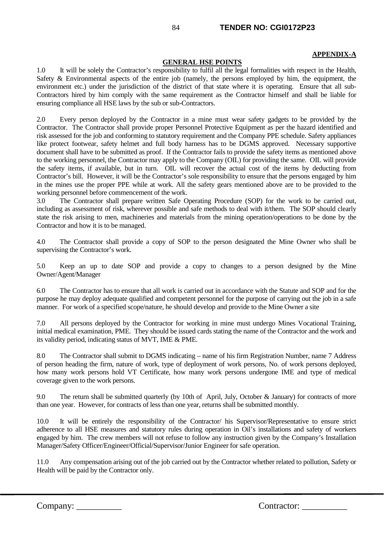#### **APPENDIX-A**

#### **GENERAL HSE POINTS**

1.0 It will be solely the Contractor's responsibility to fulfil all the legal formalities with respect in the Health, Safety & Environmental aspects of the entire job (namely, the persons employed by him, the equipment, the environment etc.) under the jurisdiction of the district of that state where it is operating. Ensure that all sub-Contractors hired by him comply with the same requirement as the Contractor himself and shall be liable for ensuring compliance all HSE laws by the sub or sub-Contractors.

2.0 Every person deployed by the Contractor in a mine must wear safety gadgets to be provided by the Contractor. The Contractor shall provide proper Personnel Protective Equipment as per the hazard identified and risk assessed for the job and conforming to statutory requirement and the Company PPE schedule. Safety appliances like protect footwear, safety helmet and full body harness has to be DGMS approved. Necessary supportive document shall have to be submitted as proof. If the Contractor fails to provide the safety items as mentioned above to the working personnel, the Contractor may apply to the Company (OIL) for providing the same. OIL will provide the safety items, if available, but in turn. OIL will recover the actual cost of the items by deducting from Contractor's bill. However, it will be the Contractor's sole responsibility to ensure that the persons engaged by him in the mines use the proper PPE while at work. All the safety gears mentioned above are to be provided to the working personnel before commencement of the work.

3.0 The Contractor shall prepare written Safe Operating Procedure (SOP) for the work to be carried out, including as assessment of risk, wherever possible and safe methods to deal with it/them. The SOP should clearly state the risk arising to men, machineries and materials from the mining operation/operations to be done by the Contractor and how it is to be managed.

4.0 The Contractor shall provide a copy of SOP to the person designated the Mine Owner who shall be supervising the Contractor's work.

5.0 Keep an up to date SOP and provide a copy to changes to a person designed by the Mine Owner/Agent/Manager

6.0 The Contractor has to ensure that all work is carried out in accordance with the Statute and SOP and for the purpose he may deploy adequate qualified and competent personnel for the purpose of carrying out the job in a safe manner. For work of a specified scope/nature, he should develop and provide to the Mine Owner a site

7.0 All persons deployed by the Contractor for working in mine must undergo Mines Vocational Training, initial medical examination, PME. They should be issued cards stating the name of the Contractor and the work and its validity period, indicating status of MVT, IME & PME.

8.0 The Contractor shall submit to DGMS indicating – name of his firm Registration Number, name 7 Address of person heading the firm, nature of work, type of deployment of work persons, No. of work persons deployed, how many work persons hold VT Certificate, how many work persons undergone IME and type of medical coverage given to the work persons.

9.0 The return shall be submitted quarterly (by 10th of April, July, October & January) for contracts of more than one year. However, for contracts of less than one year, returns shall be submitted monthly.

10.0 It will be entirely the responsibility of the Contractor/ his Supervisor/Representative to ensure strict adherence to all HSE measures and statutory rules during operation in Oil's installations and safety of workers engaged by him. The crew members will not refuse to follow any instruction given by the Company's Installation Manager/Safety Officer/Engineer/Official/Supervisor/Junior Engineer for safe operation.

11.0 Any compensation arising out of the job carried out by the Contractor whether related to pollution, Safety or Health will be paid by the Contractor only.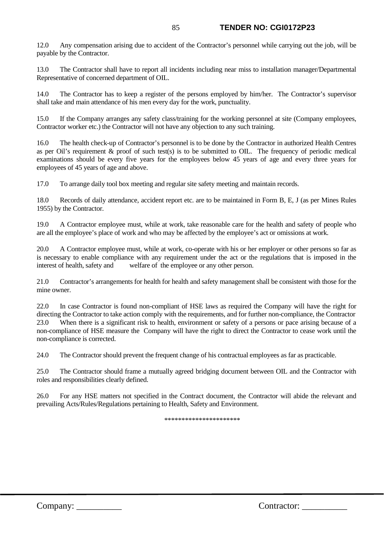12.0 Any compensation arising due to accident of the Contractor's personnel while carrying out the job, will be payable by the Contractor.

13.0 The Contractor shall have to report all incidents including near miss to installation manager/Departmental Representative of concerned department of OIL.

14.0 The Contractor has to keep a register of the persons employed by him/her. The Contractor's supervisor shall take and main attendance of his men every day for the work, punctuality.

15.0 If the Company arranges any safety class/training for the working personnel at site (Company employees, Contractor worker etc.) the Contractor will not have any objection to any such training.

16.0 The health check-up of Contractor's personnel is to be done by the Contractor in authorized Health Centres as per Oil's requirement & proof of such test(s) is to be submitted to OIL. The frequency of periodic medical examinations should be every five years for the employees below 45 years of age and every three years for employees of 45 years of age and above.

17.0 To arrange daily tool box meeting and regular site safety meeting and maintain records.

18.0 Records of daily attendance, accident report etc. are to be maintained in Form B, E, J (as per Mines Rules 1955) by the Contractor.

19.0 A Contractor employee must, while at work, take reasonable care for the health and safety of people who are all the employee's place of work and who may be affected by the employee's act or omissions at work.

20.0 A Contractor employee must, while at work, co-operate with his or her employer or other persons so far as is necessary to enable compliance with any requirement under the act or the regulations that is imposed in the interest of health, safety and welfare of the employee or any other person.

21.0 Contractor's arrangements for health for health and safety management shall be consistent with those for the mine owner.

22.0 In case Contractor is found non-compliant of HSE laws as required the Company will have the right for directing the Contractor to take action comply with the requirements, and for further non-compliance, the Contractor 23.0 When there is a significant risk to health, environment or safety of a persons or pace arising because of a non-compliance of HSE measure the Company will have the right to direct the Contractor to cease work until the non-compliance is corrected.

24.0 The Contractor should prevent the frequent change of his contractual employees as far as practicable.

25.0 The Contractor should frame a mutually agreed bridging document between OIL and the Contractor with roles and responsibilities clearly defined.

26.0 For any HSE matters not specified in the Contract document, the Contractor will abide the relevant and prevailing Acts/Rules/Regulations pertaining to Health, Safety and Environment.

\*\*\*\*\*\*\*\*\*\*\*\*\*\*\*\*\*\*\*\*\*\*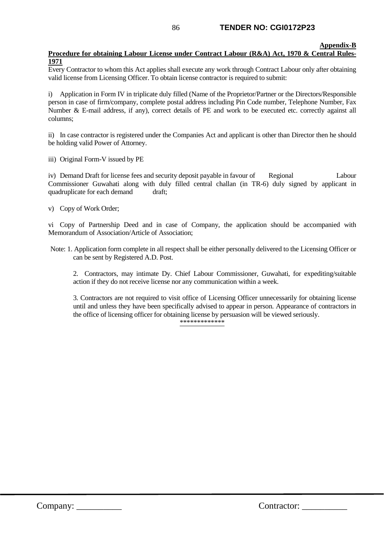#### **Appendix-B Procedure for obtaining Labour License under Contract Labour (R&A) Act, 1970 & Central Rules-1971**

Every Contractor to whom this Act applies shall execute any work through Contract Labour only after obtaining valid license from Licensing Officer. To obtain license contractor is required to submit:

i) Application in Form IV in triplicate duly filled (Name of the Proprietor/Partner or the Directors/Responsible person in case of firm/company, complete postal address including Pin Code number, Telephone Number, Fax Number & E-mail address, if any), correct details of PE and work to be executed etc. correctly against all columns;

ii) In case contractor is registered under the Companies Act and applicant is other than Director then he should be holding valid Power of Attorney.

iii) Original Form-V issued by PE

iv) Demand Draft for license fees and security deposit payable in favour of Regional Labour Commissioner Guwahati along with duly filled central challan (in TR-6) duly signed by applicant in quadruplicate for each demand draft;

v) Copy of Work Order;

vi Copy of Partnership Deed and in case of Company, the application should be accompanied with Memorandum of Association/Article of Association;

Note: 1. Application form complete in all respect shall be either personally delivered to the Licensing Officer or can be sent by Registered A.D. Post.

2. Contractors, may intimate Dy. Chief Labour Commissioner, Guwahati, for expediting/suitable action if they do not receive license nor any communication within a week.

3. Contractors are not required to visit office of Licensing Officer unnecessarily for obtaining license until and unless they have been specifically advised to appear in person. Appearance of contractors in the office of licensing officer for obtaining license by persuasion will be viewed seriously. \*\*\*\*\*\*\*\*\*\*\*\*\*